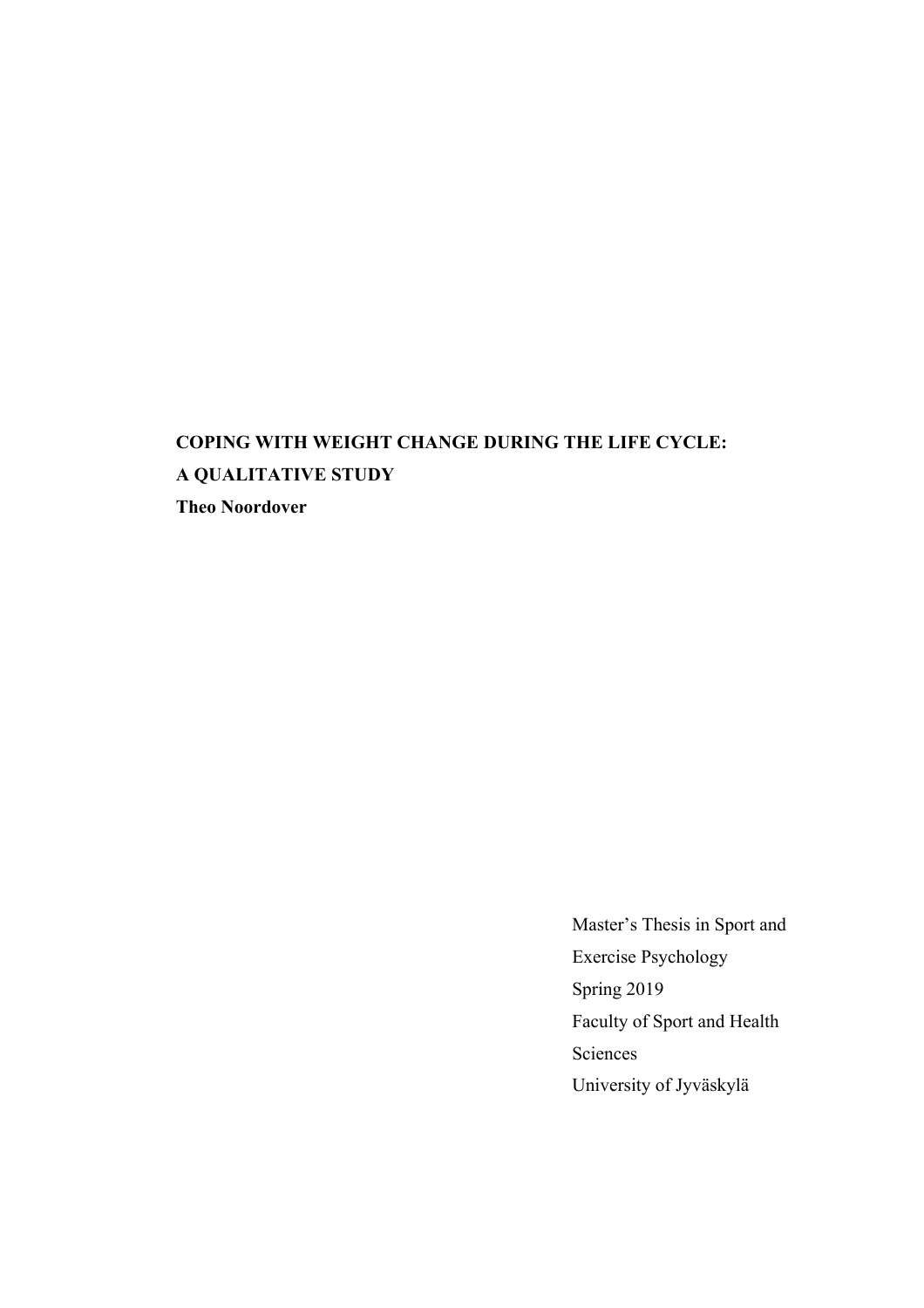# **COPING WITH WEIGHT CHANGE DURING THE LIFE CYCLE: A QUALITATIVE STUDY Theo Noordover**

Master's Thesis in Sport and Exercise Psychology Spring 2019 Faculty of Sport and Health Sciences University of Jyväskylä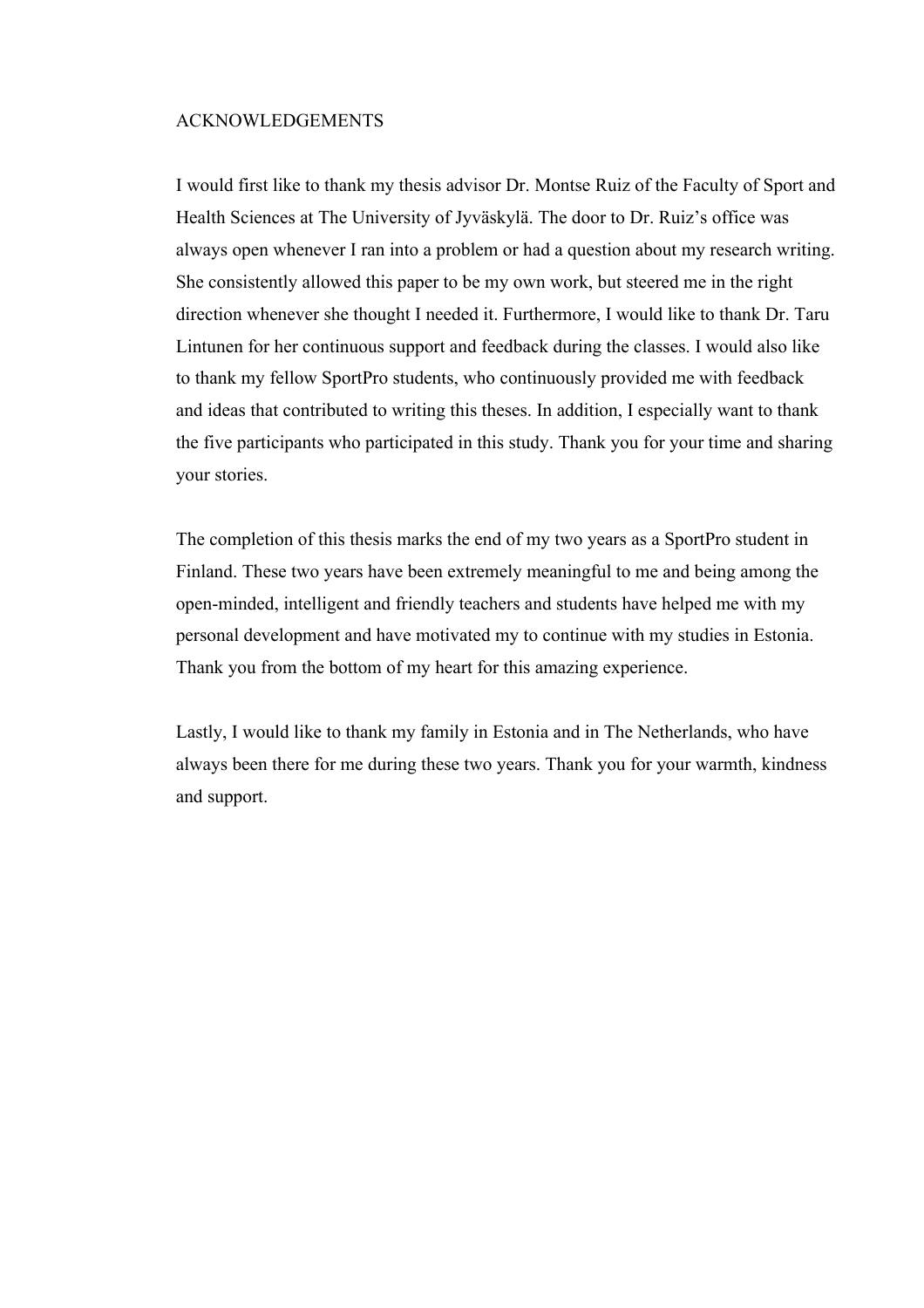## ACKNOWLEDGEMENTS

I would first like to thank my thesis advisor Dr. Montse Ruiz of the Faculty of Sport and Health Sciences at The University of Jyväskylä. The door to Dr. Ruiz's office was always open whenever I ran into a problem or had a question about my research writing. She consistently allowed this paper to be my own work, but steered me in the right direction whenever she thought I needed it. Furthermore, I would like to thank Dr. Taru Lintunen for her continuous support and feedback during the classes. I would also like to thank my fellow SportPro students, who continuously provided me with feedback and ideas that contributed to writing this theses. In addition, I especially want to thank the five participants who participated in this study. Thank you for your time and sharing your stories.

The completion of this thesis marks the end of my two years as a SportPro student in Finland. These two years have been extremely meaningful to me and being among the open-minded, intelligent and friendly teachers and students have helped me with my personal development and have motivated my to continue with my studies in Estonia. Thank you from the bottom of my heart for this amazing experience.

Lastly, I would like to thank my family in Estonia and in The Netherlands, who have always been there for me during these two years. Thank you for your warmth, kindness and support.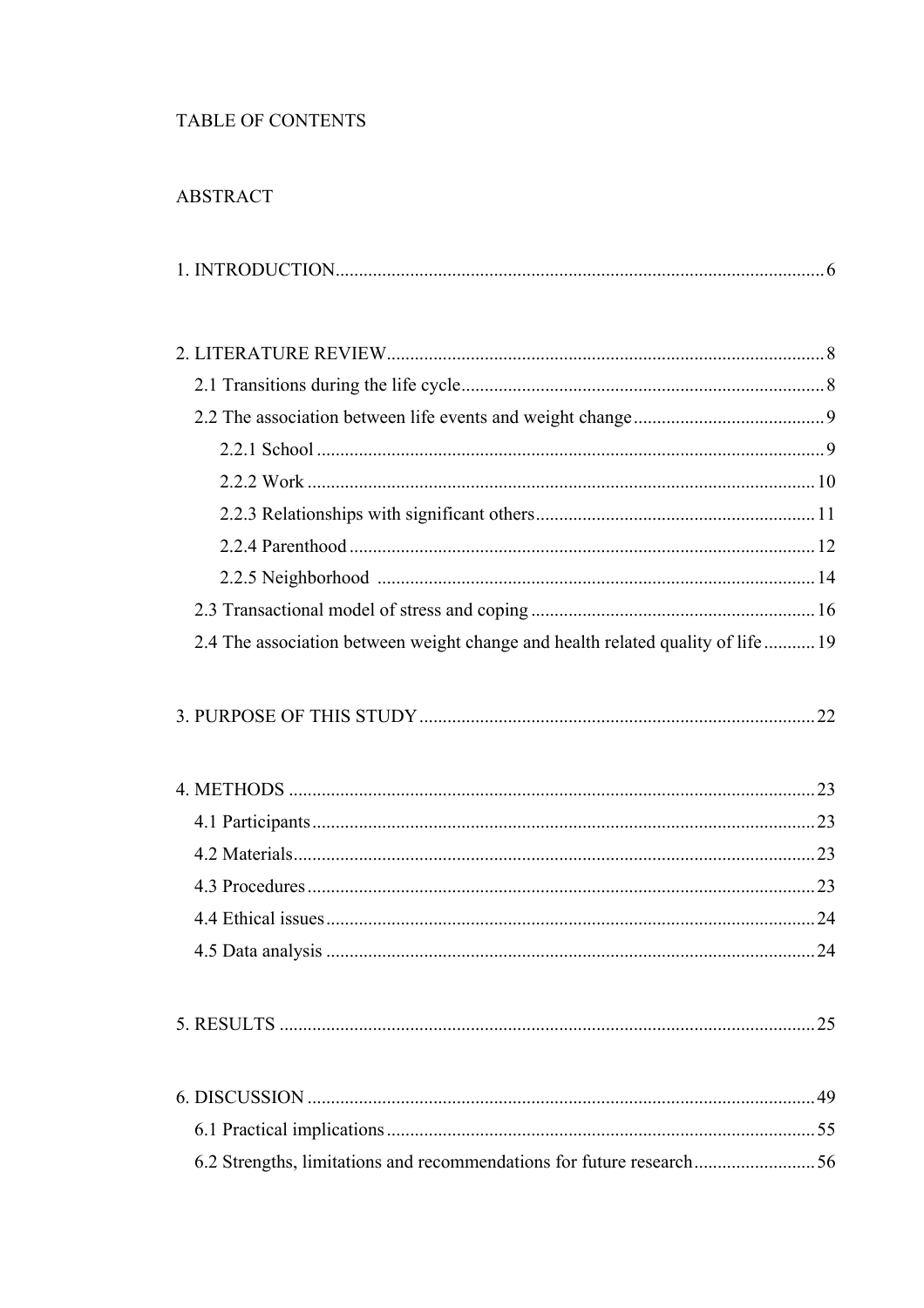## TABLE OF CONTENTS

## **ABSTRACT**

|--|--|

| 2.4 The association between weight change and health related quality of life 19 |  |
|---------------------------------------------------------------------------------|--|
|                                                                                 |  |
|                                                                                 |  |
|                                                                                 |  |
|                                                                                 |  |
|                                                                                 |  |
|                                                                                 |  |
|                                                                                 |  |
|                                                                                 |  |
|                                                                                 |  |
|                                                                                 |  |

6.2 Strengths, limitations and recommendations for future research.............................56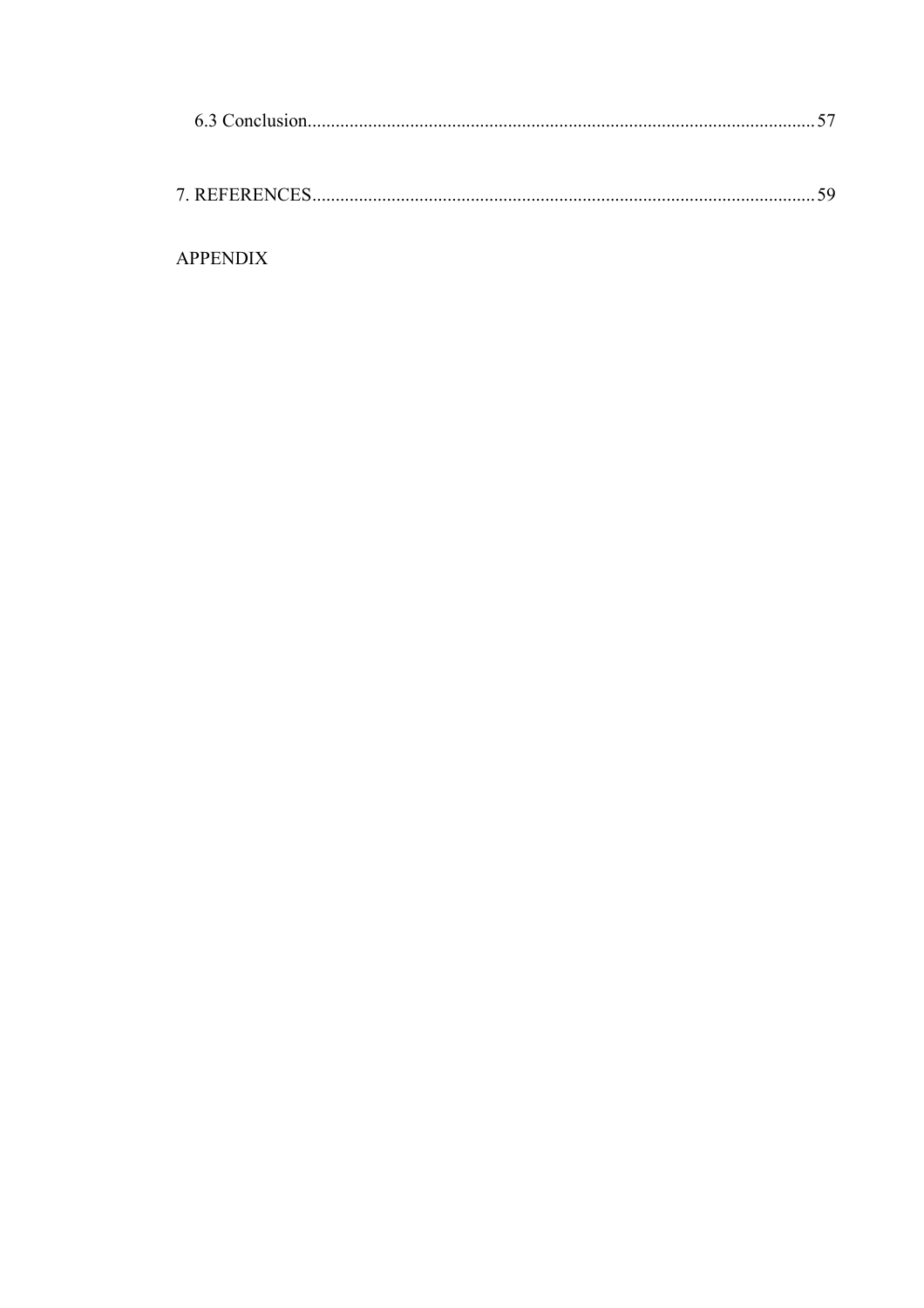| <b>APPENDIX</b> |  |
|-----------------|--|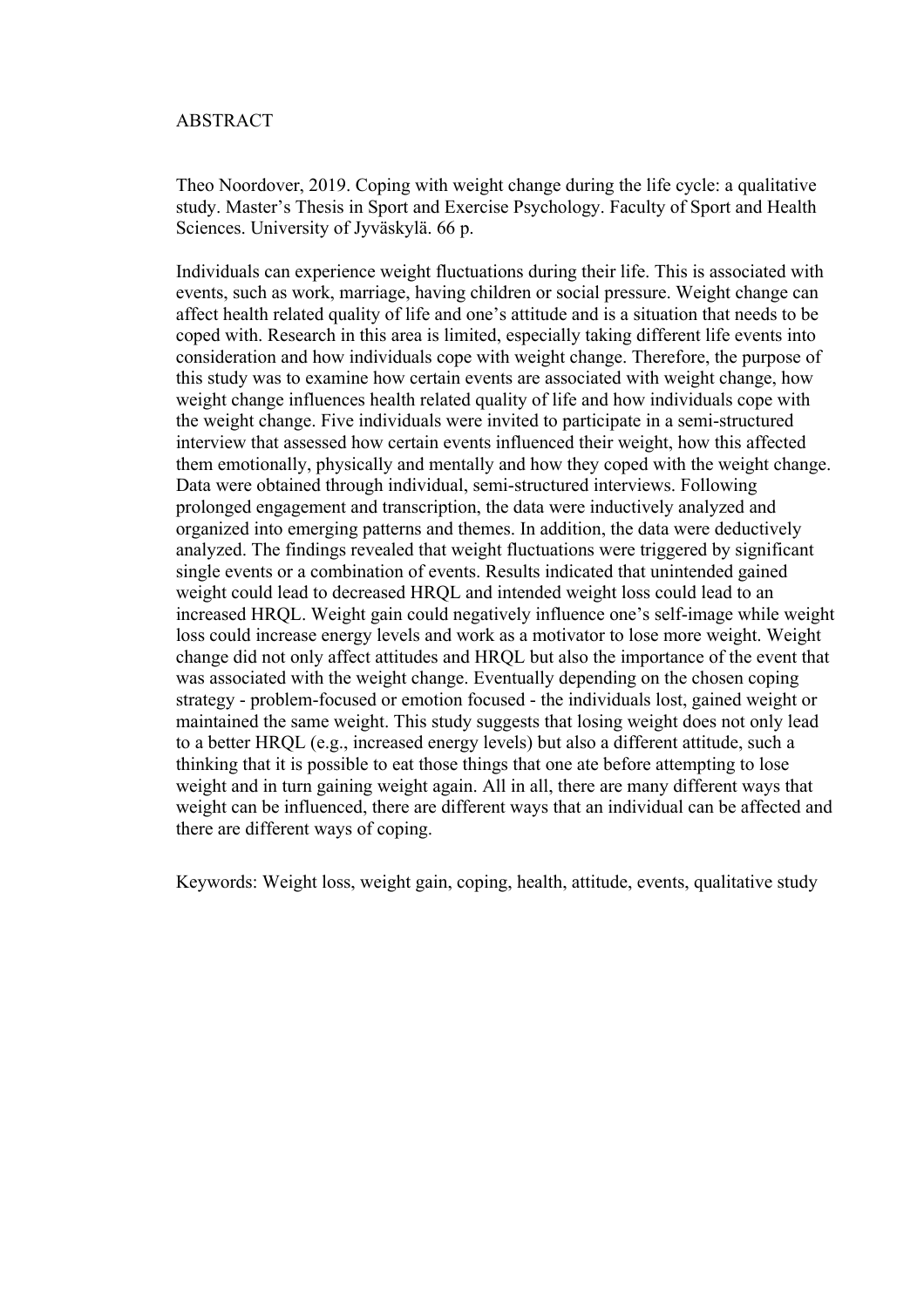## ABSTRACT

Theo Noordover, 2019. Coping with weight change during the life cycle: a qualitative study. Master's Thesis in Sport and Exercise Psychology. Faculty of Sport and Health Sciences. University of Jyväskylä. 66 p.

Individuals can experience weight fluctuations during their life. This is associated with events, such as work, marriage, having children or social pressure. Weight change can affect health related quality of life and one's attitude and is a situation that needs to be coped with. Research in this area is limited, especially taking different life events into consideration and how individuals cope with weight change. Therefore, the purpose of this study was to examine how certain events are associated with weight change, how weight change influences health related quality of life and how individuals cope with the weight change. Five individuals were invited to participate in a semi-structured interview that assessed how certain events influenced their weight, how this affected them emotionally, physically and mentally and how they coped with the weight change. Data were obtained through individual, semi-structured interviews. Following prolonged engagement and transcription, the data were inductively analyzed and organized into emerging patterns and themes. In addition, the data were deductively analyzed. The findings revealed that weight fluctuations were triggered by significant single events or a combination of events. Results indicated that unintended gained weight could lead to decreased HRQL and intended weight loss could lead to an increased HRQL. Weight gain could negatively influence one's self-image while weight loss could increase energy levels and work as a motivator to lose more weight. Weight change did not only affect attitudes and HRQL but also the importance of the event that was associated with the weight change. Eventually depending on the chosen coping strategy - problem-focused or emotion focused - the individuals lost, gained weight or maintained the same weight. This study suggests that losing weight does not only lead to a better HRQL (e.g., increased energy levels) but also a different attitude, such a thinking that it is possible to eat those things that one ate before attempting to lose weight and in turn gaining weight again. All in all, there are many different ways that weight can be influenced, there are different ways that an individual can be affected and there are different ways of coping.

Keywords: Weight loss, weight gain, coping, health, attitude, events, qualitative study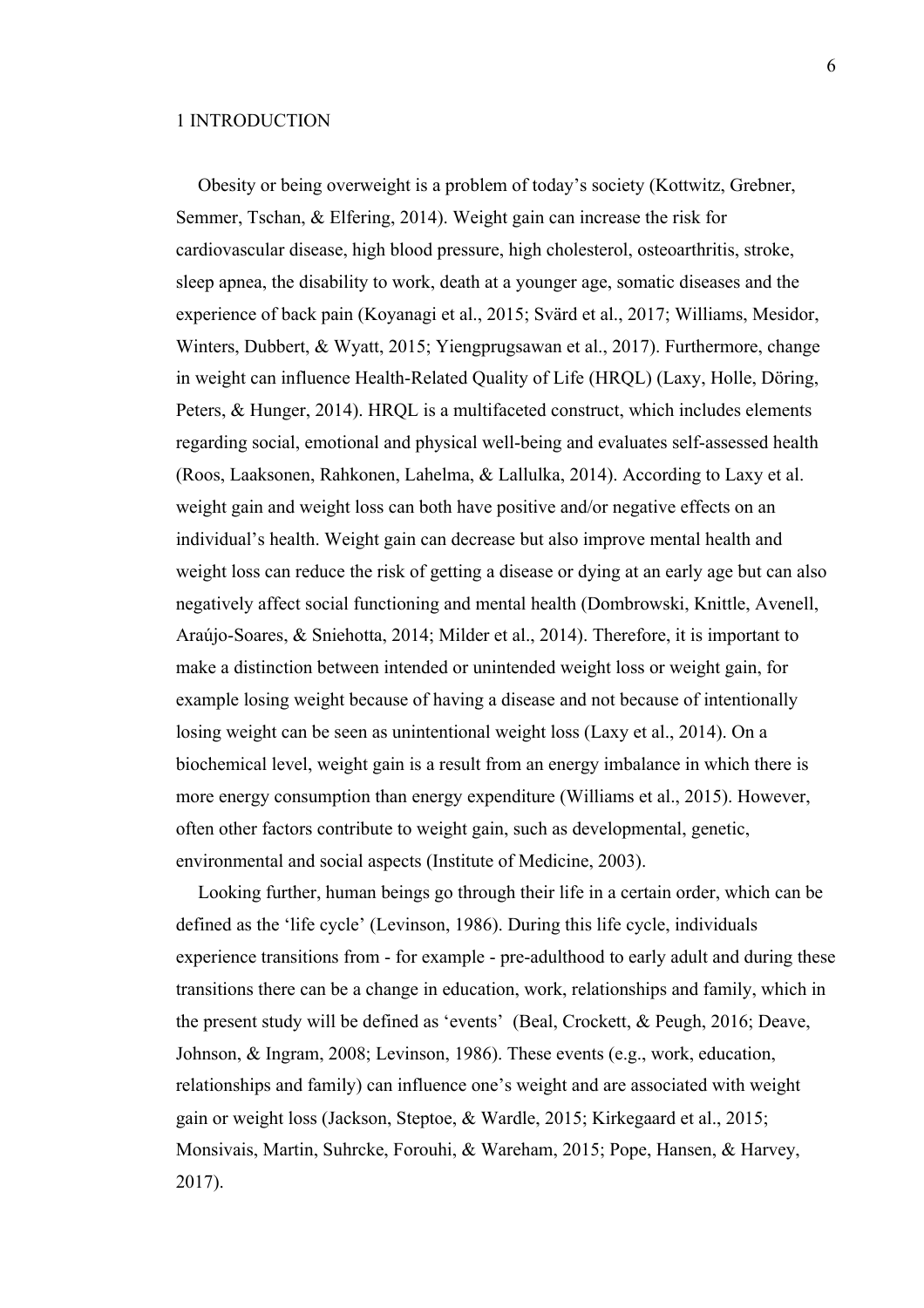## 1 INTRODUCTION

Obesity or being overweight is a problem of today's society (Kottwitz, Grebner, Semmer, Tschan, & Elfering, 2014). Weight gain can increase the risk for cardiovascular disease, high blood pressure, high cholesterol, osteoarthritis, stroke, sleep apnea, the disability to work, death at a younger age, somatic diseases and the experience of back pain (Koyanagi et al., 2015; Svärd et al., 2017; Williams, Mesidor, Winters, Dubbert, & Wyatt, 2015; Yiengprugsawan et al., 2017). Furthermore, change in weight can influence Health-Related Quality of Life (HRQL) (Laxy, Holle, Döring, Peters, & Hunger, 2014). HRQL is a multifaceted construct, which includes elements regarding social, emotional and physical well-being and evaluates self-assessed health (Roos, Laaksonen, Rahkonen, Lahelma, & Lallulka, 2014). According to Laxy et al. weight gain and weight loss can both have positive and/or negative effects on an individual's health. Weight gain can decrease but also improve mental health and weight loss can reduce the risk of getting a disease or dying at an early age but can also negatively affect social functioning and mental health (Dombrowski, Knittle, Avenell, Araújo-Soares, & Sniehotta, 2014; Milder et al., 2014). Therefore, it is important to make a distinction between intended or unintended weight loss or weight gain, for example losing weight because of having a disease and not because of intentionally losing weight can be seen as unintentional weight loss (Laxy et al., 2014). On a biochemical level, weight gain is a result from an energy imbalance in which there is more energy consumption than energy expenditure (Williams et al., 2015). However, often other factors contribute to weight gain, such as developmental, genetic, environmental and social aspects (Institute of Medicine, 2003).

Looking further, human beings go through their life in a certain order, which can be defined as the 'life cycle' (Levinson, 1986). During this life cycle, individuals experience transitions from - for example - pre-adulthood to early adult and during these transitions there can be a change in education, work, relationships and family, which in the present study will be defined as 'events' (Beal, Crockett, & Peugh, 2016; Deave, Johnson, & Ingram, 2008; Levinson, 1986). These events (e.g., work, education, relationships and family) can influence one's weight and are associated with weight gain or weight loss (Jackson, Steptoe, & Wardle, 2015; Kirkegaard et al., 2015; Monsivais, Martin, Suhrcke, Forouhi, & Wareham, 2015; Pope, Hansen, & Harvey, 2017).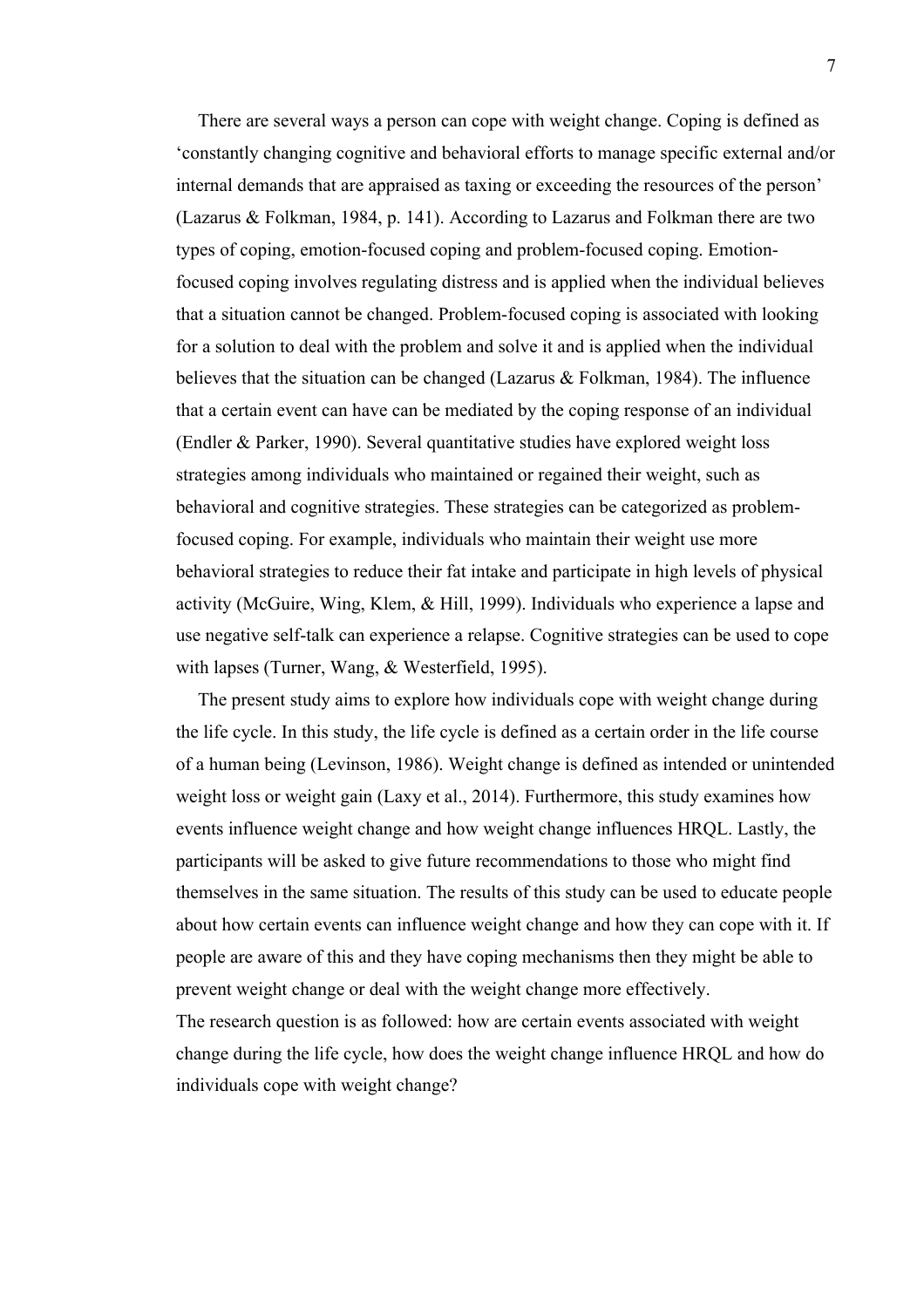There are several ways a person can cope with weight change. Coping is defined as 'constantly changing cognitive and behavioral efforts to manage specific external and/or internal demands that are appraised as taxing or exceeding the resources of the person' (Lazarus & Folkman, 1984, p. 141). According to Lazarus and Folkman there are two types of coping, emotion-focused coping and problem-focused coping. Emotionfocused coping involves regulating distress and is applied when the individual believes that a situation cannot be changed. Problem-focused coping is associated with looking for a solution to deal with the problem and solve it and is applied when the individual believes that the situation can be changed (Lazarus & Folkman, 1984). The influence that a certain event can have can be mediated by the coping response of an individual (Endler & Parker, 1990). Several quantitative studies have explored weight loss strategies among individuals who maintained or regained their weight, such as behavioral and cognitive strategies. These strategies can be categorized as problemfocused coping. For example, individuals who maintain their weight use more behavioral strategies to reduce their fat intake and participate in high levels of physical activity (McGuire, Wing, Klem, & Hill, 1999). Individuals who experience a lapse and use negative self-talk can experience a relapse. Cognitive strategies can be used to cope with lapses (Turner, Wang, & Westerfield, 1995).

The present study aims to explore how individuals cope with weight change during the life cycle. In this study, the life cycle is defined as a certain order in the life course of a human being (Levinson, 1986). Weight change is defined as intended or unintended weight loss or weight gain (Laxy et al., 2014). Furthermore, this study examines how events influence weight change and how weight change influences HRQL. Lastly, the participants will be asked to give future recommendations to those who might find themselves in the same situation. The results of this study can be used to educate people about how certain events can influence weight change and how they can cope with it. If people are aware of this and they have coping mechanisms then they might be able to prevent weight change or deal with the weight change more effectively. The research question is as followed: how are certain events associated with weight

change during the life cycle, how does the weight change influence HRQL and how do individuals cope with weight change?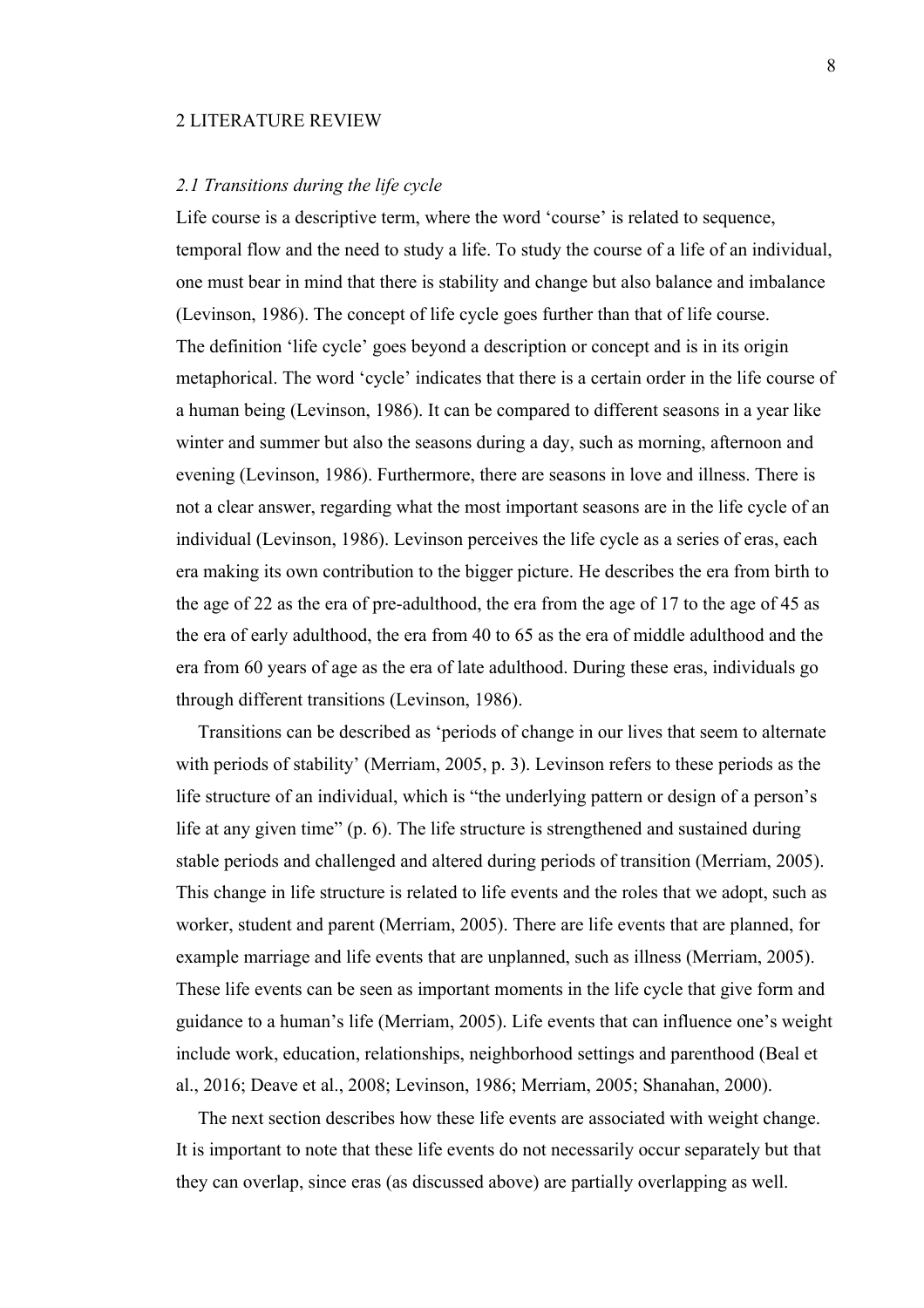#### 2 LITERATURE REVIEW

## *2.1 Transitions during the life cycle*

Life course is a descriptive term, where the word 'course' is related to sequence, temporal flow and the need to study a life. To study the course of a life of an individual, one must bear in mind that there is stability and change but also balance and imbalance (Levinson, 1986). The concept of life cycle goes further than that of life course. The definition 'life cycle' goes beyond a description or concept and is in its origin metaphorical. The word 'cycle' indicates that there is a certain order in the life course of a human being (Levinson, 1986). It can be compared to different seasons in a year like winter and summer but also the seasons during a day, such as morning, afternoon and evening (Levinson, 1986). Furthermore, there are seasons in love and illness. There is not a clear answer, regarding what the most important seasons are in the life cycle of an individual (Levinson, 1986). Levinson perceives the life cycle as a series of eras, each era making its own contribution to the bigger picture. He describes the era from birth to the age of 22 as the era of pre-adulthood, the era from the age of 17 to the age of 45 as the era of early adulthood, the era from 40 to 65 as the era of middle adulthood and the era from 60 years of age as the era of late adulthood. During these eras, individuals go through different transitions (Levinson, 1986).

Transitions can be described as 'periods of change in our lives that seem to alternate with periods of stability' (Merriam, 2005, p. 3). Levinson refers to these periods as the life structure of an individual, which is "the underlying pattern or design of a person's life at any given time" (p. 6). The life structure is strengthened and sustained during stable periods and challenged and altered during periods of transition (Merriam, 2005). This change in life structure is related to life events and the roles that we adopt, such as worker, student and parent (Merriam, 2005). There are life events that are planned, for example marriage and life events that are unplanned, such as illness (Merriam, 2005). These life events can be seen as important moments in the life cycle that give form and guidance to a human's life (Merriam, 2005). Life events that can influence one's weight include work, education, relationships, neighborhood settings and parenthood (Beal et al., 2016; Deave et al., 2008; Levinson, 1986; Merriam, 2005; Shanahan, 2000).

The next section describes how these life events are associated with weight change. It is important to note that these life events do not necessarily occur separately but that they can overlap, since eras (as discussed above) are partially overlapping as well.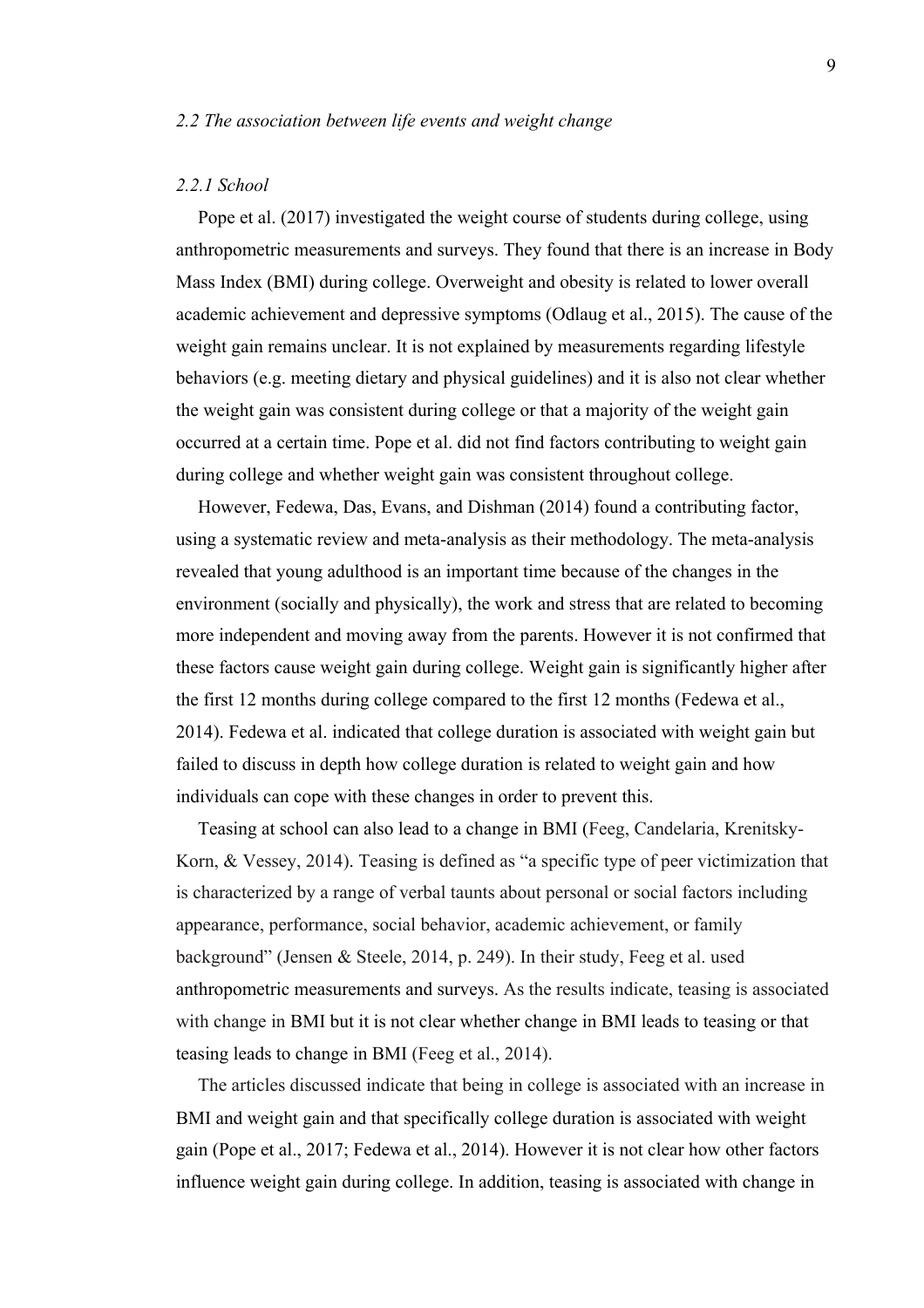## *2.2 The association between life events and weight change*

#### *2.2.1 School*

Pope et al. (2017) investigated the weight course of students during college, using anthropometric measurements and surveys. They found that there is an increase in Body Mass Index (BMI) during college. Overweight and obesity is related to lower overall academic achievement and depressive symptoms (Odlaug et al., 2015). The cause of the weight gain remains unclear. It is not explained by measurements regarding lifestyle behaviors (e.g. meeting dietary and physical guidelines) and it is also not clear whether the weight gain was consistent during college or that a majority of the weight gain occurred at a certain time. Pope et al. did not find factors contributing to weight gain during college and whether weight gain was consistent throughout college.

However, Fedewa, Das, Evans, and Dishman (2014) found a contributing factor, using a systematic review and meta-analysis as their methodology. The meta-analysis revealed that young adulthood is an important time because of the changes in the environment (socially and physically), the work and stress that are related to becoming more independent and moving away from the parents. However it is not confirmed that these factors cause weight gain during college. Weight gain is significantly higher after the first 12 months during college compared to the first 12 months (Fedewa et al., 2014). Fedewa et al. indicated that college duration is associated with weight gain but failed to discuss in depth how college duration is related to weight gain and how individuals can cope with these changes in order to prevent this.

Teasing at school can also lead to a change in BMI (Feeg, Candelaria, Krenitsky-Korn, & Vessey, 2014). Teasing is defined as "a specific type of peer victimization that is characterized by a range of verbal taunts about personal or social factors including appearance, performance, social behavior, academic achievement, or family background" (Jensen & Steele, 2014, p. 249). In their study, Feeg et al. used anthropometric measurements and surveys. As the results indicate, teasing is associated with change in BMI but it is not clear whether change in BMI leads to teasing or that teasing leads to change in BMI (Feeg et al., 2014).

The articles discussed indicate that being in college is associated with an increase in BMI and weight gain and that specifically college duration is associated with weight gain (Pope et al., 2017; Fedewa et al., 2014). However it is not clear how other factors influence weight gain during college. In addition, teasing is associated with change in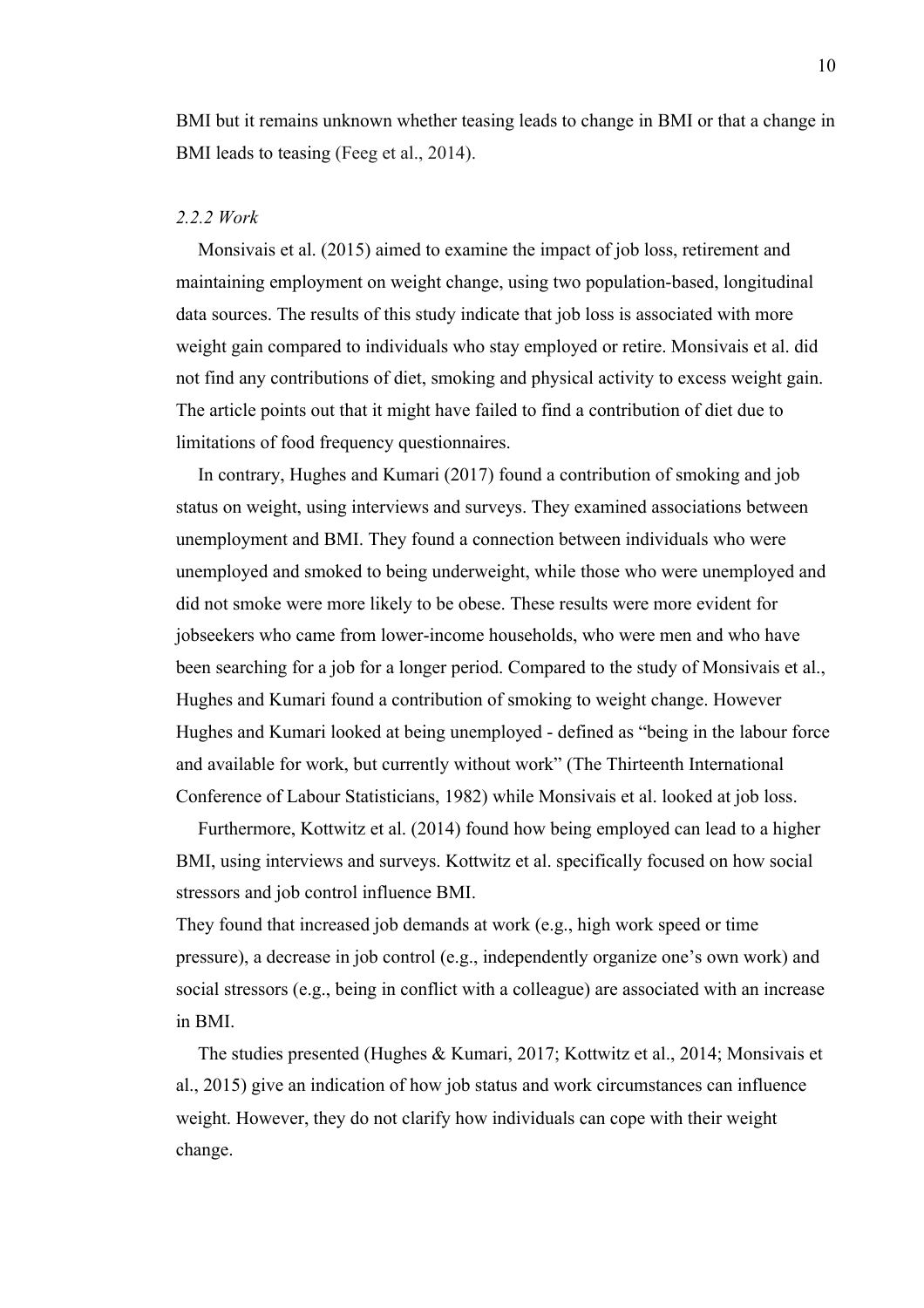BMI but it remains unknown whether teasing leads to change in BMI or that a change in BMI leads to teasing (Feeg et al., 2014).

## *2.2.2 Work*

Monsivais et al. (2015) aimed to examine the impact of job loss, retirement and maintaining employment on weight change, using two population-based, longitudinal data sources. The results of this study indicate that job loss is associated with more weight gain compared to individuals who stay employed or retire. Monsivais et al. did not find any contributions of diet, smoking and physical activity to excess weight gain. The article points out that it might have failed to find a contribution of diet due to limitations of food frequency questionnaires.

In contrary, Hughes and Kumari (2017) found a contribution of smoking and job status on weight, using interviews and surveys. They examined associations between unemployment and BMI. They found a connection between individuals who were unemployed and smoked to being underweight, while those who were unemployed and did not smoke were more likely to be obese. These results were more evident for jobseekers who came from lower-income households, who were men and who have been searching for a job for a longer period. Compared to the study of Monsivais et al., Hughes and Kumari found a contribution of smoking to weight change. However Hughes and Kumari looked at being unemployed - defined as "being in the labour force and available for work, but currently without work" (The Thirteenth International Conference of Labour Statisticians, 1982) while Monsivais et al. looked at job loss.

Furthermore, Kottwitz et al. (2014) found how being employed can lead to a higher BMI, using interviews and surveys. Kottwitz et al. specifically focused on how social stressors and job control influence BMI.

They found that increased job demands at work (e.g., high work speed or time pressure), a decrease in job control (e.g., independently organize one's own work) and social stressors (e.g., being in conflict with a colleague) are associated with an increase in BMI.

The studies presented (Hughes & Kumari, 2017; Kottwitz et al., 2014; Monsivais et al., 2015) give an indication of how job status and work circumstances can influence weight. However, they do not clarify how individuals can cope with their weight change.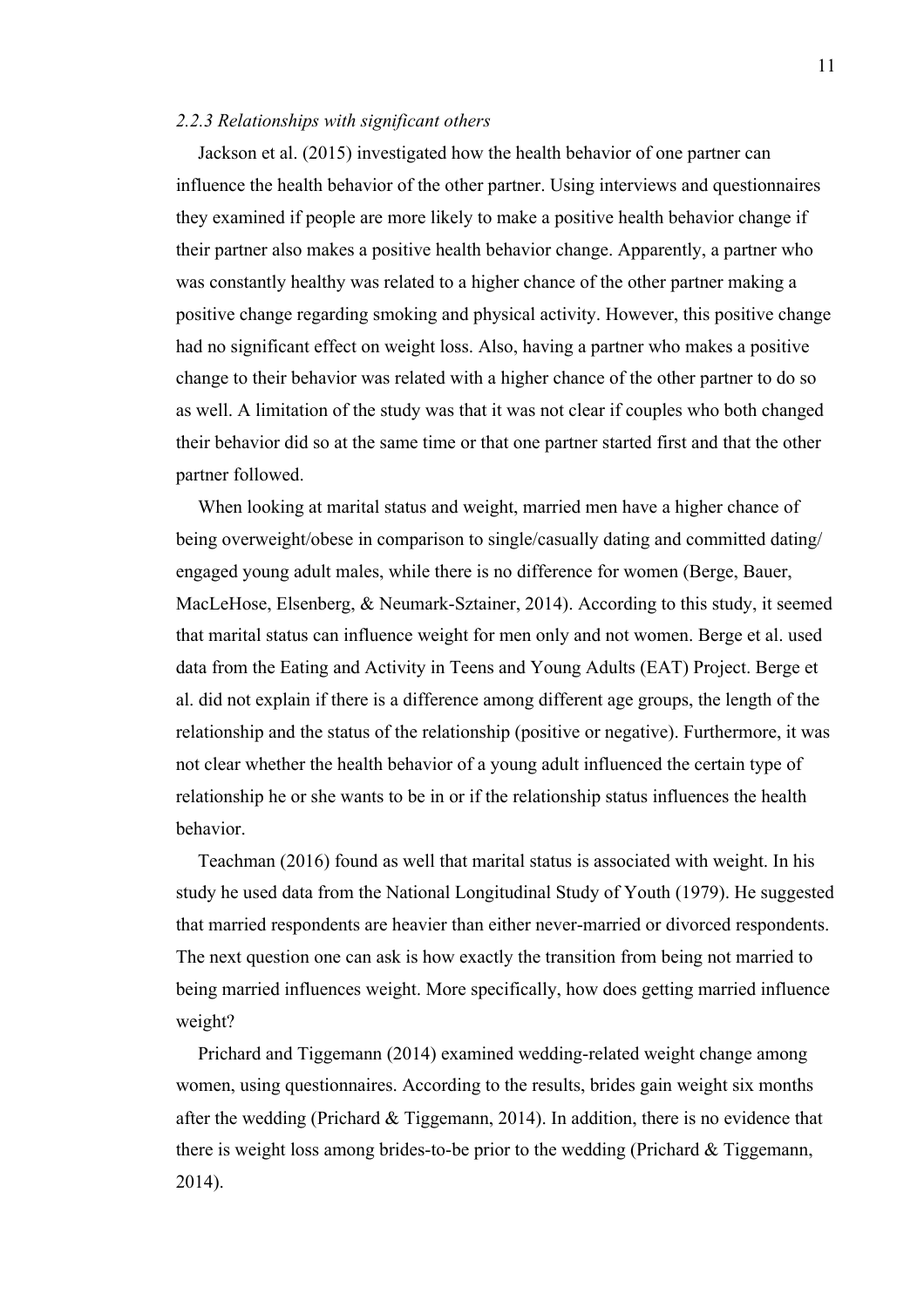#### *2.2.3 Relationships with significant others*

Jackson et al. (2015) investigated how the health behavior of one partner can influence the health behavior of the other partner. Using interviews and questionnaires they examined if people are more likely to make a positive health behavior change if their partner also makes a positive health behavior change. Apparently, a partner who was constantly healthy was related to a higher chance of the other partner making a positive change regarding smoking and physical activity. However, this positive change had no significant effect on weight loss. Also, having a partner who makes a positive change to their behavior was related with a higher chance of the other partner to do so as well. A limitation of the study was that it was not clear if couples who both changed their behavior did so at the same time or that one partner started first and that the other partner followed.

When looking at marital status and weight, married men have a higher chance of being overweight/obese in comparison to single/casually dating and committed dating/ engaged young adult males, while there is no difference for women (Berge, Bauer, MacLeHose, Elsenberg, & Neumark-Sztainer, 2014). According to this study, it seemed that marital status can influence weight for men only and not women. Berge et al. used data from the Eating and Activity in Teens and Young Adults (EAT) Project. Berge et al. did not explain if there is a difference among different age groups, the length of the relationship and the status of the relationship (positive or negative). Furthermore, it was not clear whether the health behavior of a young adult influenced the certain type of relationship he or she wants to be in or if the relationship status influences the health behavior.

Teachman (2016) found as well that marital status is associated with weight. In his study he used data from the National Longitudinal Study of Youth (1979). He suggested that married respondents are heavier than either never-married or divorced respondents. The next question one can ask is how exactly the transition from being not married to being married influences weight. More specifically, how does getting married influence weight?

Prichard and Tiggemann (2014) examined wedding-related weight change among women, using questionnaires. According to the results, brides gain weight six months after the wedding (Prichard & Tiggemann, 2014). In addition, there is no evidence that there is weight loss among brides-to-be prior to the wedding (Prichard & Tiggemann, 2014).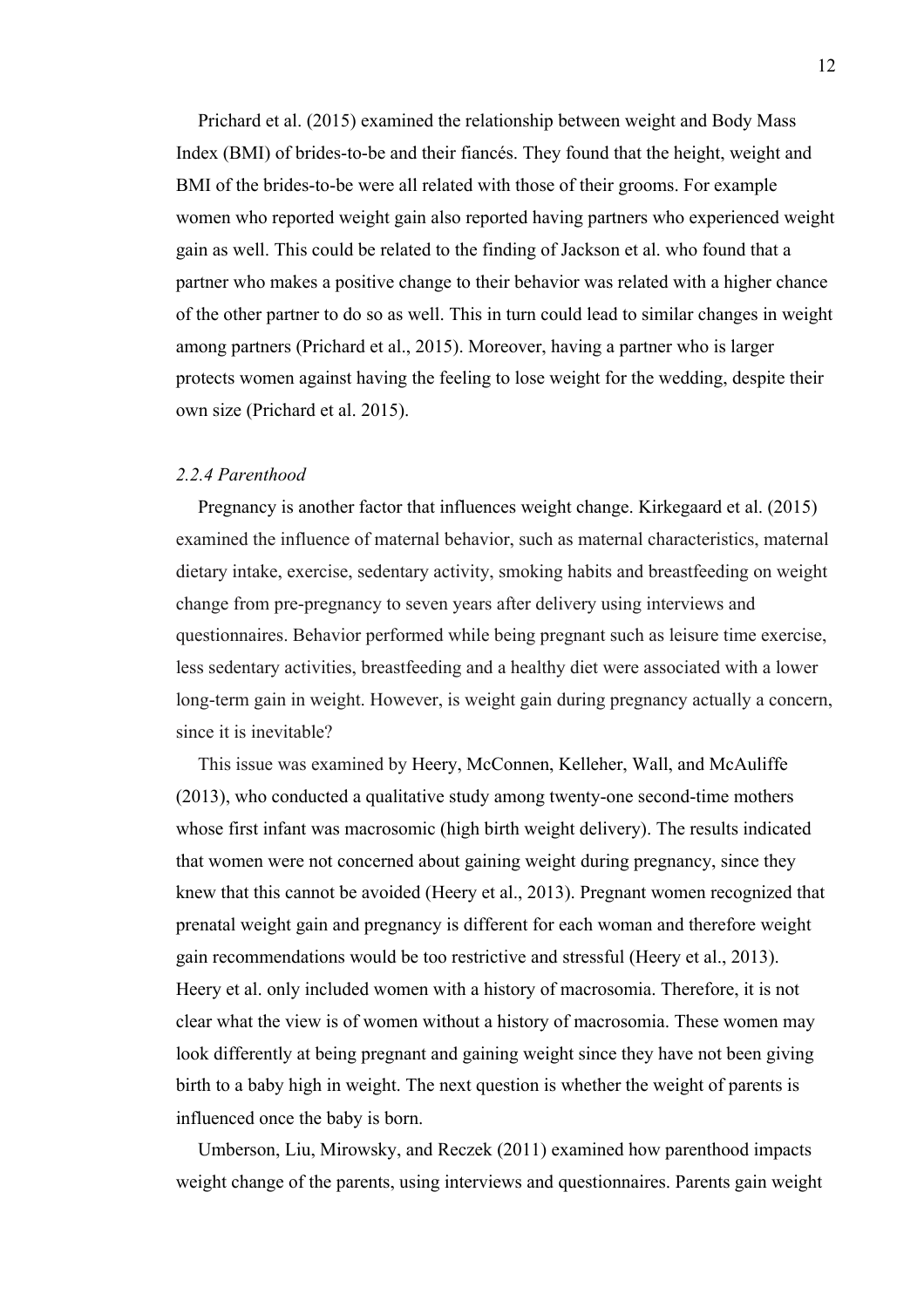Prichard et al. (2015) examined the relationship between weight and Body Mass Index (BMI) of brides-to-be and their fiancés. They found that the height, weight and BMI of the brides-to-be were all related with those of their grooms. For example women who reported weight gain also reported having partners who experienced weight gain as well. This could be related to the finding of Jackson et al. who found that a partner who makes a positive change to their behavior was related with a higher chance of the other partner to do so as well. This in turn could lead to similar changes in weight among partners (Prichard et al., 2015). Moreover, having a partner who is larger protects women against having the feeling to lose weight for the wedding, despite their own size (Prichard et al. 2015).

#### *2.2.4 Parenthood*

Pregnancy is another factor that influences weight change. Kirkegaard et al. (2015) examined the influence of maternal behavior, such as maternal characteristics, maternal dietary intake, exercise, sedentary activity, smoking habits and breastfeeding on weight change from pre-pregnancy to seven years after delivery using interviews and questionnaires. Behavior performed while being pregnant such as leisure time exercise, less sedentary activities, breastfeeding and a healthy diet were associated with a lower long-term gain in weight. However, is weight gain during pregnancy actually a concern, since it is inevitable?

This issue was examined by Heery, McConnen, Kelleher, Wall, and McAuliffe (2013), who conducted a qualitative study among twenty-one second-time mothers whose first infant was macrosomic (high birth weight delivery). The results indicated that women were not concerned about gaining weight during pregnancy, since they knew that this cannot be avoided (Heery et al., 2013). Pregnant women recognized that prenatal weight gain and pregnancy is different for each woman and therefore weight gain recommendations would be too restrictive and stressful (Heery et al., 2013). Heery et al. only included women with a history of macrosomia. Therefore, it is not clear what the view is of women without a history of macrosomia. These women may look differently at being pregnant and gaining weight since they have not been giving birth to a baby high in weight. The next question is whether the weight of parents is influenced once the baby is born.

Umberson, Liu, Mirowsky, and Reczek (2011) examined how parenthood impacts weight change of the parents, using interviews and questionnaires. Parents gain weight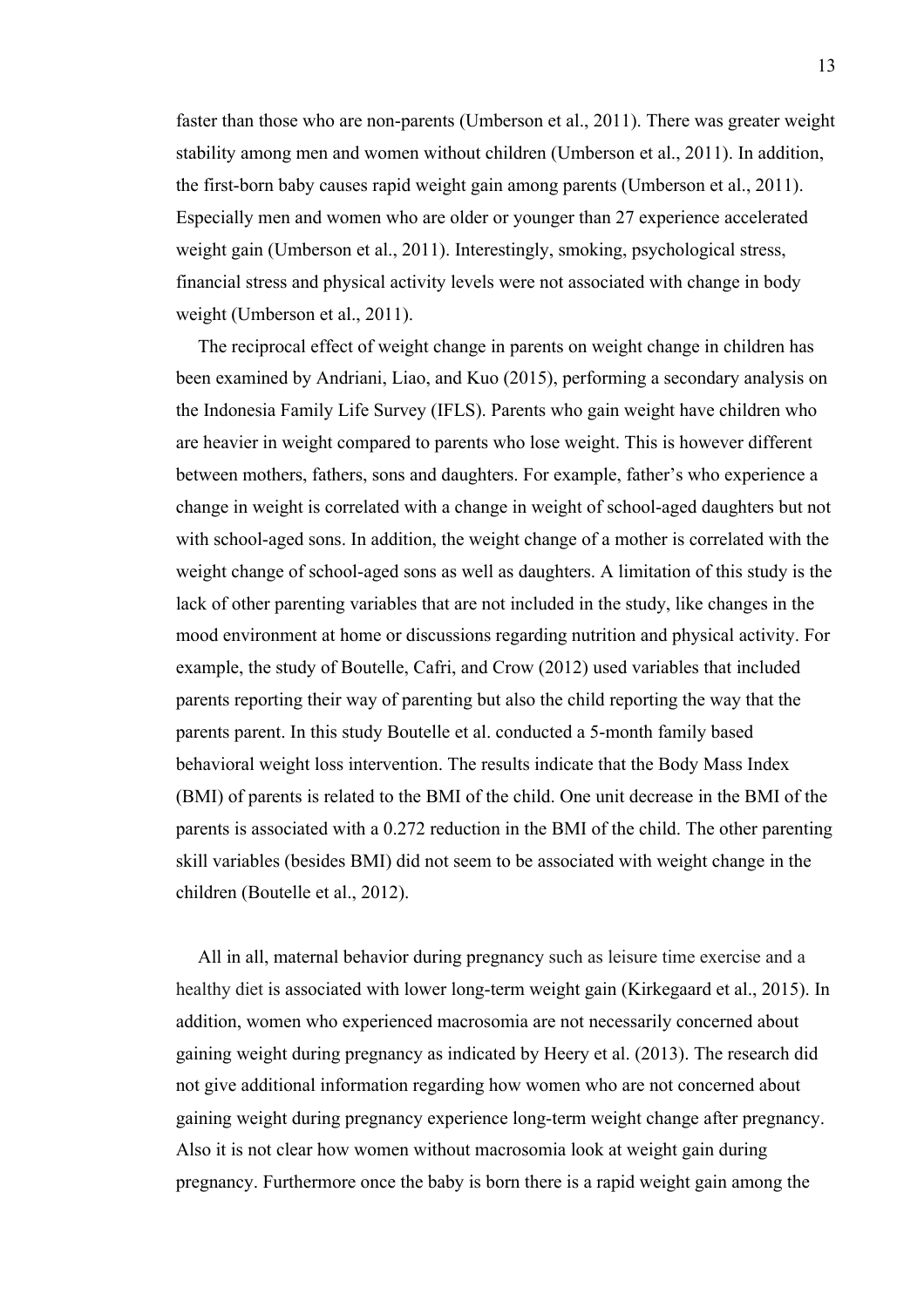faster than those who are non-parents (Umberson et al., 2011). There was greater weight stability among men and women without children (Umberson et al., 2011). In addition, the first-born baby causes rapid weight gain among parents (Umberson et al., 2011). Especially men and women who are older or younger than 27 experience accelerated weight gain (Umberson et al., 2011). Interestingly, smoking, psychological stress, financial stress and physical activity levels were not associated with change in body weight (Umberson et al., 2011).

The reciprocal effect of weight change in parents on weight change in children has been examined by Andriani, Liao, and Kuo (2015), performing a secondary analysis on the Indonesia Family Life Survey (IFLS). Parents who gain weight have children who are heavier in weight compared to parents who lose weight. This is however different between mothers, fathers, sons and daughters. For example, father's who experience a change in weight is correlated with a change in weight of school-aged daughters but not with school-aged sons. In addition, the weight change of a mother is correlated with the weight change of school-aged sons as well as daughters. A limitation of this study is the lack of other parenting variables that are not included in the study, like changes in the mood environment at home or discussions regarding nutrition and physical activity. For example, the study of Boutelle, Cafri, and Crow (2012) used variables that included parents reporting their way of parenting but also the child reporting the way that the parents parent. In this study Boutelle et al. conducted a 5-month family based behavioral weight loss intervention. The results indicate that the Body Mass Index (BMI) of parents is related to the BMI of the child. One unit decrease in the BMI of the parents is associated with a 0.272 reduction in the BMI of the child. The other parenting skill variables (besides BMI) did not seem to be associated with weight change in the children (Boutelle et al., 2012).

All in all, maternal behavior during pregnancy such as leisure time exercise and a healthy diet is associated with lower long-term weight gain (Kirkegaard et al., 2015). In addition, women who experienced macrosomia are not necessarily concerned about gaining weight during pregnancy as indicated by Heery et al. (2013). The research did not give additional information regarding how women who are not concerned about gaining weight during pregnancy experience long-term weight change after pregnancy. Also it is not clear how women without macrosomia look at weight gain during pregnancy. Furthermore once the baby is born there is a rapid weight gain among the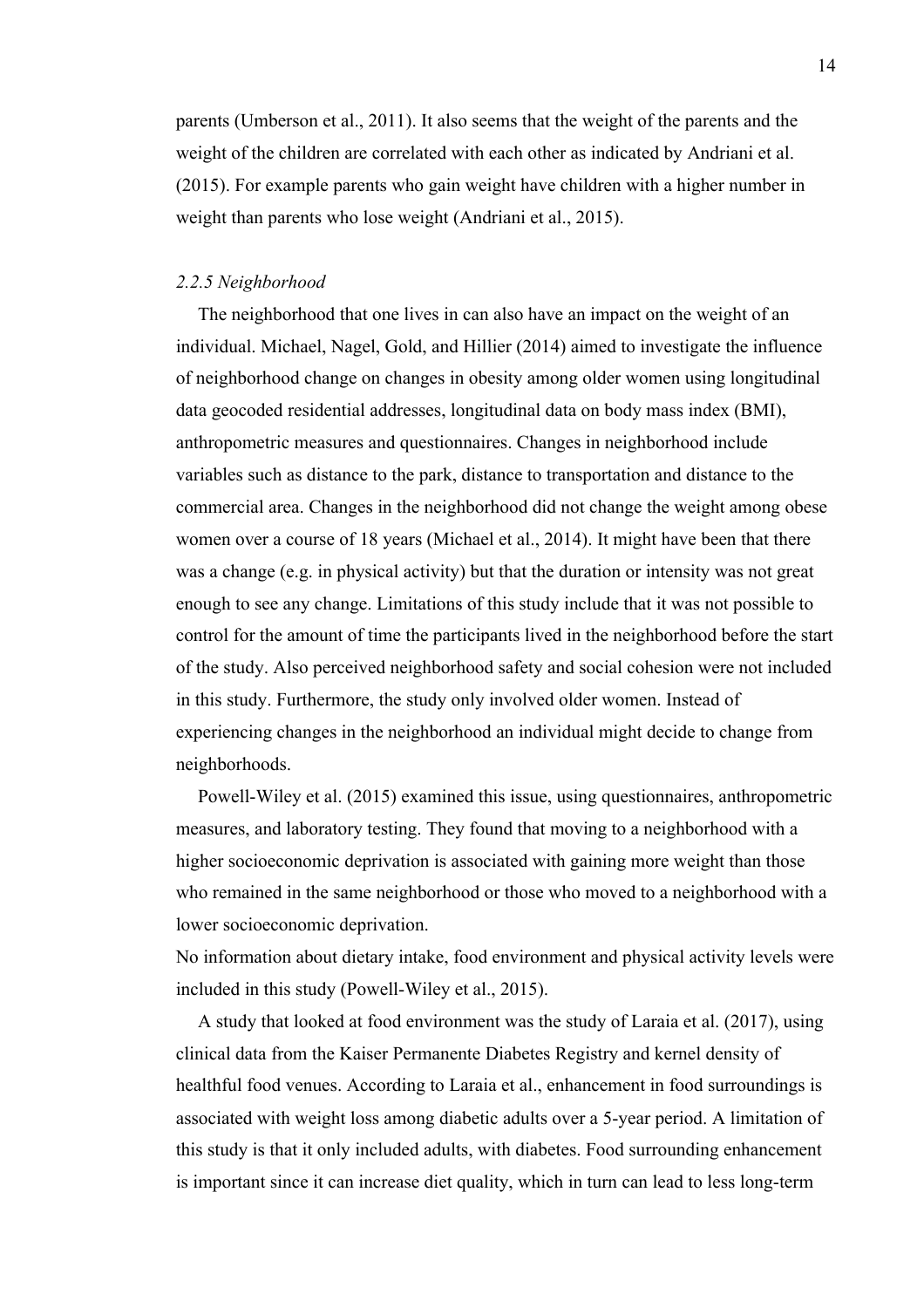parents (Umberson et al., 2011). It also seems that the weight of the parents and the weight of the children are correlated with each other as indicated by Andriani et al. (2015). For example parents who gain weight have children with a higher number in weight than parents who lose weight (Andriani et al., 2015).

## *2.2.5 Neighborhood*

The neighborhood that one lives in can also have an impact on the weight of an individual. Michael, Nagel, Gold, and Hillier (2014) aimed to investigate the influence of neighborhood change on changes in obesity among older women using longitudinal data geocoded residential addresses, longitudinal data on body mass index (BMI), anthropometric measures and questionnaires. Changes in neighborhood include variables such as distance to the park, distance to transportation and distance to the commercial area. Changes in the neighborhood did not change the weight among obese women over a course of 18 years (Michael et al., 2014). It might have been that there was a change (e.g. in physical activity) but that the duration or intensity was not great enough to see any change. Limitations of this study include that it was not possible to control for the amount of time the participants lived in the neighborhood before the start of the study. Also perceived neighborhood safety and social cohesion were not included in this study. Furthermore, the study only involved older women. Instead of experiencing changes in the neighborhood an individual might decide to change from neighborhoods.

Powell-Wiley et al. (2015) examined this issue, using questionnaires, anthropometric measures, and laboratory testing. They found that moving to a neighborhood with a higher socioeconomic deprivation is associated with gaining more weight than those who remained in the same neighborhood or those who moved to a neighborhood with a lower socioeconomic deprivation.

No information about dietary intake, food environment and physical activity levels were included in this study (Powell-Wiley et al., 2015).

A study that looked at food environment was the study of Laraia et al. (2017), using clinical data from the Kaiser Permanente Diabetes Registry and kernel density of healthful food venues. According to Laraia et al., enhancement in food surroundings is associated with weight loss among diabetic adults over a 5-year period. A limitation of this study is that it only included adults, with diabetes. Food surrounding enhancement is important since it can increase diet quality, which in turn can lead to less long-term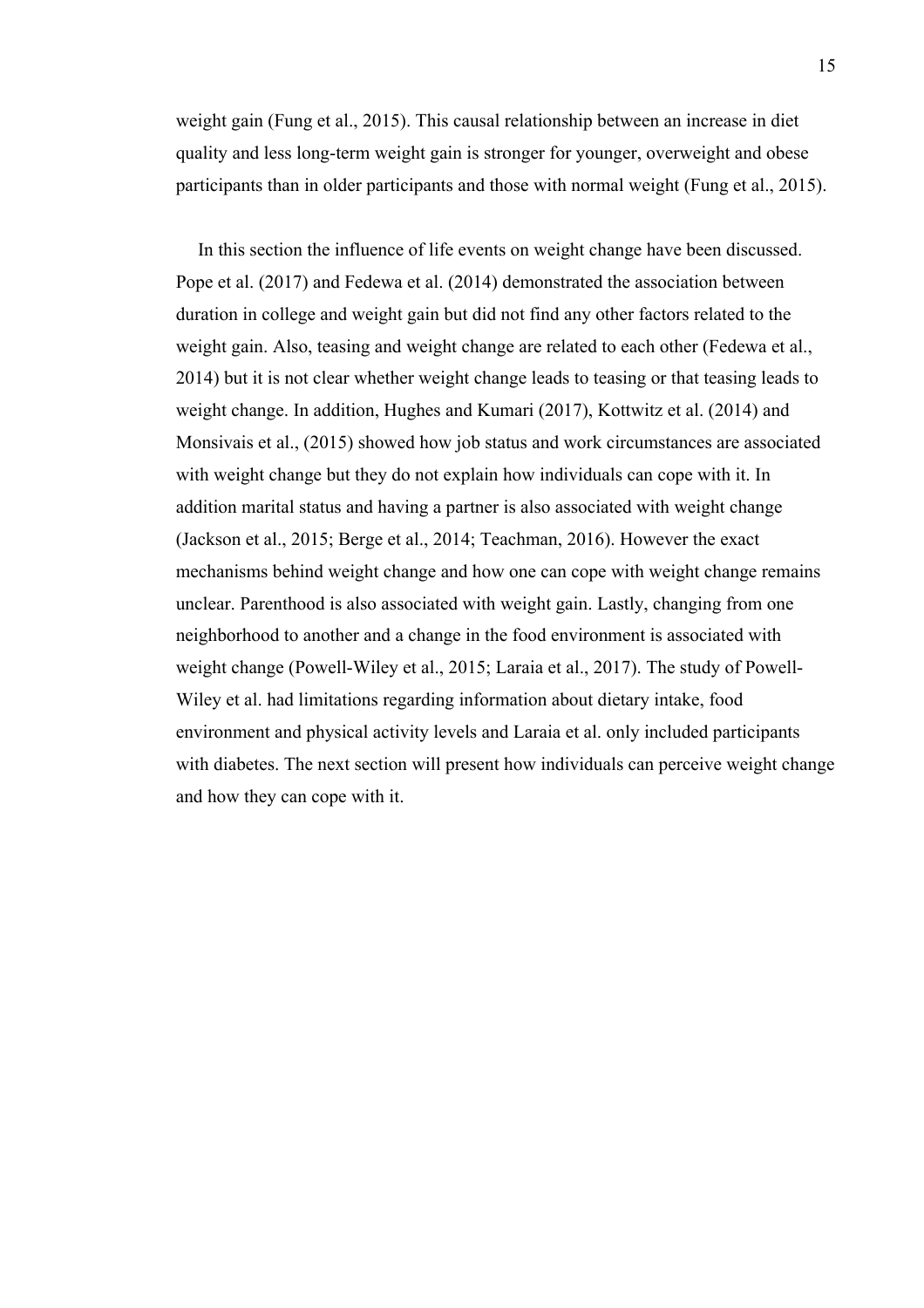weight gain (Fung et al., 2015). This causal relationship between an increase in diet quality and less long-term weight gain is stronger for younger, overweight and obese participants than in older participants and those with normal weight (Fung et al., 2015).

In this section the influence of life events on weight change have been discussed. Pope et al. (2017) and Fedewa et al. (2014) demonstrated the association between duration in college and weight gain but did not find any other factors related to the weight gain. Also, teasing and weight change are related to each other (Fedewa et al., 2014) but it is not clear whether weight change leads to teasing or that teasing leads to weight change. In addition, Hughes and Kumari (2017), Kottwitz et al. (2014) and Monsivais et al., (2015) showed how job status and work circumstances are associated with weight change but they do not explain how individuals can cope with it. In addition marital status and having a partner is also associated with weight change (Jackson et al., 2015; Berge et al., 2014; Teachman, 2016). However the exact mechanisms behind weight change and how one can cope with weight change remains unclear. Parenthood is also associated with weight gain. Lastly, changing from one neighborhood to another and a change in the food environment is associated with weight change (Powell-Wiley et al., 2015; Laraia et al., 2017). The study of Powell-Wiley et al. had limitations regarding information about dietary intake, food environment and physical activity levels and Laraia et al. only included participants with diabetes. The next section will present how individuals can perceive weight change and how they can cope with it.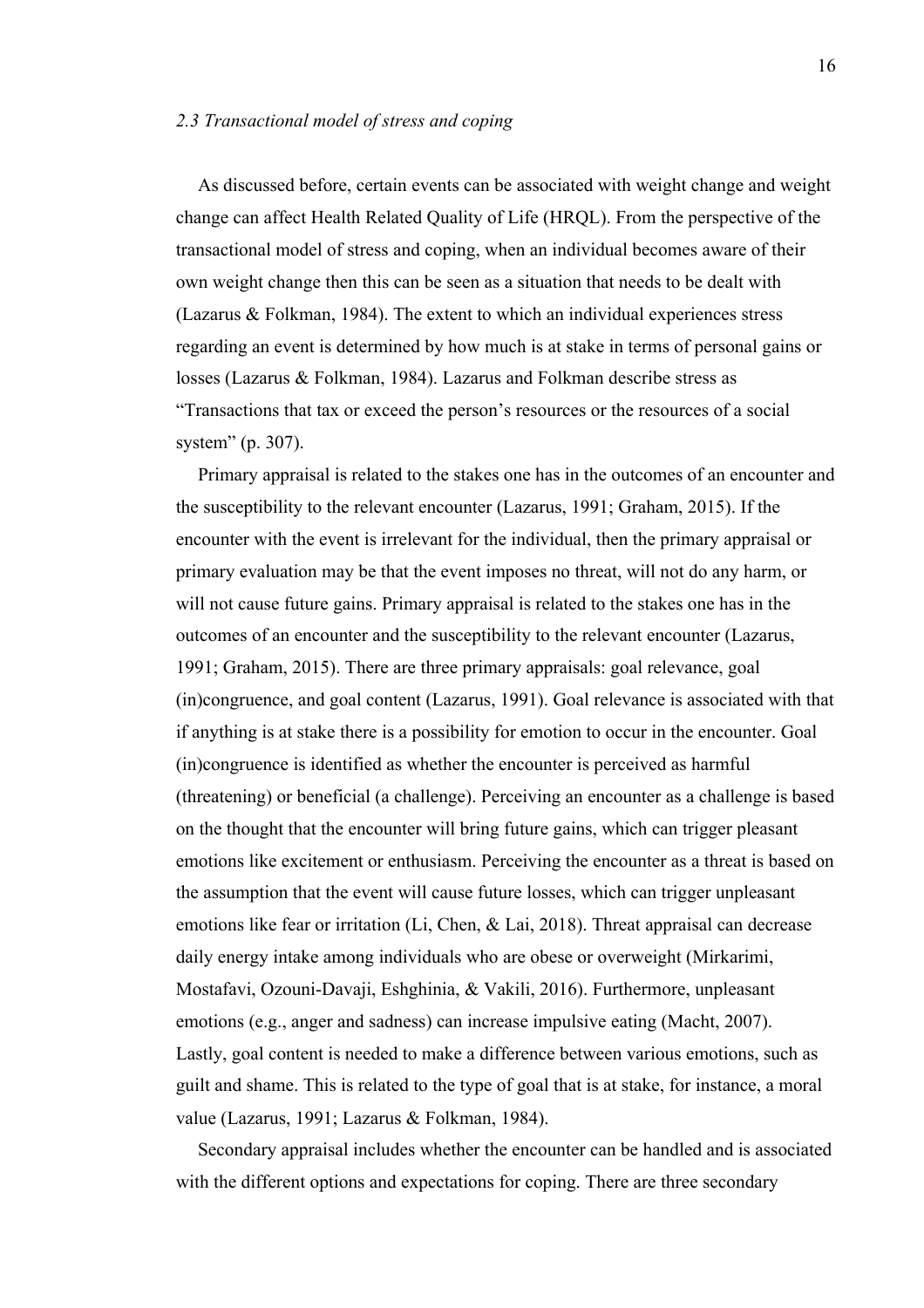### *2.3 Transactional model of stress and coping*

As discussed before, certain events can be associated with weight change and weight change can affect Health Related Quality of Life (HRQL). From the perspective of the transactional model of stress and coping, when an individual becomes aware of their own weight change then this can be seen as a situation that needs to be dealt with (Lazarus & Folkman, 1984). The extent to which an individual experiences stress regarding an event is determined by how much is at stake in terms of personal gains or losses (Lazarus & Folkman, 1984). Lazarus and Folkman describe stress as "Transactions that tax or exceed the person's resources or the resources of a social system" (p. 307).

Primary appraisal is related to the stakes one has in the outcomes of an encounter and the susceptibility to the relevant encounter (Lazarus, 1991; Graham, 2015). If the encounter with the event is irrelevant for the individual, then the primary appraisal or primary evaluation may be that the event imposes no threat, will not do any harm, or will not cause future gains. Primary appraisal is related to the stakes one has in the outcomes of an encounter and the susceptibility to the relevant encounter (Lazarus, 1991; Graham, 2015). There are three primary appraisals: goal relevance, goal (in)congruence, and goal content (Lazarus, 1991). Goal relevance is associated with that if anything is at stake there is a possibility for emotion to occur in the encounter. Goal (in)congruence is identified as whether the encounter is perceived as harmful (threatening) or beneficial (a challenge). Perceiving an encounter as a challenge is based on the thought that the encounter will bring future gains, which can trigger pleasant emotions like excitement or enthusiasm. Perceiving the encounter as a threat is based on the assumption that the event will cause future losses, which can trigger unpleasant emotions like fear or irritation (Li, Chen, & Lai, 2018). Threat appraisal can decrease daily energy intake among individuals who are obese or overweight (Mirkarimi, Mostafavi, Ozouni-Davaji, Eshghinia, & Vakili, 2016). Furthermore, unpleasant emotions (e.g., anger and sadness) can increase impulsive eating (Macht, 2007). Lastly, goal content is needed to make a difference between various emotions, such as guilt and shame. This is related to the type of goal that is at stake, for instance, a moral value (Lazarus, 1991; Lazarus & Folkman, 1984).

Secondary appraisal includes whether the encounter can be handled and is associated with the different options and expectations for coping. There are three secondary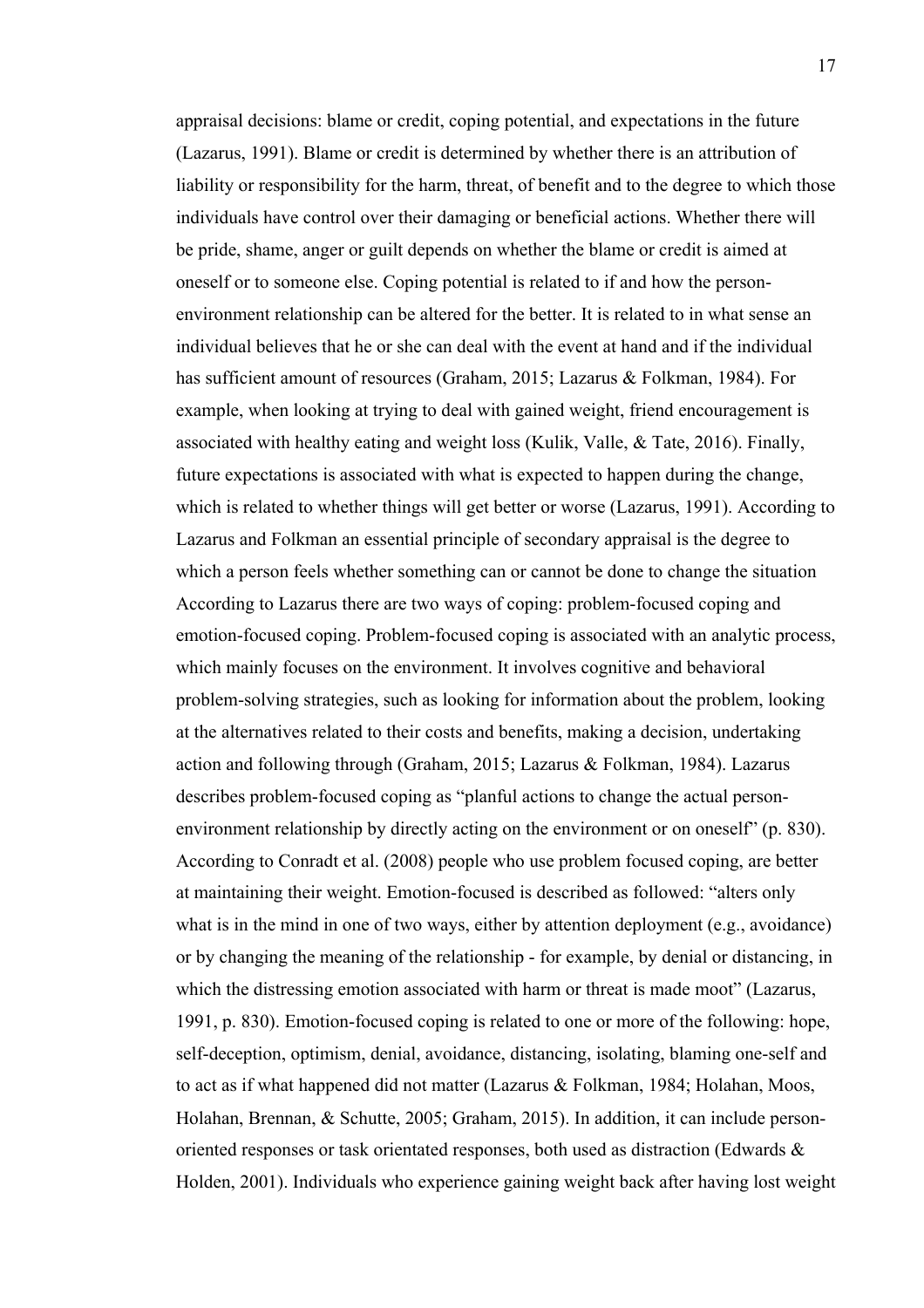appraisal decisions: blame or credit, coping potential, and expectations in the future (Lazarus, 1991). Blame or credit is determined by whether there is an attribution of liability or responsibility for the harm, threat, of benefit and to the degree to which those individuals have control over their damaging or beneficial actions. Whether there will be pride, shame, anger or guilt depends on whether the blame or credit is aimed at oneself or to someone else. Coping potential is related to if and how the personenvironment relationship can be altered for the better. It is related to in what sense an individual believes that he or she can deal with the event at hand and if the individual has sufficient amount of resources (Graham, 2015; Lazarus & Folkman, 1984). For example, when looking at trying to deal with gained weight, friend encouragement is associated with healthy eating and weight loss (Kulik, Valle, & Tate, 2016). Finally, future expectations is associated with what is expected to happen during the change, which is related to whether things will get better or worse (Lazarus, 1991). According to Lazarus and Folkman an essential principle of secondary appraisal is the degree to which a person feels whether something can or cannot be done to change the situation According to Lazarus there are two ways of coping: problem-focused coping and emotion-focused coping. Problem-focused coping is associated with an analytic process, which mainly focuses on the environment. It involves cognitive and behavioral problem-solving strategies, such as looking for information about the problem, looking at the alternatives related to their costs and benefits, making a decision, undertaking action and following through (Graham, 2015; Lazarus & Folkman, 1984). Lazarus describes problem-focused coping as "planful actions to change the actual personenvironment relationship by directly acting on the environment or on oneself" (p. 830). According to Conradt et al. (2008) people who use problem focused coping, are better at maintaining their weight. Emotion-focused is described as followed: "alters only what is in the mind in one of two ways, either by attention deployment (e.g., avoidance) or by changing the meaning of the relationship - for example, by denial or distancing, in which the distressing emotion associated with harm or threat is made moot" (Lazarus, 1991, p. 830). Emotion-focused coping is related to one or more of the following: hope, self-deception, optimism, denial, avoidance, distancing, isolating, blaming one-self and to act as if what happened did not matter (Lazarus & Folkman, 1984; Holahan, Moos, Holahan, Brennan, & Schutte, 2005; Graham, 2015). In addition, it can include personoriented responses or task orientated responses, both used as distraction (Edwards & Holden, 2001). Individuals who experience gaining weight back after having lost weight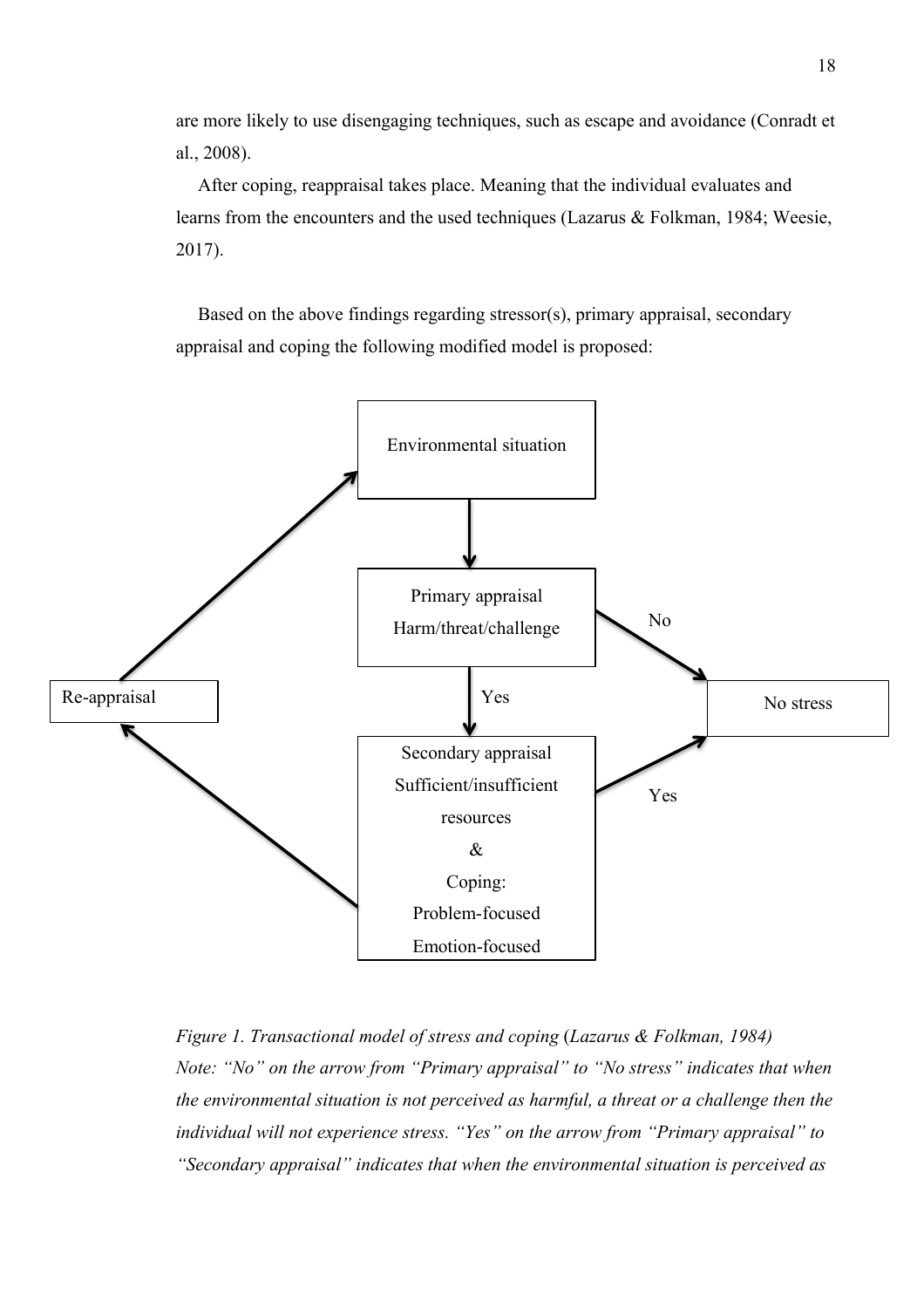are more likely to use disengaging techniques, such as escape and avoidance (Conradt et al., 2008).

After coping, reappraisal takes place. Meaning that the individual evaluates and learns from the encounters and the used techniques (Lazarus & Folkman, 1984; Weesie, 2017).

Based on the above findings regarding stressor(s), primary appraisal, secondary appraisal and coping the following modified model is proposed:



*Figure 1. Transactional model of stress and coping* (*Lazarus & Folkman, 1984) Note: "No" on the arrow from "Primary appraisal" to "No stress" indicates that when the environmental situation is not perceived as harmful, a threat or a challenge then the individual will not experience stress. "Yes" on the arrow from "Primary appraisal" to "Secondary appraisal" indicates that when the environmental situation is perceived as*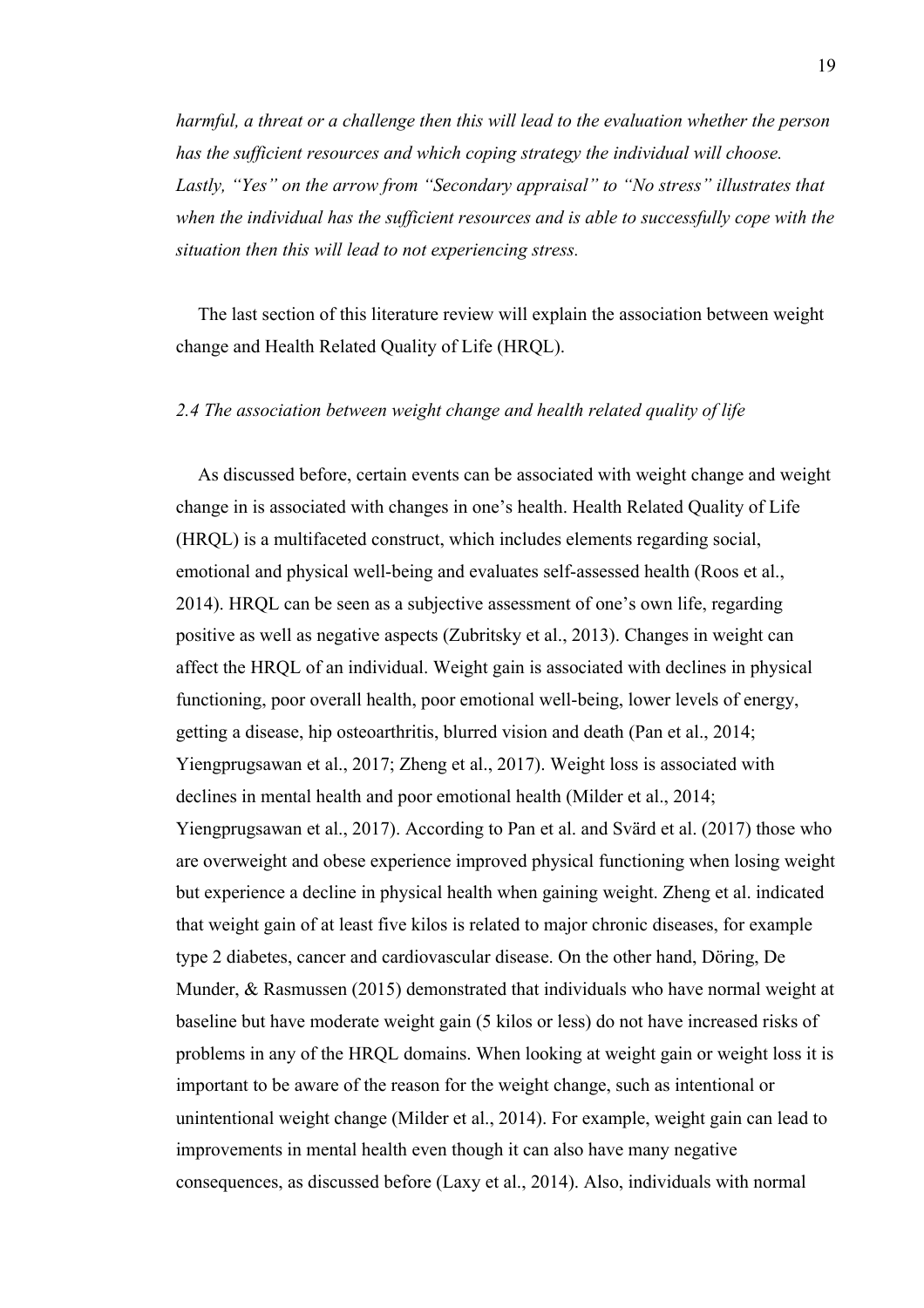*harmful, a threat or a challenge then this will lead to the evaluation whether the person has the sufficient resources and which coping strategy the individual will choose. Lastly, "Yes" on the arrow from "Secondary appraisal" to "No stress" illustrates that when the individual has the sufficient resources and is able to successfully cope with the situation then this will lead to not experiencing stress.*

The last section of this literature review will explain the association between weight change and Health Related Quality of Life (HRQL).

## *2.4 The association between weight change and health related quality of life*

As discussed before, certain events can be associated with weight change and weight change in is associated with changes in one's health. Health Related Quality of Life (HRQL) is a multifaceted construct, which includes elements regarding social, emotional and physical well-being and evaluates self-assessed health (Roos et al., 2014). HRQL can be seen as a subjective assessment of one's own life, regarding positive as well as negative aspects (Zubritsky et al., 2013). Changes in weight can affect the HRQL of an individual. Weight gain is associated with declines in physical functioning, poor overall health, poor emotional well-being, lower levels of energy, getting a disease, hip osteoarthritis, blurred vision and death (Pan et al., 2014; Yiengprugsawan et al., 2017; Zheng et al., 2017). Weight loss is associated with declines in mental health and poor emotional health (Milder et al., 2014; Yiengprugsawan et al., 2017). According to Pan et al. and Svärd et al. (2017) those who are overweight and obese experience improved physical functioning when losing weight but experience a decline in physical health when gaining weight. Zheng et al. indicated that weight gain of at least five kilos is related to major chronic diseases, for example type 2 diabetes, cancer and cardiovascular disease. On the other hand, Döring, De Munder, & Rasmussen (2015) demonstrated that individuals who have normal weight at baseline but have moderate weight gain (5 kilos or less) do not have increased risks of problems in any of the HRQL domains. When looking at weight gain or weight loss it is important to be aware of the reason for the weight change, such as intentional or unintentional weight change (Milder et al., 2014). For example, weight gain can lead to improvements in mental health even though it can also have many negative consequences, as discussed before (Laxy et al., 2014). Also, individuals with normal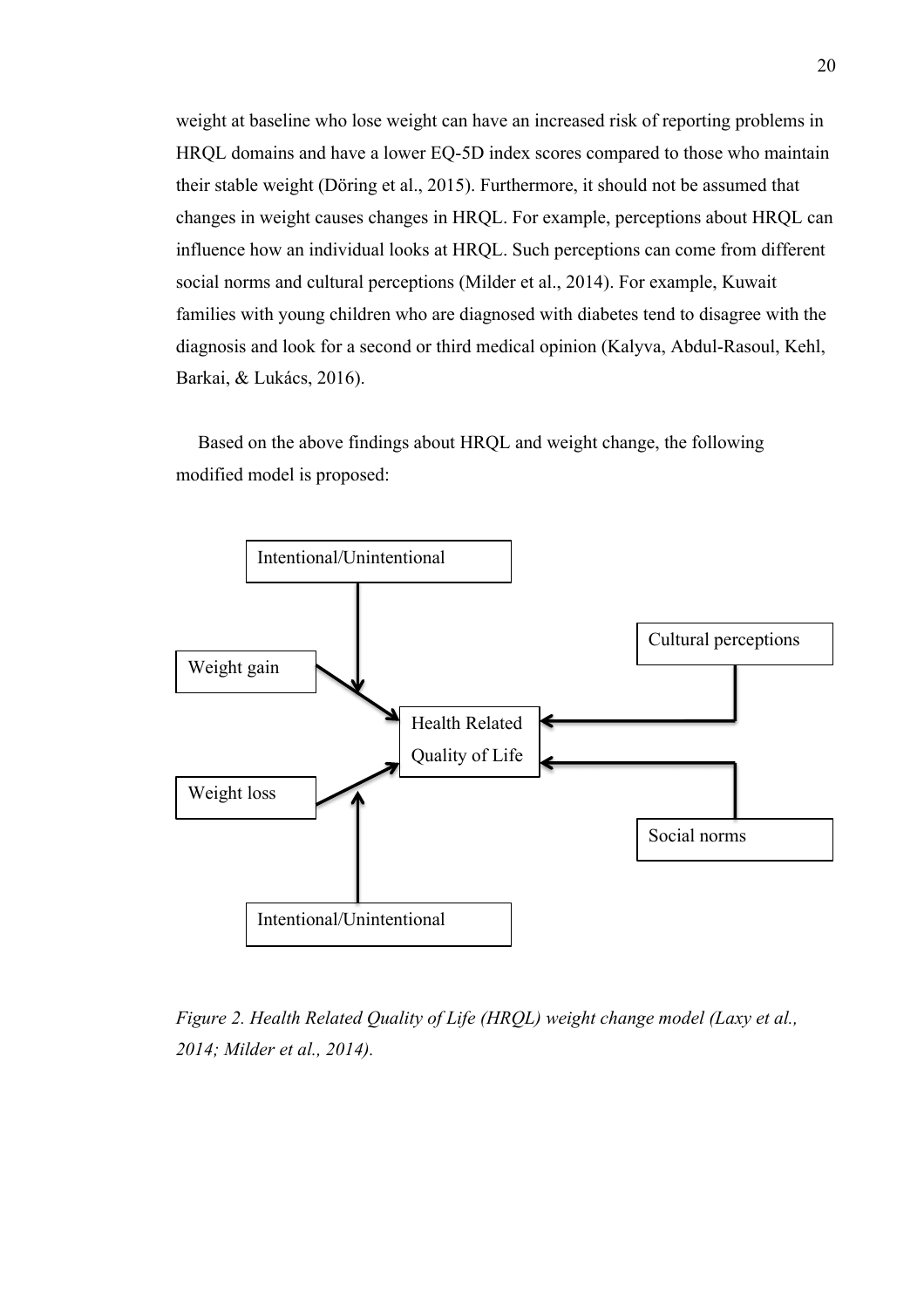weight at baseline who lose weight can have an increased risk of reporting problems in HRQL domains and have a lower EQ-5D index scores compared to those who maintain their stable weight (Döring et al., 2015). Furthermore, it should not be assumed that changes in weight causes changes in HRQL. For example, perceptions about HRQL can influence how an individual looks at HRQL. Such perceptions can come from different social norms and cultural perceptions (Milder et al., 2014). For example, Kuwait families with young children who are diagnosed with diabetes tend to disagree with the diagnosis and look for a second or third medical opinion (Kalyva, Abdul-Rasoul, Kehl, Barkai, & Lukács, 2016).

Based on the above findings about HRQL and weight change, the following modified model is proposed:



*Figure 2. Health Related Quality of Life (HRQL) weight change model (Laxy et al., 2014; Milder et al., 2014).*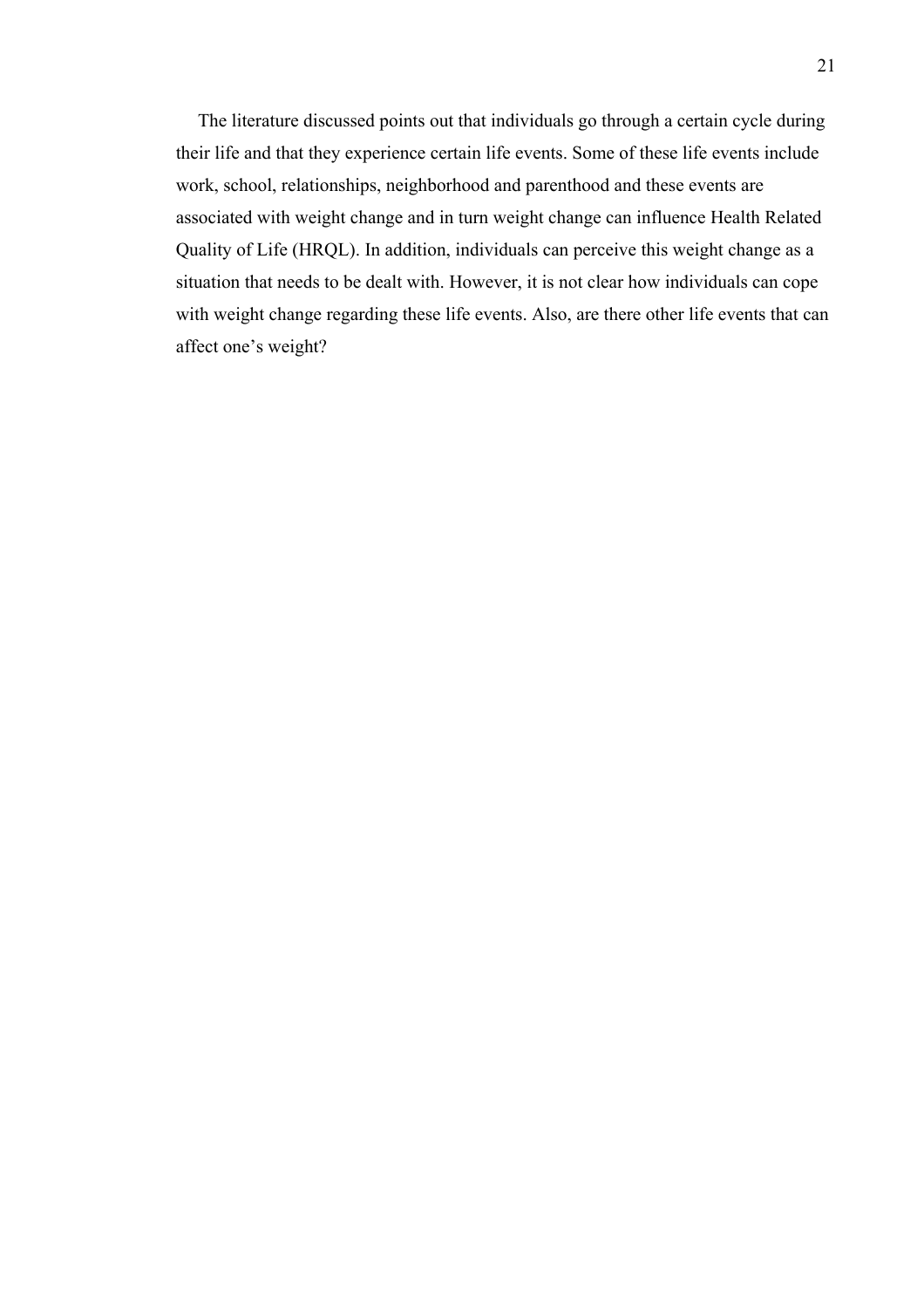The literature discussed points out that individuals go through a certain cycle during their life and that they experience certain life events. Some of these life events include work, school, relationships, neighborhood and parenthood and these events are associated with weight change and in turn weight change can influence Health Related Quality of Life (HRQL). In addition, individuals can perceive this weight change as a situation that needs to be dealt with. However, it is not clear how individuals can cope with weight change regarding these life events. Also, are there other life events that can affect one's weight?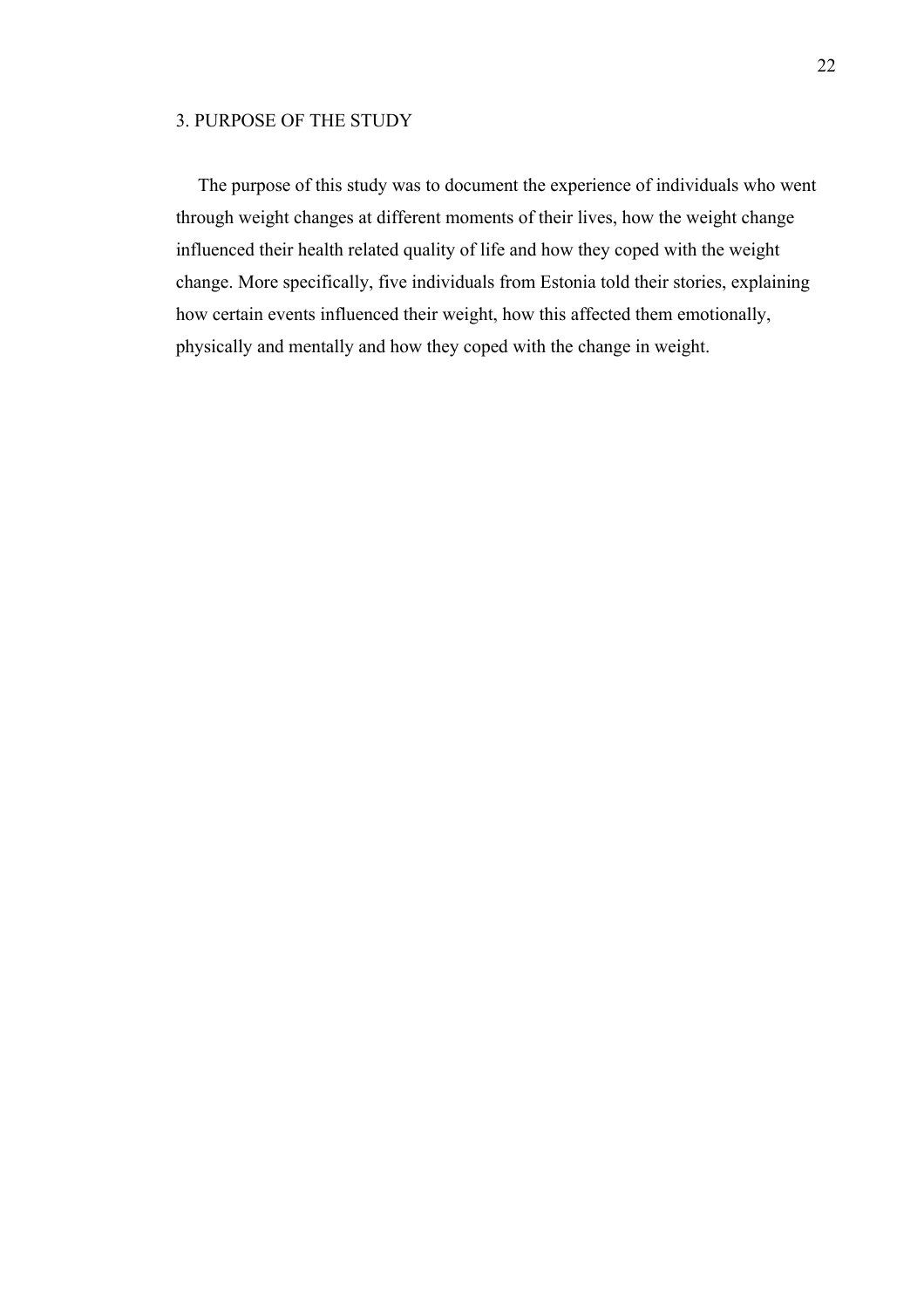## 3. PURPOSE OF THE STUDY

The purpose of this study was to document the experience of individuals who went through weight changes at different moments of their lives, how the weight change influenced their health related quality of life and how they coped with the weight change. More specifically, five individuals from Estonia told their stories, explaining how certain events influenced their weight, how this affected them emotionally, physically and mentally and how they coped with the change in weight.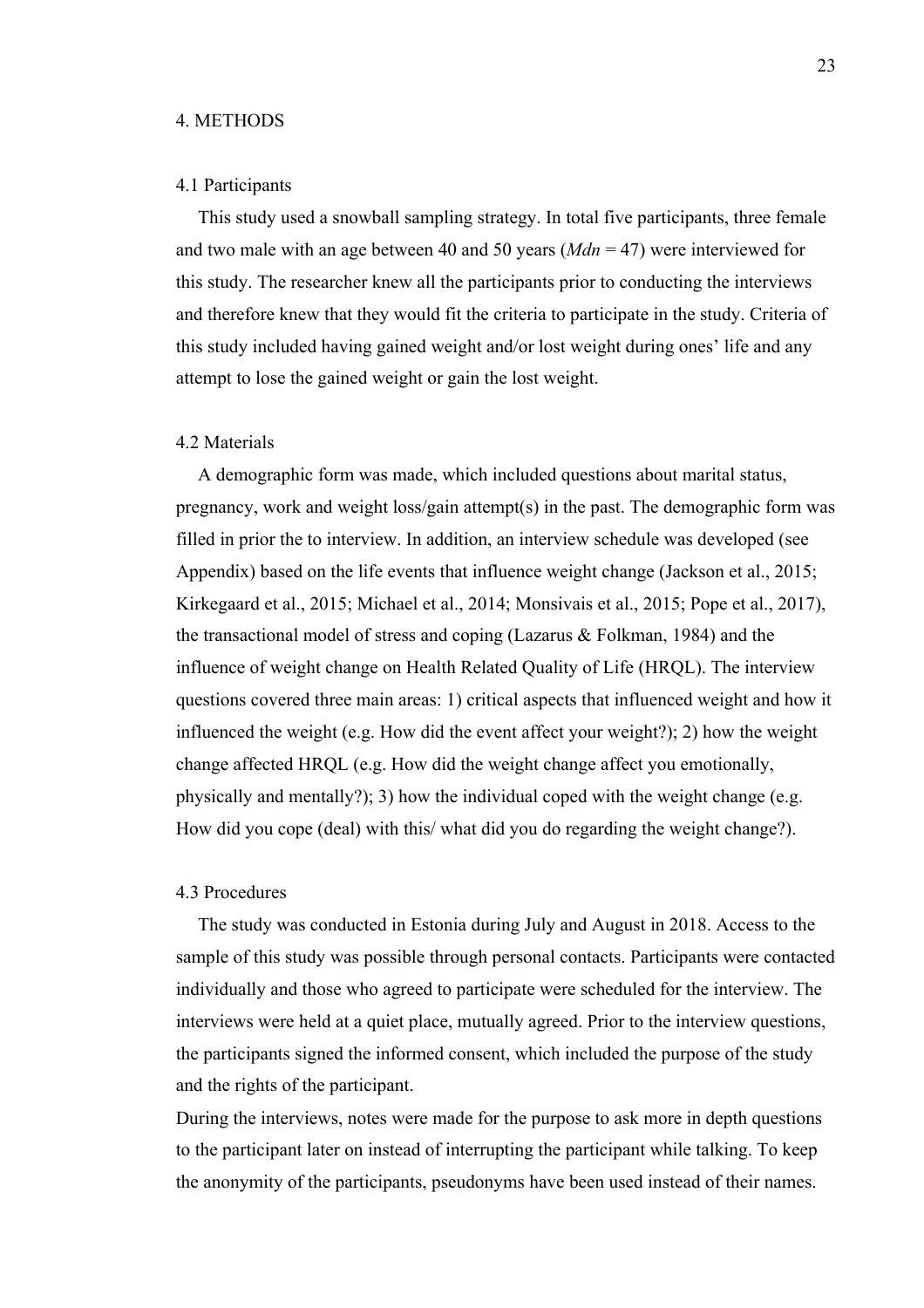#### 4. METHODS

## 4.1 Participants

This study used a snowball sampling strategy. In total five participants, three female and two male with an age between 40 and 50 years (*Mdn* = 47) were interviewed for this study. The researcher knew all the participants prior to conducting the interviews and therefore knew that they would fit the criteria to participate in the study. Criteria of this study included having gained weight and/or lost weight during ones' life and any attempt to lose the gained weight or gain the lost weight.

## 4.2 Materials

A demographic form was made, which included questions about marital status, pregnancy, work and weight loss/gain attempt(s) in the past. The demographic form was filled in prior the to interview. In addition, an interview schedule was developed (see Appendix) based on the life events that influence weight change (Jackson et al., 2015; Kirkegaard et al., 2015; Michael et al., 2014; Monsivais et al., 2015; Pope et al., 2017), the transactional model of stress and coping (Lazarus & Folkman, 1984) and the influence of weight change on Health Related Quality of Life (HRQL). The interview questions covered three main areas: 1) critical aspects that influenced weight and how it influenced the weight (e.g. How did the event affect your weight?); 2) how the weight change affected HRQL (e.g. How did the weight change affect you emotionally, physically and mentally?); 3) how the individual coped with the weight change (e.g. How did you cope (deal) with this/ what did you do regarding the weight change?).

## 4.3 Procedures

The study was conducted in Estonia during July and August in 2018. Access to the sample of this study was possible through personal contacts. Participants were contacted individually and those who agreed to participate were scheduled for the interview. The interviews were held at a quiet place, mutually agreed. Prior to the interview questions, the participants signed the informed consent, which included the purpose of the study and the rights of the participant.

During the interviews, notes were made for the purpose to ask more in depth questions to the participant later on instead of interrupting the participant while talking. To keep the anonymity of the participants, pseudonyms have been used instead of their names.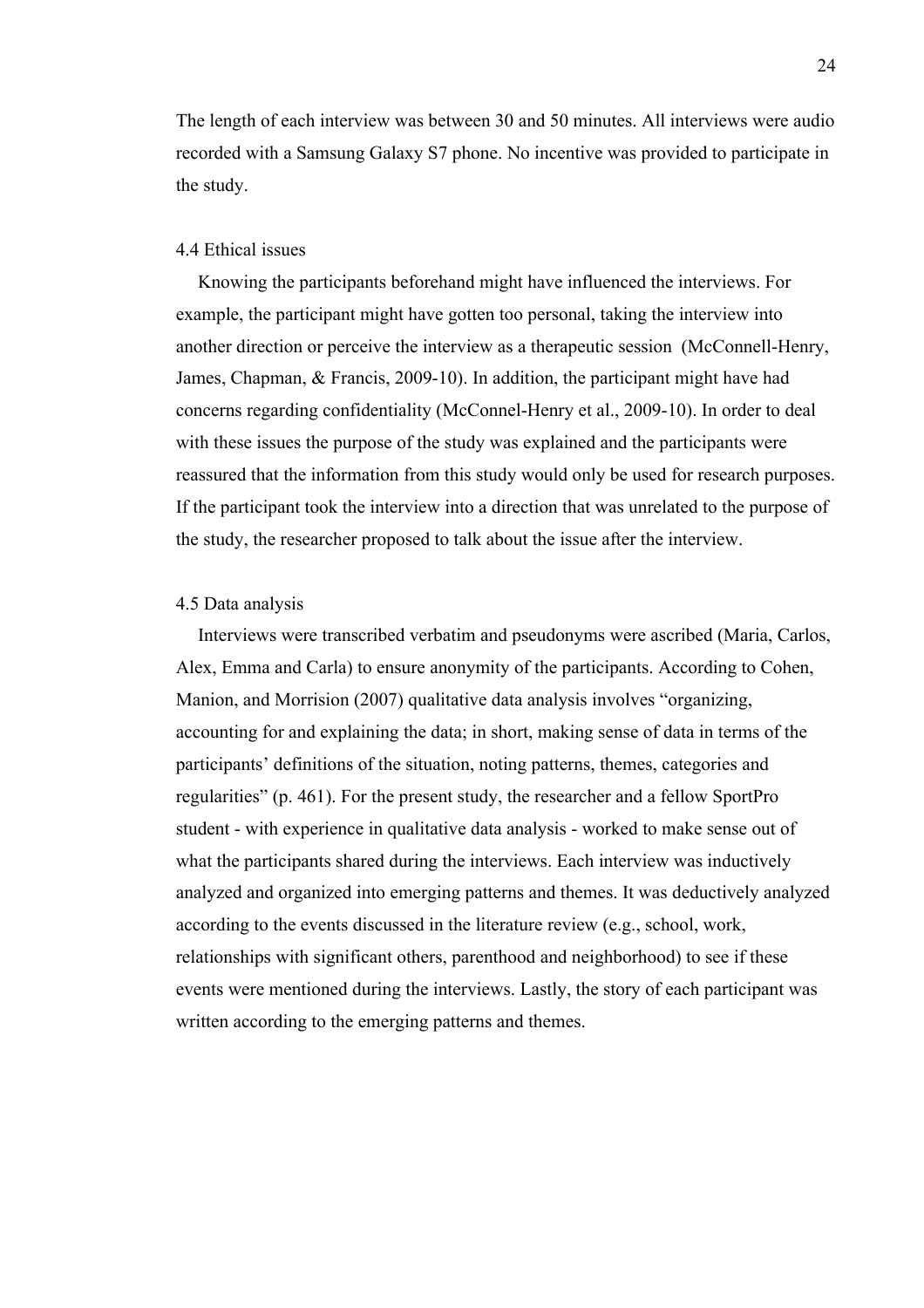The length of each interview was between 30 and 50 minutes. All interviews were audio recorded with a Samsung Galaxy S7 phone. No incentive was provided to participate in the study.

## 4.4 Ethical issues

Knowing the participants beforehand might have influenced the interviews. For example, the participant might have gotten too personal, taking the interview into another direction or perceive the interview as a therapeutic session (McConnell-Henry, James, Chapman, & Francis, 2009-10). In addition, the participant might have had concerns regarding confidentiality (McConnel-Henry et al., 2009-10). In order to deal with these issues the purpose of the study was explained and the participants were reassured that the information from this study would only be used for research purposes. If the participant took the interview into a direction that was unrelated to the purpose of the study, the researcher proposed to talk about the issue after the interview.

## 4.5 Data analysis

Interviews were transcribed verbatim and pseudonyms were ascribed (Maria, Carlos, Alex, Emma and Carla) to ensure anonymity of the participants. According to Cohen, Manion, and Morrision (2007) qualitative data analysis involves "organizing, accounting for and explaining the data; in short, making sense of data in terms of the participants' definitions of the situation, noting patterns, themes, categories and regularities" (p. 461). For the present study, the researcher and a fellow SportPro student - with experience in qualitative data analysis - worked to make sense out of what the participants shared during the interviews. Each interview was inductively analyzed and organized into emerging patterns and themes. It was deductively analyzed according to the events discussed in the literature review (e.g., school, work, relationships with significant others, parenthood and neighborhood) to see if these events were mentioned during the interviews. Lastly, the story of each participant was written according to the emerging patterns and themes.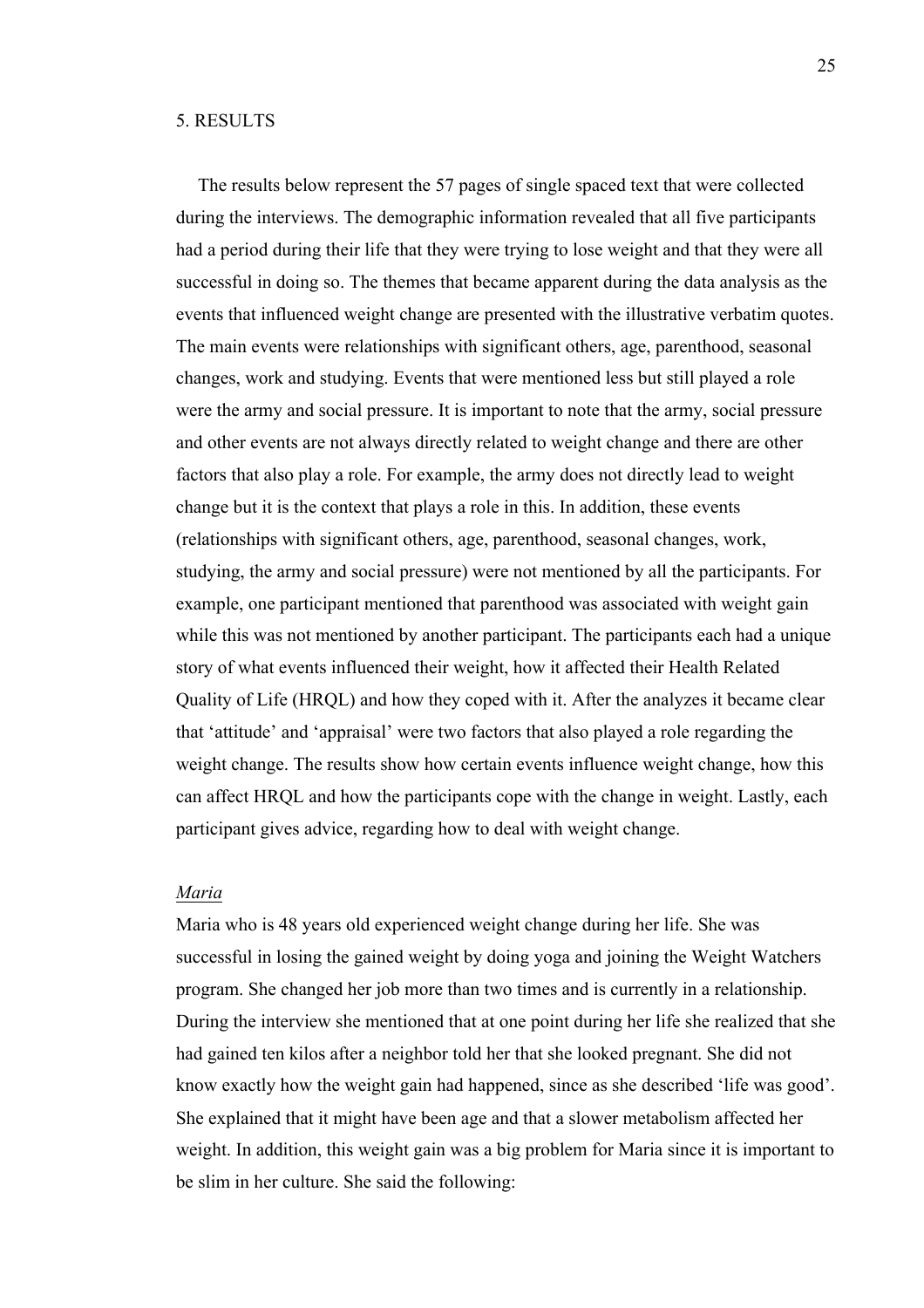## 5. RESULTS

The results below represent the 57 pages of single spaced text that were collected during the interviews. The demographic information revealed that all five participants had a period during their life that they were trying to lose weight and that they were all successful in doing so. The themes that became apparent during the data analysis as the events that influenced weight change are presented with the illustrative verbatim quotes. The main events were relationships with significant others, age, parenthood, seasonal changes, work and studying. Events that were mentioned less but still played a role were the army and social pressure. It is important to note that the army, social pressure and other events are not always directly related to weight change and there are other factors that also play a role. For example, the army does not directly lead to weight change but it is the context that plays a role in this. In addition, these events (relationships with significant others, age, parenthood, seasonal changes, work, studying, the army and social pressure) were not mentioned by all the participants. For example, one participant mentioned that parenthood was associated with weight gain while this was not mentioned by another participant. The participants each had a unique story of what events influenced their weight, how it affected their Health Related Quality of Life (HRQL) and how they coped with it. After the analyzes it became clear that 'attitude' and 'appraisal' were two factors that also played a role regarding the weight change. The results show how certain events influence weight change, how this can affect HRQL and how the participants cope with the change in weight. Lastly, each participant gives advice, regarding how to deal with weight change.

## *Maria*

Maria who is 48 years old experienced weight change during her life. She was successful in losing the gained weight by doing yoga and joining the Weight Watchers program. She changed her job more than two times and is currently in a relationship. During the interview she mentioned that at one point during her life she realized that she had gained ten kilos after a neighbor told her that she looked pregnant. She did not know exactly how the weight gain had happened, since as she described 'life was good'. She explained that it might have been age and that a slower metabolism affected her weight. In addition, this weight gain was a big problem for Maria since it is important to be slim in her culture. She said the following: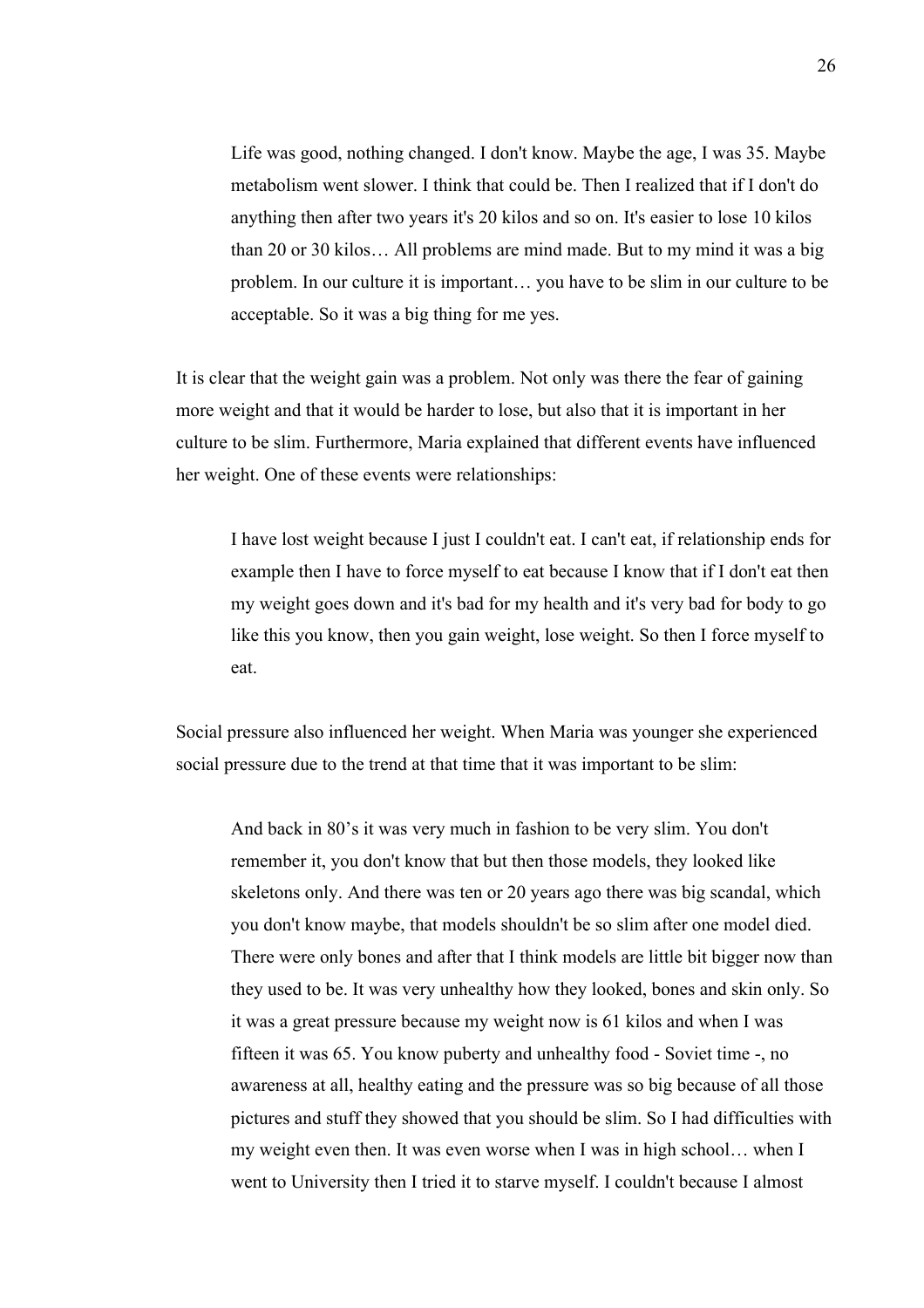Life was good, nothing changed. I don't know. Maybe the age, I was 35. Maybe metabolism went slower. I think that could be. Then I realized that if I don't do anything then after two years it's 20 kilos and so on. It's easier to lose 10 kilos than 20 or 30 kilos… All problems are mind made. But to my mind it was a big problem. In our culture it is important… you have to be slim in our culture to be acceptable. So it was a big thing for me yes.

It is clear that the weight gain was a problem. Not only was there the fear of gaining more weight and that it would be harder to lose, but also that it is important in her culture to be slim. Furthermore, Maria explained that different events have influenced her weight. One of these events were relationships:

I have lost weight because I just I couldn't eat. I can't eat, if relationship ends for example then I have to force myself to eat because I know that if I don't eat then my weight goes down and it's bad for my health and it's very bad for body to go like this you know, then you gain weight, lose weight. So then I force myself to eat.

Social pressure also influenced her weight. When Maria was younger she experienced social pressure due to the trend at that time that it was important to be slim:

And back in 80's it was very much in fashion to be very slim. You don't remember it, you don't know that but then those models, they looked like skeletons only. And there was ten or 20 years ago there was big scandal, which you don't know maybe, that models shouldn't be so slim after one model died. There were only bones and after that I think models are little bit bigger now than they used to be. It was very unhealthy how they looked, bones and skin only. So it was a great pressure because my weight now is 61 kilos and when I was fifteen it was 65. You know puberty and unhealthy food - Soviet time -, no awareness at all, healthy eating and the pressure was so big because of all those pictures and stuff they showed that you should be slim. So I had difficulties with my weight even then. It was even worse when I was in high school… when I went to University then I tried it to starve myself. I couldn't because I almost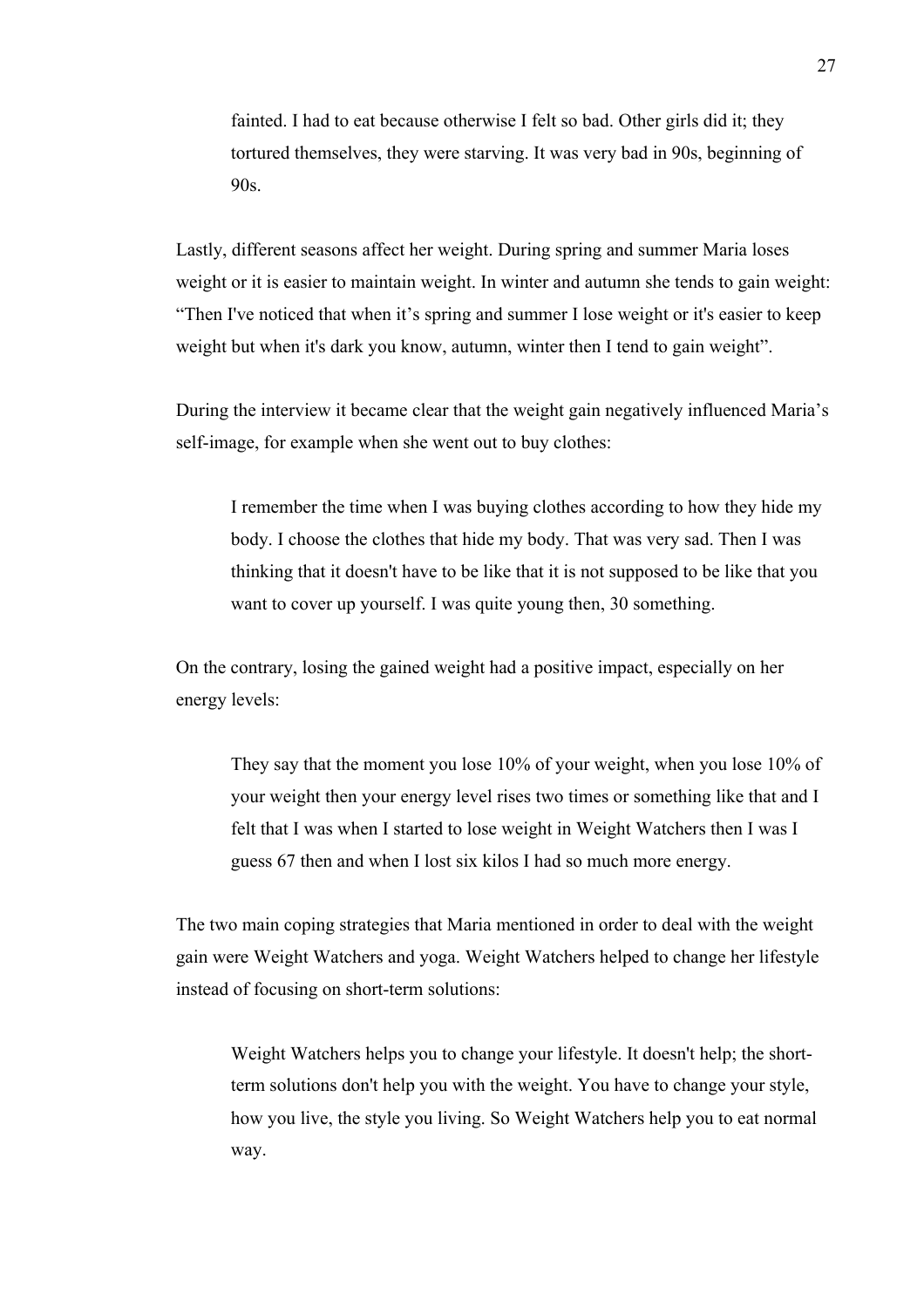fainted. I had to eat because otherwise I felt so bad. Other girls did it; they tortured themselves, they were starving. It was very bad in 90s, beginning of 90s.

Lastly, different seasons affect her weight. During spring and summer Maria loses weight or it is easier to maintain weight. In winter and autumn she tends to gain weight: "Then I've noticed that when it's spring and summer I lose weight or it's easier to keep weight but when it's dark you know, autumn, winter then I tend to gain weight".

During the interview it became clear that the weight gain negatively influenced Maria's self-image, for example when she went out to buy clothes:

I remember the time when I was buying clothes according to how they hide my body. I choose the clothes that hide my body. That was very sad. Then I was thinking that it doesn't have to be like that it is not supposed to be like that you want to cover up yourself. I was quite young then, 30 something.

On the contrary, losing the gained weight had a positive impact, especially on her energy levels:

They say that the moment you lose 10% of your weight, when you lose 10% of your weight then your energy level rises two times or something like that and I felt that I was when I started to lose weight in Weight Watchers then I was I guess 67 then and when I lost six kilos I had so much more energy.

The two main coping strategies that Maria mentioned in order to deal with the weight gain were Weight Watchers and yoga. Weight Watchers helped to change her lifestyle instead of focusing on short-term solutions:

Weight Watchers helps you to change your lifestyle. It doesn't help; the shortterm solutions don't help you with the weight. You have to change your style, how you live, the style you living. So Weight Watchers help you to eat normal way.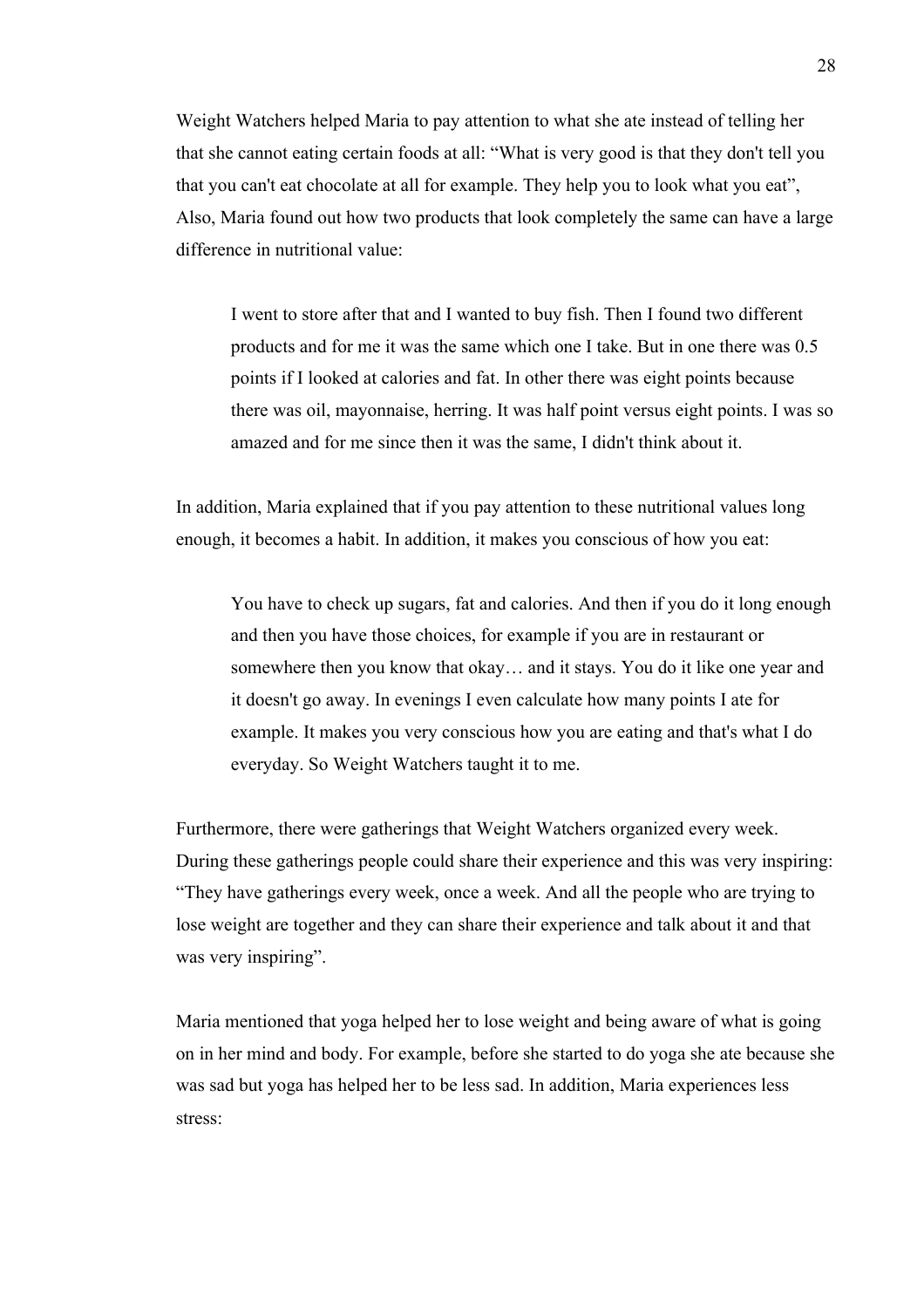Weight Watchers helped Maria to pay attention to what she ate instead of telling her that she cannot eating certain foods at all: "What is very good is that they don't tell you that you can't eat chocolate at all for example. They help you to look what you eat", Also, Maria found out how two products that look completely the same can have a large difference in nutritional value:

I went to store after that and I wanted to buy fish. Then I found two different products and for me it was the same which one I take. But in one there was 0.5 points if I looked at calories and fat. In other there was eight points because there was oil, mayonnaise, herring. It was half point versus eight points. I was so amazed and for me since then it was the same, I didn't think about it.

In addition, Maria explained that if you pay attention to these nutritional values long enough, it becomes a habit. In addition, it makes you conscious of how you eat:

You have to check up sugars, fat and calories. And then if you do it long enough and then you have those choices, for example if you are in restaurant or somewhere then you know that okay… and it stays. You do it like one year and it doesn't go away. In evenings I even calculate how many points I ate for example. It makes you very conscious how you are eating and that's what I do everyday. So Weight Watchers taught it to me.

Furthermore, there were gatherings that Weight Watchers organized every week. During these gatherings people could share their experience and this was very inspiring: "They have gatherings every week, once a week. And all the people who are trying to lose weight are together and they can share their experience and talk about it and that was very inspiring".

Maria mentioned that yoga helped her to lose weight and being aware of what is going on in her mind and body. For example, before she started to do yoga she ate because she was sad but yoga has helped her to be less sad. In addition, Maria experiences less stress: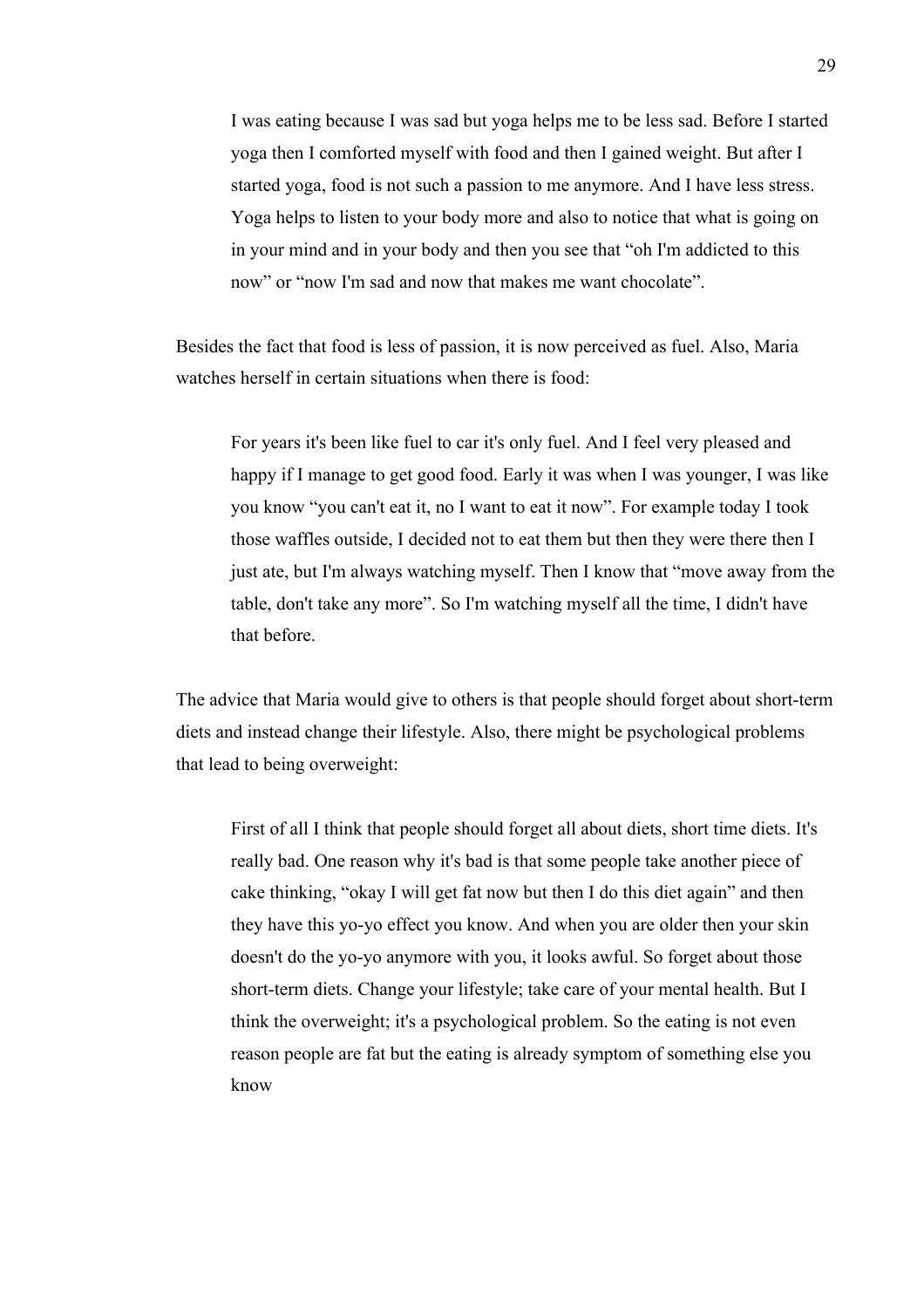I was eating because I was sad but yoga helps me to be less sad. Before I started yoga then I comforted myself with food and then I gained weight. But after I started yoga, food is not such a passion to me anymore. And I have less stress. Yoga helps to listen to your body more and also to notice that what is going on in your mind and in your body and then you see that "oh I'm addicted to this now" or "now I'm sad and now that makes me want chocolate".

Besides the fact that food is less of passion, it is now perceived as fuel. Also, Maria watches herself in certain situations when there is food:

For years it's been like fuel to car it's only fuel. And I feel very pleased and happy if I manage to get good food. Early it was when I was younger, I was like you know "you can't eat it, no I want to eat it now". For example today I took those waffles outside, I decided not to eat them but then they were there then I just ate, but I'm always watching myself. Then I know that "move away from the table, don't take any more". So I'm watching myself all the time, I didn't have that before.

The advice that Maria would give to others is that people should forget about short-term diets and instead change their lifestyle. Also, there might be psychological problems that lead to being overweight:

First of all I think that people should forget all about diets, short time diets. It's really bad. One reason why it's bad is that some people take another piece of cake thinking, "okay I will get fat now but then I do this diet again" and then they have this yo-yo effect you know. And when you are older then your skin doesn't do the yo-yo anymore with you, it looks awful. So forget about those short-term diets. Change your lifestyle; take care of your mental health. But I think the overweight; it's a psychological problem. So the eating is not even reason people are fat but the eating is already symptom of something else you know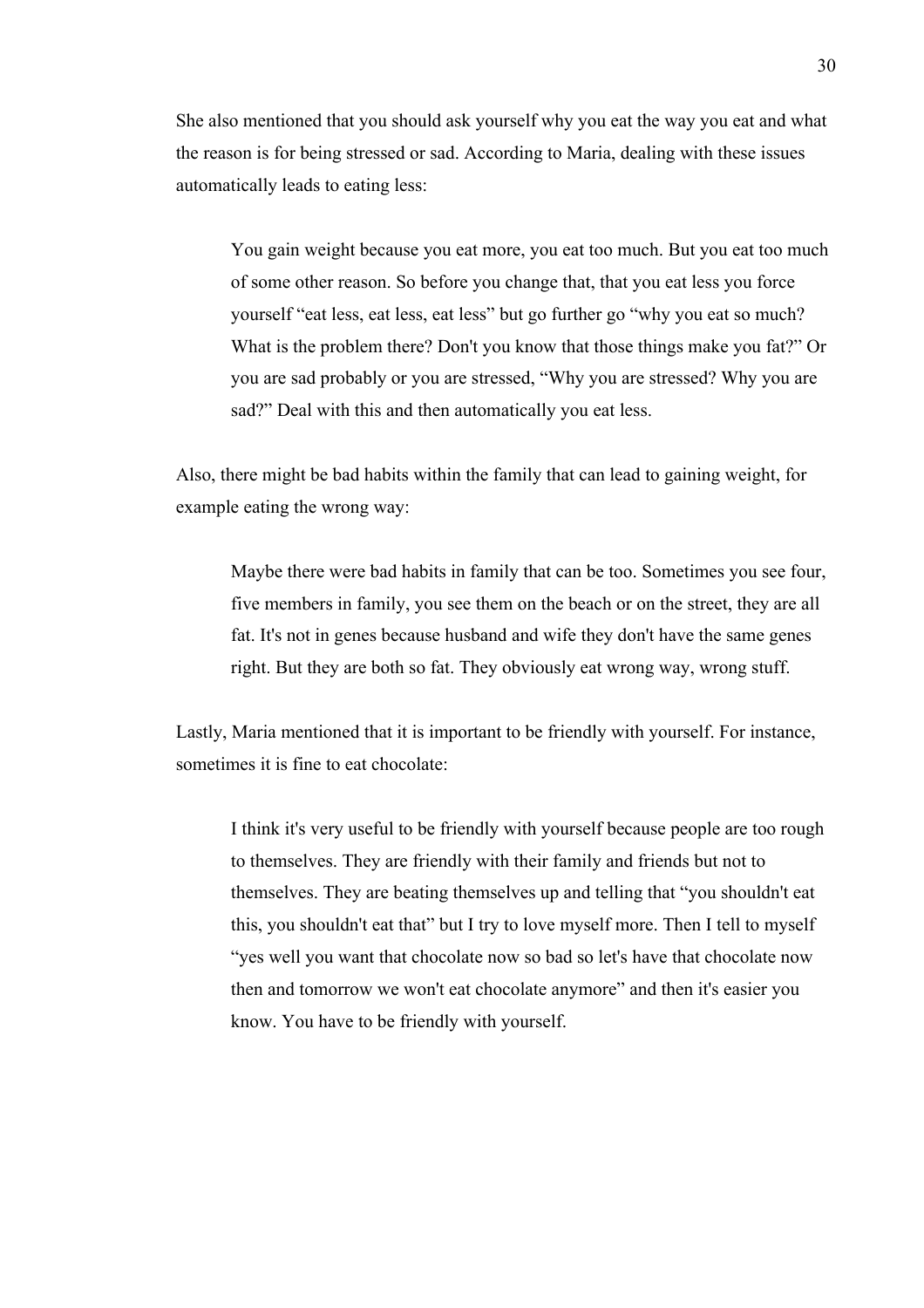She also mentioned that you should ask yourself why you eat the way you eat and what the reason is for being stressed or sad. According to Maria, dealing with these issues automatically leads to eating less:

You gain weight because you eat more, you eat too much. But you eat too much of some other reason. So before you change that, that you eat less you force yourself "eat less, eat less, eat less" but go further go "why you eat so much? What is the problem there? Don't you know that those things make you fat?" Or you are sad probably or you are stressed, "Why you are stressed? Why you are sad?" Deal with this and then automatically you eat less.

Also, there might be bad habits within the family that can lead to gaining weight, for example eating the wrong way:

Maybe there were bad habits in family that can be too. Sometimes you see four, five members in family, you see them on the beach or on the street, they are all fat. It's not in genes because husband and wife they don't have the same genes right. But they are both so fat. They obviously eat wrong way, wrong stuff.

Lastly, Maria mentioned that it is important to be friendly with yourself. For instance, sometimes it is fine to eat chocolate:

I think it's very useful to be friendly with yourself because people are too rough to themselves. They are friendly with their family and friends but not to themselves. They are beating themselves up and telling that "you shouldn't eat this, you shouldn't eat that" but I try to love myself more. Then I tell to myself "yes well you want that chocolate now so bad so let's have that chocolate now then and tomorrow we won't eat chocolate anymore" and then it's easier you know. You have to be friendly with yourself.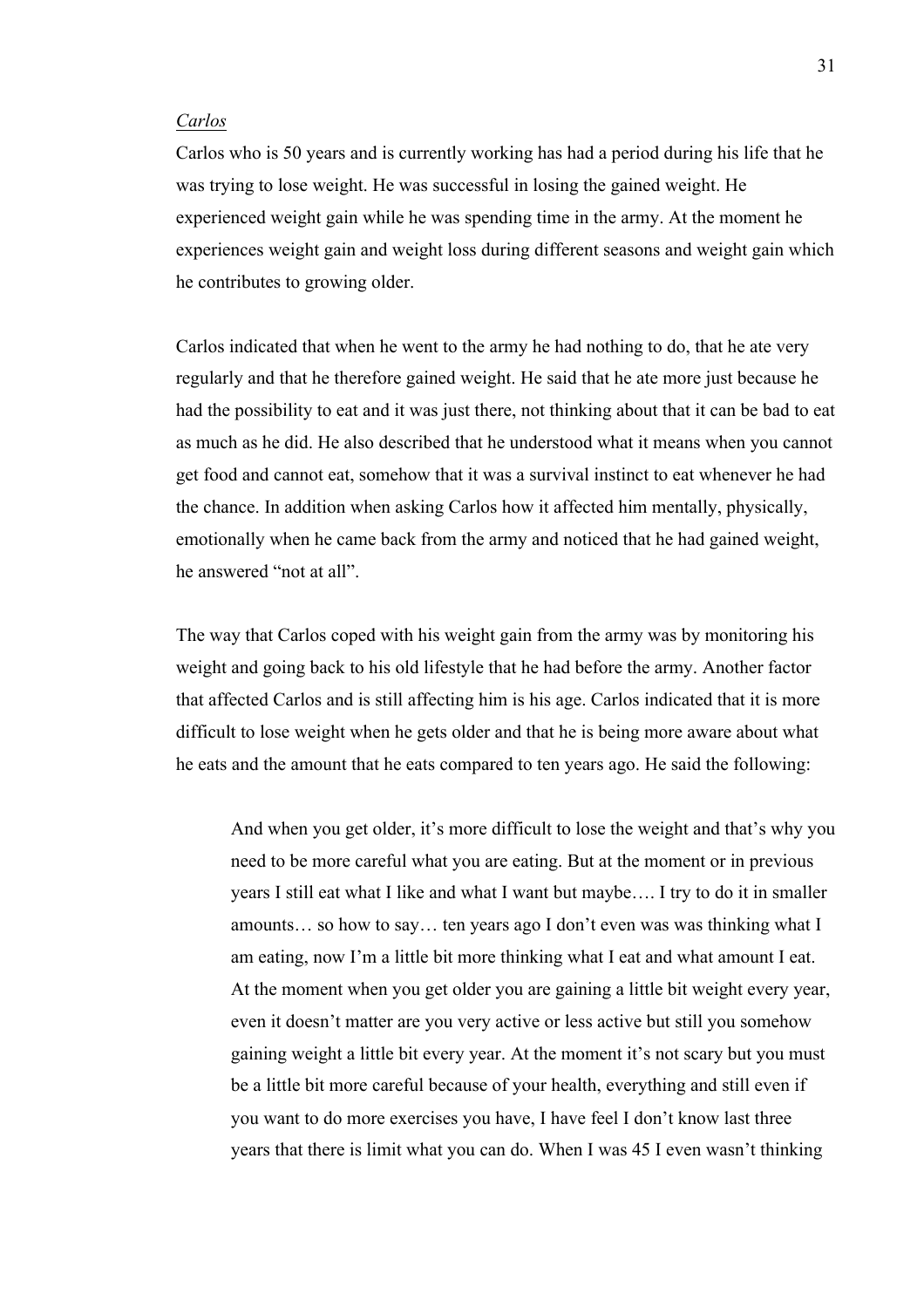#### *Carlos*

Carlos who is 50 years and is currently working has had a period during his life that he was trying to lose weight. He was successful in losing the gained weight. He experienced weight gain while he was spending time in the army. At the moment he experiences weight gain and weight loss during different seasons and weight gain which he contributes to growing older.

Carlos indicated that when he went to the army he had nothing to do, that he ate very regularly and that he therefore gained weight. He said that he ate more just because he had the possibility to eat and it was just there, not thinking about that it can be bad to eat as much as he did. He also described that he understood what it means when you cannot get food and cannot eat, somehow that it was a survival instinct to eat whenever he had the chance. In addition when asking Carlos how it affected him mentally, physically, emotionally when he came back from the army and noticed that he had gained weight, he answered "not at all"

The way that Carlos coped with his weight gain from the army was by monitoring his weight and going back to his old lifestyle that he had before the army. Another factor that affected Carlos and is still affecting him is his age. Carlos indicated that it is more difficult to lose weight when he gets older and that he is being more aware about what he eats and the amount that he eats compared to ten years ago. He said the following:

And when you get older, it's more difficult to lose the weight and that's why you need to be more careful what you are eating. But at the moment or in previous years I still eat what I like and what I want but maybe…. I try to do it in smaller amounts… so how to say… ten years ago I don't even was was thinking what I am eating, now I'm a little bit more thinking what I eat and what amount I eat. At the moment when you get older you are gaining a little bit weight every year, even it doesn't matter are you very active or less active but still you somehow gaining weight a little bit every year. At the moment it's not scary but you must be a little bit more careful because of your health, everything and still even if you want to do more exercises you have, I have feel I don't know last three years that there is limit what you can do. When I was 45 I even wasn't thinking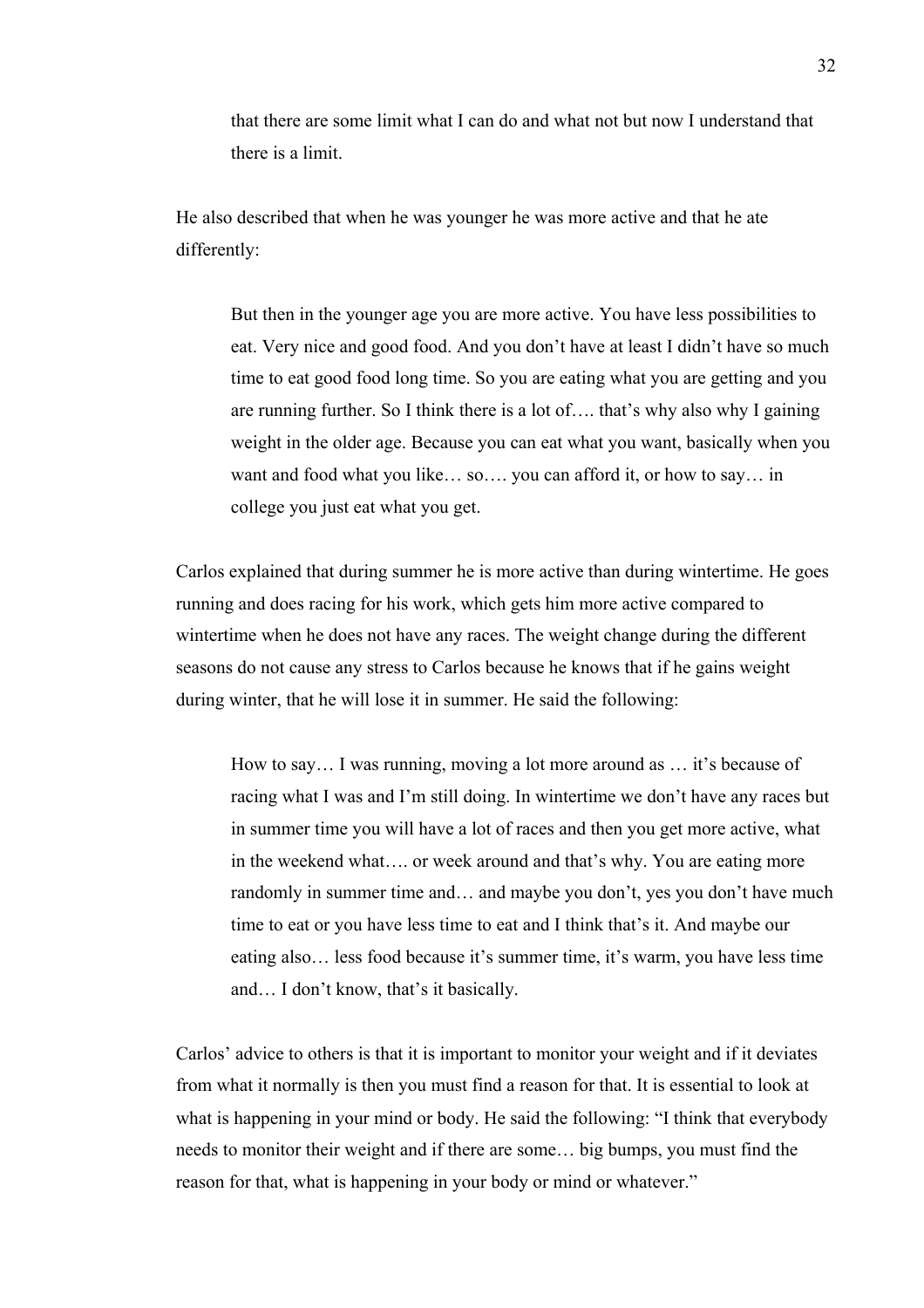that there are some limit what I can do and what not but now I understand that there is a limit.

He also described that when he was younger he was more active and that he ate differently:

But then in the younger age you are more active. You have less possibilities to eat. Very nice and good food. And you don't have at least I didn't have so much time to eat good food long time. So you are eating what you are getting and you are running further. So I think there is a lot of…. that's why also why I gaining weight in the older age. Because you can eat what you want, basically when you want and food what you like… so…. you can afford it, or how to say… in college you just eat what you get.

Carlos explained that during summer he is more active than during wintertime. He goes running and does racing for his work, which gets him more active compared to wintertime when he does not have any races. The weight change during the different seasons do not cause any stress to Carlos because he knows that if he gains weight during winter, that he will lose it in summer. He said the following:

How to say… I was running, moving a lot more around as … it's because of racing what I was and I'm still doing. In wintertime we don't have any races but in summer time you will have a lot of races and then you get more active, what in the weekend what…. or week around and that's why. You are eating more randomly in summer time and… and maybe you don't, yes you don't have much time to eat or you have less time to eat and I think that's it. And maybe our eating also… less food because it's summer time, it's warm, you have less time and… I don't know, that's it basically.

Carlos' advice to others is that it is important to monitor your weight and if it deviates from what it normally is then you must find a reason for that. It is essential to look at what is happening in your mind or body. He said the following: "I think that everybody needs to monitor their weight and if there are some… big bumps, you must find the reason for that, what is happening in your body or mind or whatever."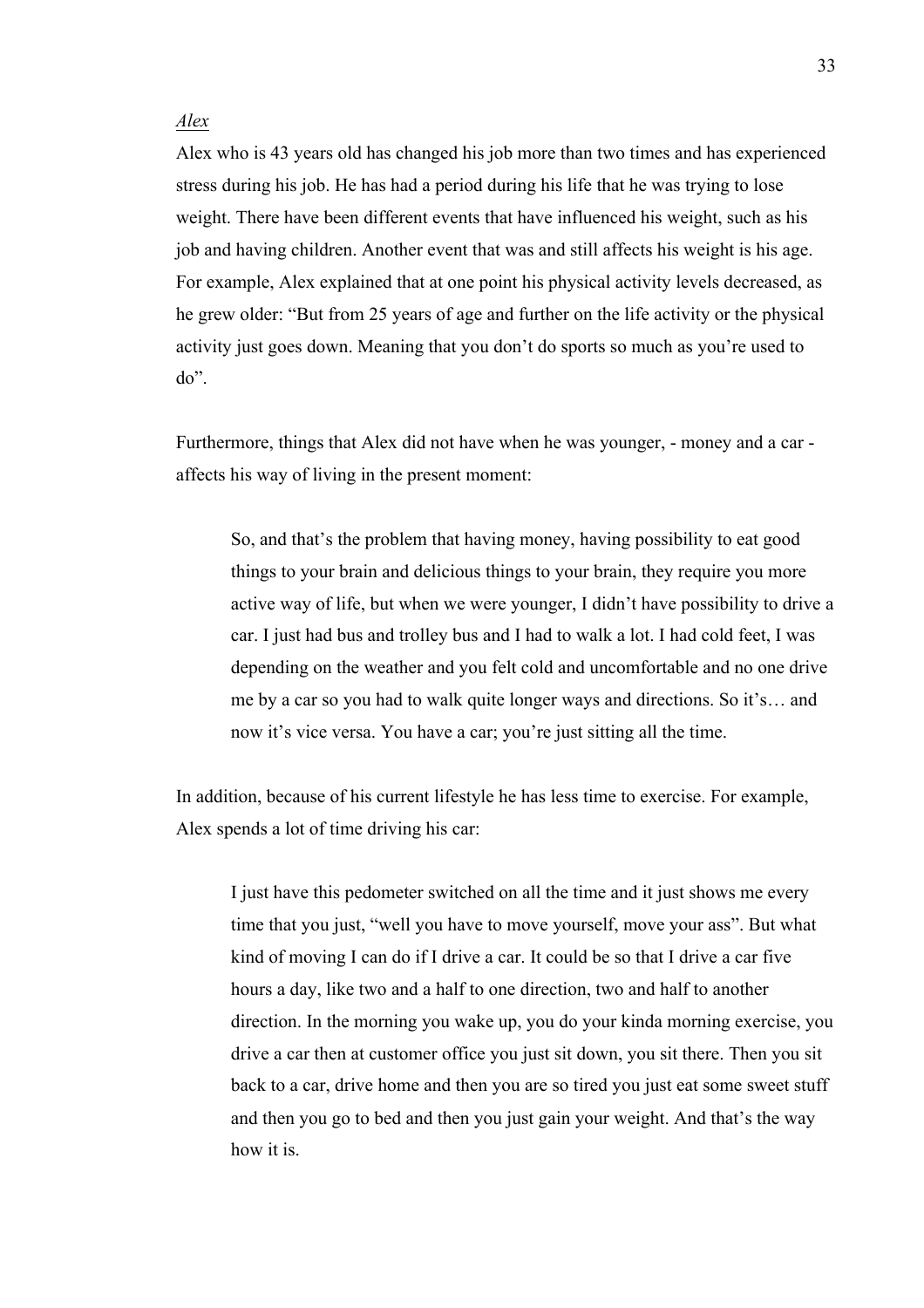## *Alex*

Alex who is 43 years old has changed his job more than two times and has experienced stress during his job. He has had a period during his life that he was trying to lose weight. There have been different events that have influenced his weight, such as his job and having children. Another event that was and still affects his weight is his age. For example, Alex explained that at one point his physical activity levels decreased, as he grew older: "But from 25 years of age and further on the life activity or the physical activity just goes down. Meaning that you don't do sports so much as you're used to do".

Furthermore, things that Alex did not have when he was younger, - money and a car affects his way of living in the present moment:

So, and that's the problem that having money, having possibility to eat good things to your brain and delicious things to your brain, they require you more active way of life, but when we were younger, I didn't have possibility to drive a car. I just had bus and trolley bus and I had to walk a lot. I had cold feet, I was depending on the weather and you felt cold and uncomfortable and no one drive me by a car so you had to walk quite longer ways and directions. So it's… and now it's vice versa. You have a car; you're just sitting all the time.

In addition, because of his current lifestyle he has less time to exercise. For example, Alex spends a lot of time driving his car:

I just have this pedometer switched on all the time and it just shows me every time that you just, "well you have to move yourself, move your ass". But what kind of moving I can do if I drive a car. It could be so that I drive a car five hours a day, like two and a half to one direction, two and half to another direction. In the morning you wake up, you do your kinda morning exercise, you drive a car then at customer office you just sit down, you sit there. Then you sit back to a car, drive home and then you are so tired you just eat some sweet stuff and then you go to bed and then you just gain your weight. And that's the way how it is.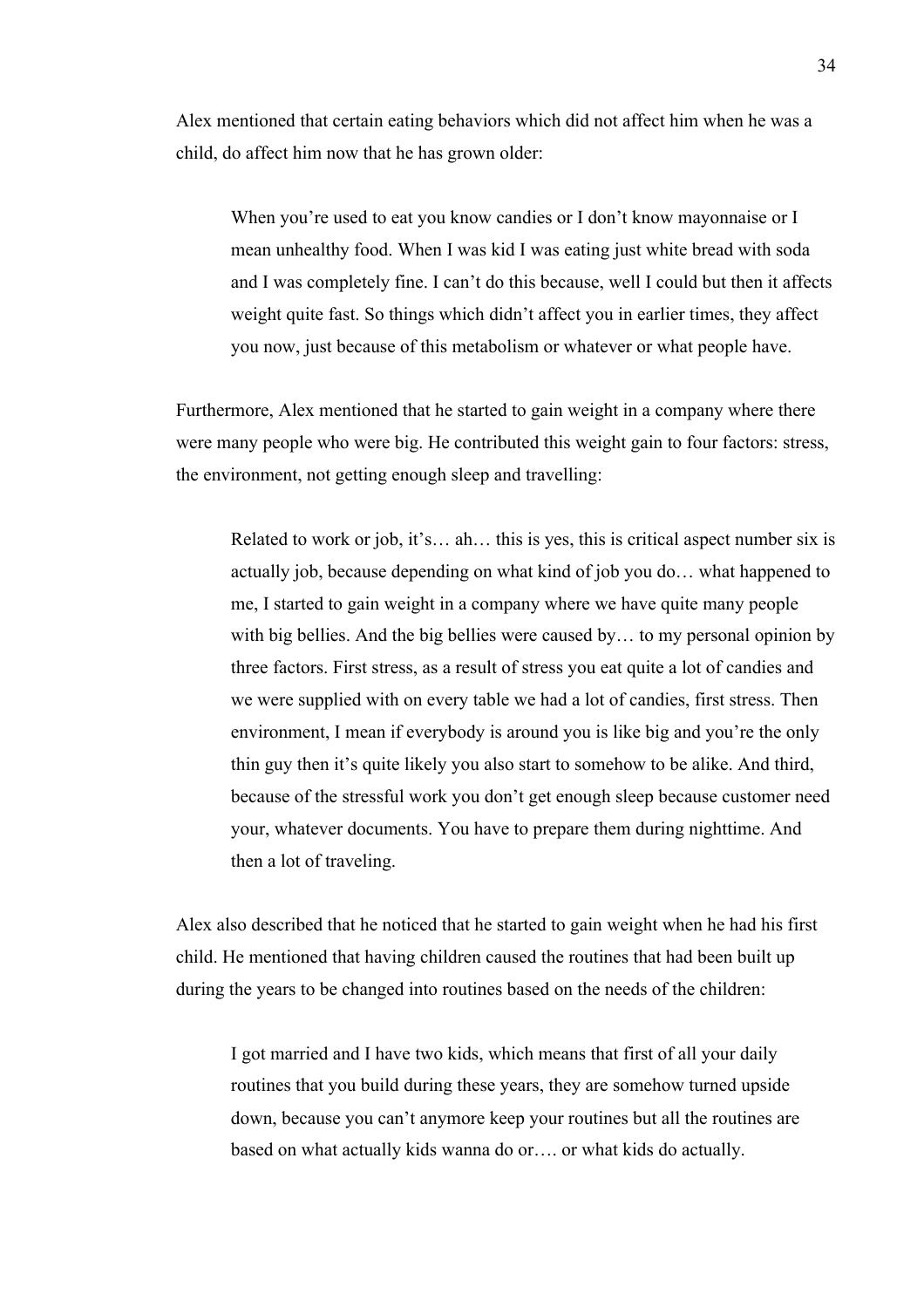Alex mentioned that certain eating behaviors which did not affect him when he was a child, do affect him now that he has grown older:

When you're used to eat you know candies or I don't know mayonnaise or I mean unhealthy food. When I was kid I was eating just white bread with soda and I was completely fine. I can't do this because, well I could but then it affects weight quite fast. So things which didn't affect you in earlier times, they affect you now, just because of this metabolism or whatever or what people have.

Furthermore, Alex mentioned that he started to gain weight in a company where there were many people who were big. He contributed this weight gain to four factors: stress, the environment, not getting enough sleep and travelling:

Related to work or job, it's… ah… this is yes, this is critical aspect number six is actually job, because depending on what kind of job you do… what happened to me, I started to gain weight in a company where we have quite many people with big bellies. And the big bellies were caused by... to my personal opinion by three factors. First stress, as a result of stress you eat quite a lot of candies and we were supplied with on every table we had a lot of candies, first stress. Then environment, I mean if everybody is around you is like big and you're the only thin guy then it's quite likely you also start to somehow to be alike. And third, because of the stressful work you don't get enough sleep because customer need your, whatever documents. You have to prepare them during nighttime. And then a lot of traveling.

Alex also described that he noticed that he started to gain weight when he had his first child. He mentioned that having children caused the routines that had been built up during the years to be changed into routines based on the needs of the children:

I got married and I have two kids, which means that first of all your daily routines that you build during these years, they are somehow turned upside down, because you can't anymore keep your routines but all the routines are based on what actually kids wanna do or…. or what kids do actually.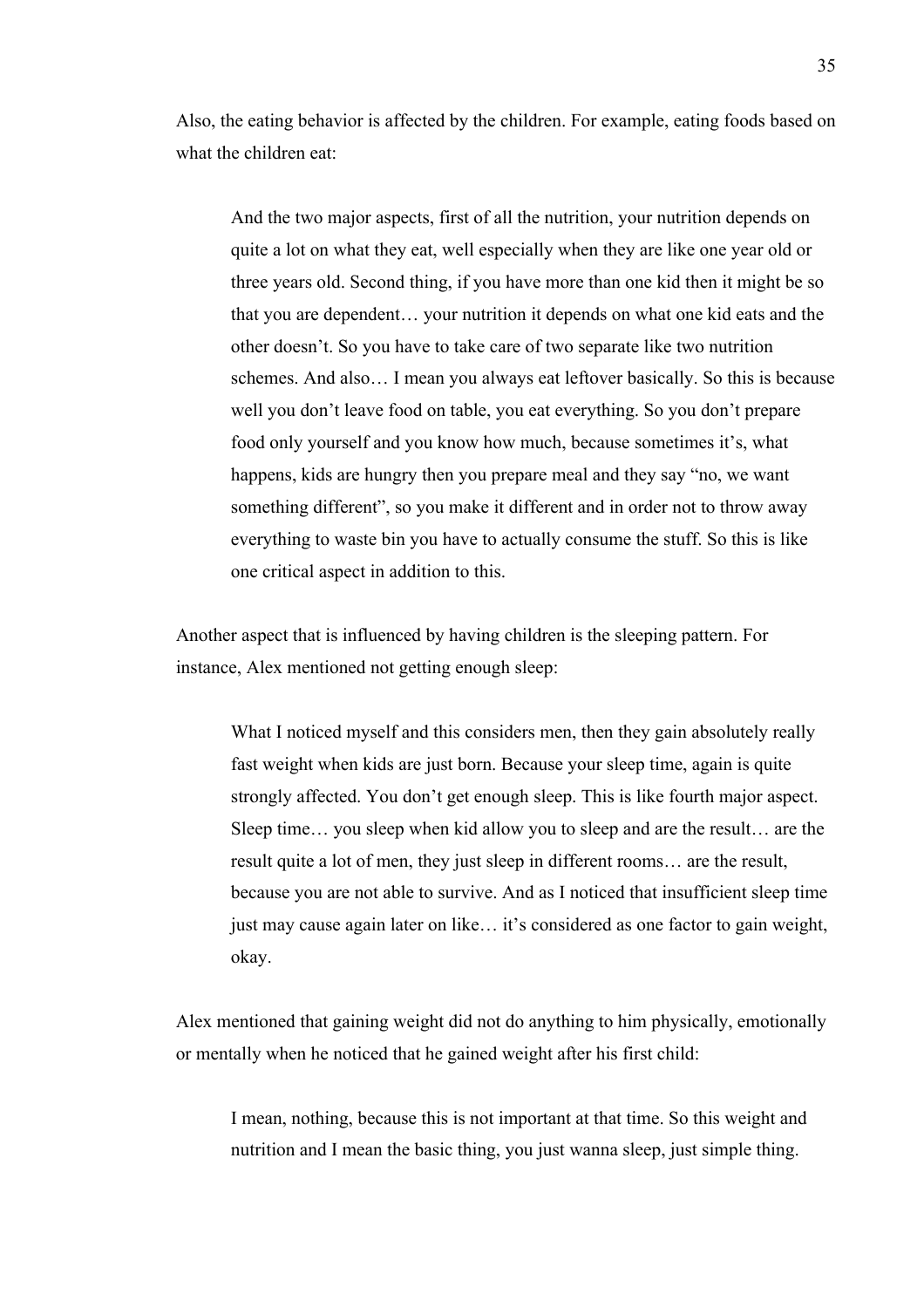Also, the eating behavior is affected by the children. For example, eating foods based on what the children eat:

And the two major aspects, first of all the nutrition, your nutrition depends on quite a lot on what they eat, well especially when they are like one year old or three years old. Second thing, if you have more than one kid then it might be so that you are dependent… your nutrition it depends on what one kid eats and the other doesn't. So you have to take care of two separate like two nutrition schemes. And also… I mean you always eat leftover basically. So this is because well you don't leave food on table, you eat everything. So you don't prepare food only yourself and you know how much, because sometimes it's, what happens, kids are hungry then you prepare meal and they say "no, we want something different", so you make it different and in order not to throw away everything to waste bin you have to actually consume the stuff. So this is like one critical aspect in addition to this.

Another aspect that is influenced by having children is the sleeping pattern. For instance, Alex mentioned not getting enough sleep:

What I noticed myself and this considers men, then they gain absolutely really fast weight when kids are just born. Because your sleep time, again is quite strongly affected. You don't get enough sleep. This is like fourth major aspect. Sleep time… you sleep when kid allow you to sleep and are the result… are the result quite a lot of men, they just sleep in different rooms… are the result, because you are not able to survive. And as I noticed that insufficient sleep time just may cause again later on like… it's considered as one factor to gain weight, okay.

Alex mentioned that gaining weight did not do anything to him physically, emotionally or mentally when he noticed that he gained weight after his first child:

I mean, nothing, because this is not important at that time. So this weight and nutrition and I mean the basic thing, you just wanna sleep, just simple thing.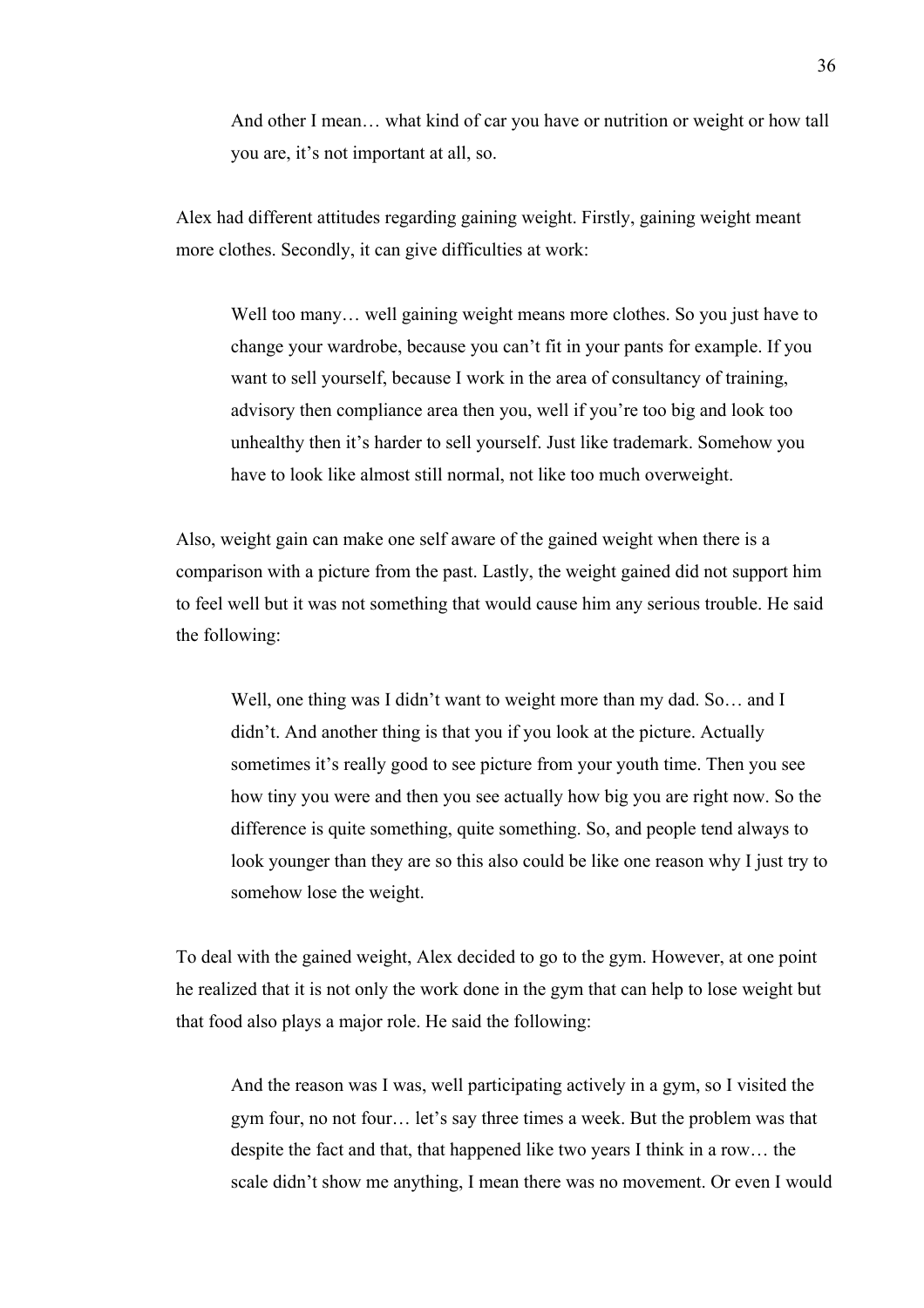And other I mean… what kind of car you have or nutrition or weight or how tall you are, it's not important at all, so.

Alex had different attitudes regarding gaining weight. Firstly, gaining weight meant more clothes. Secondly, it can give difficulties at work:

Well too many... well gaining weight means more clothes. So you just have to change your wardrobe, because you can't fit in your pants for example. If you want to sell yourself, because I work in the area of consultancy of training, advisory then compliance area then you, well if you're too big and look too unhealthy then it's harder to sell yourself. Just like trademark. Somehow you have to look like almost still normal, not like too much overweight.

Also, weight gain can make one self aware of the gained weight when there is a comparison with a picture from the past. Lastly, the weight gained did not support him to feel well but it was not something that would cause him any serious trouble. He said the following:

Well, one thing was I didn't want to weight more than my dad. So... and I didn't. And another thing is that you if you look at the picture. Actually sometimes it's really good to see picture from your youth time. Then you see how tiny you were and then you see actually how big you are right now. So the difference is quite something, quite something. So, and people tend always to look younger than they are so this also could be like one reason why I just try to somehow lose the weight.

To deal with the gained weight, Alex decided to go to the gym. However, at one point he realized that it is not only the work done in the gym that can help to lose weight but that food also plays a major role. He said the following:

And the reason was I was, well participating actively in a gym, so I visited the gym four, no not four… let's say three times a week. But the problem was that despite the fact and that, that happened like two years I think in a row… the scale didn't show me anything, I mean there was no movement. Or even I would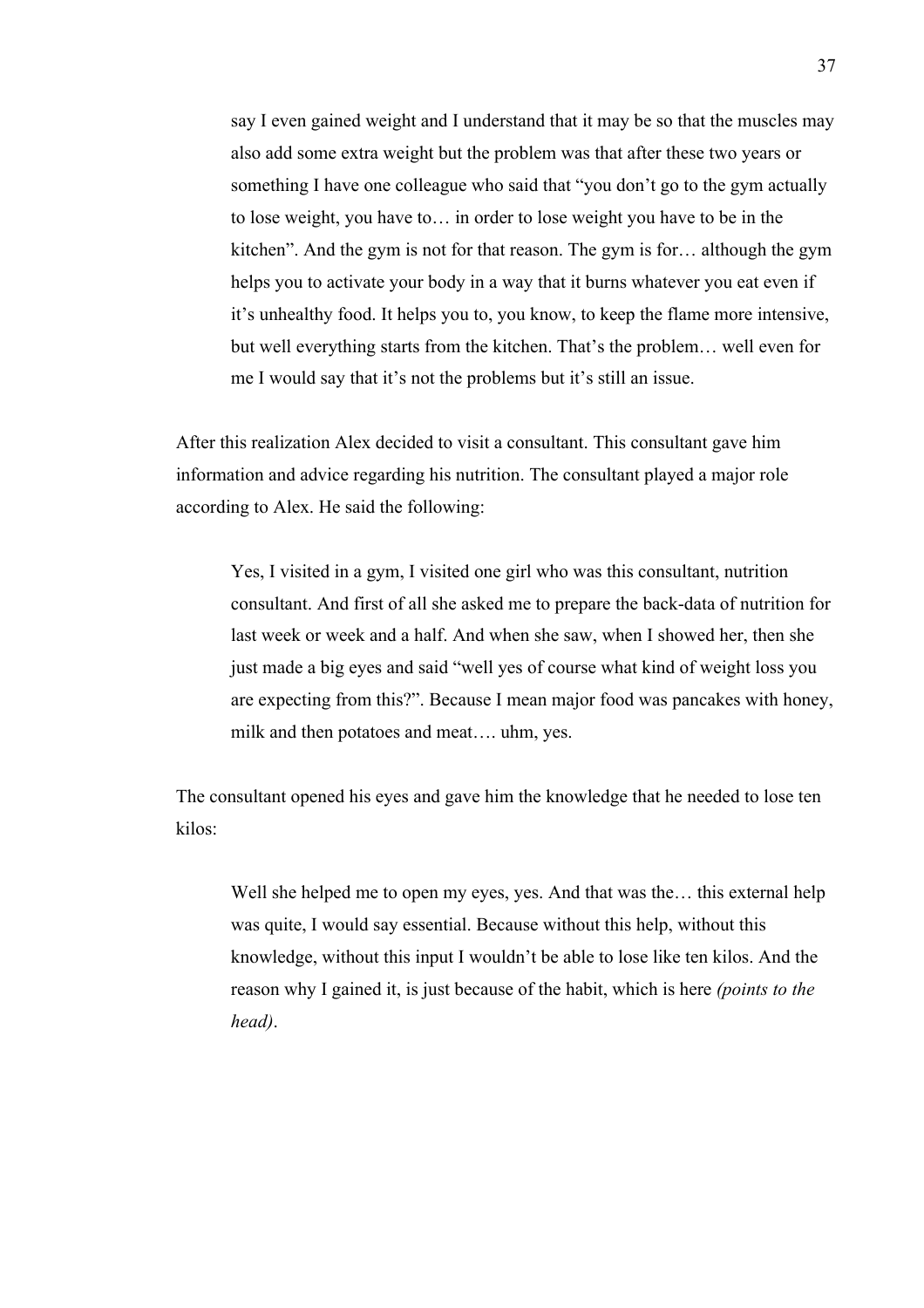say I even gained weight and I understand that it may be so that the muscles may also add some extra weight but the problem was that after these two years or something I have one colleague who said that "you don't go to the gym actually to lose weight, you have to… in order to lose weight you have to be in the kitchen". And the gym is not for that reason. The gym is for… although the gym helps you to activate your body in a way that it burns whatever you eat even if it's unhealthy food. It helps you to, you know, to keep the flame more intensive, but well everything starts from the kitchen. That's the problem… well even for me I would say that it's not the problems but it's still an issue.

After this realization Alex decided to visit a consultant. This consultant gave him information and advice regarding his nutrition. The consultant played a major role according to Alex. He said the following:

Yes, I visited in a gym, I visited one girl who was this consultant, nutrition consultant. And first of all she asked me to prepare the back-data of nutrition for last week or week and a half. And when she saw, when I showed her, then she just made a big eyes and said "well yes of course what kind of weight loss you are expecting from this?". Because I mean major food was pancakes with honey, milk and then potatoes and meat…. uhm, yes.

The consultant opened his eyes and gave him the knowledge that he needed to lose ten kilos:

Well she helped me to open my eyes, yes. And that was the... this external help was quite, I would say essential. Because without this help, without this knowledge, without this input I wouldn't be able to lose like ten kilos. And the reason why I gained it, is just because of the habit, which is here *(points to the head)*.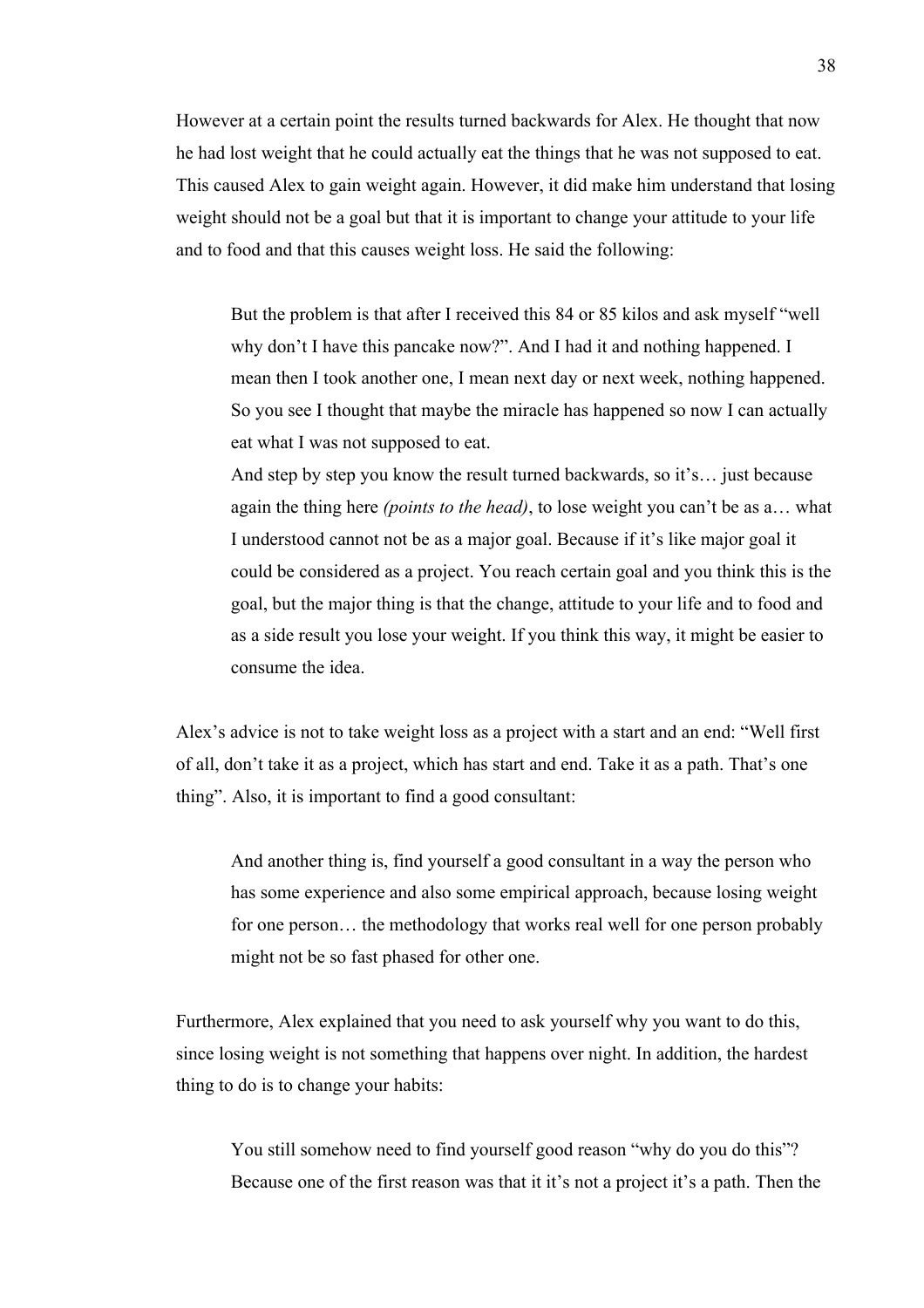However at a certain point the results turned backwards for Alex. He thought that now he had lost weight that he could actually eat the things that he was not supposed to eat. This caused Alex to gain weight again. However, it did make him understand that losing weight should not be a goal but that it is important to change your attitude to your life and to food and that this causes weight loss. He said the following:

But the problem is that after I received this 84 or 85 kilos and ask myself "well why don't I have this pancake now?". And I had it and nothing happened. I mean then I took another one, I mean next day or next week, nothing happened. So you see I thought that maybe the miracle has happened so now I can actually eat what I was not supposed to eat.

And step by step you know the result turned backwards, so it's… just because again the thing here *(points to the head)*, to lose weight you can't be as a… what I understood cannot not be as a major goal. Because if it's like major goal it could be considered as a project. You reach certain goal and you think this is the goal, but the major thing is that the change, attitude to your life and to food and as a side result you lose your weight. If you think this way, it might be easier to consume the idea.

Alex's advice is not to take weight loss as a project with a start and an end: "Well first of all, don't take it as a project, which has start and end. Take it as a path. That's one thing". Also, it is important to find a good consultant:

And another thing is, find yourself a good consultant in a way the person who has some experience and also some empirical approach, because losing weight for one person… the methodology that works real well for one person probably might not be so fast phased for other one.

Furthermore, Alex explained that you need to ask yourself why you want to do this, since losing weight is not something that happens over night. In addition, the hardest thing to do is to change your habits:

You still somehow need to find yourself good reason "why do you do this"? Because one of the first reason was that it it's not a project it's a path. Then the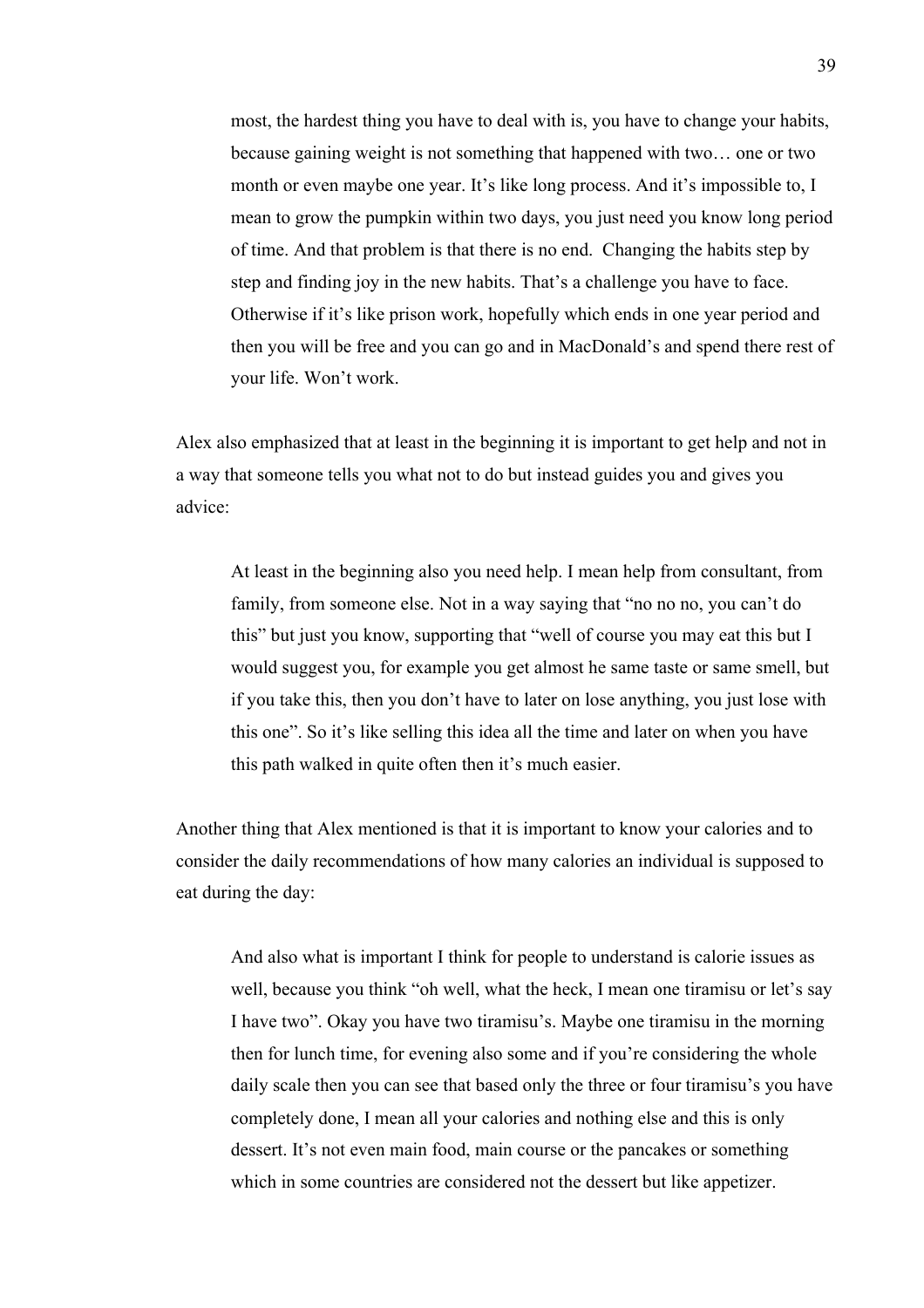most, the hardest thing you have to deal with is, you have to change your habits, because gaining weight is not something that happened with two… one or two month or even maybe one year. It's like long process. And it's impossible to, I mean to grow the pumpkin within two days, you just need you know long period of time. And that problem is that there is no end. Changing the habits step by step and finding joy in the new habits. That's a challenge you have to face. Otherwise if it's like prison work, hopefully which ends in one year period and then you will be free and you can go and in MacDonald's and spend there rest of your life. Won't work.

Alex also emphasized that at least in the beginning it is important to get help and not in a way that someone tells you what not to do but instead guides you and gives you advice:

At least in the beginning also you need help. I mean help from consultant, from family, from someone else. Not in a way saying that "no no no, you can't do this" but just you know, supporting that "well of course you may eat this but I would suggest you, for example you get almost he same taste or same smell, but if you take this, then you don't have to later on lose anything, you just lose with this one". So it's like selling this idea all the time and later on when you have this path walked in quite often then it's much easier.

Another thing that Alex mentioned is that it is important to know your calories and to consider the daily recommendations of how many calories an individual is supposed to eat during the day:

And also what is important I think for people to understand is calorie issues as well, because you think "oh well, what the heck, I mean one tiramisu or let's say I have two". Okay you have two tiramisu's. Maybe one tiramisu in the morning then for lunch time, for evening also some and if you're considering the whole daily scale then you can see that based only the three or four tiramisu's you have completely done, I mean all your calories and nothing else and this is only dessert. It's not even main food, main course or the pancakes or something which in some countries are considered not the dessert but like appetizer.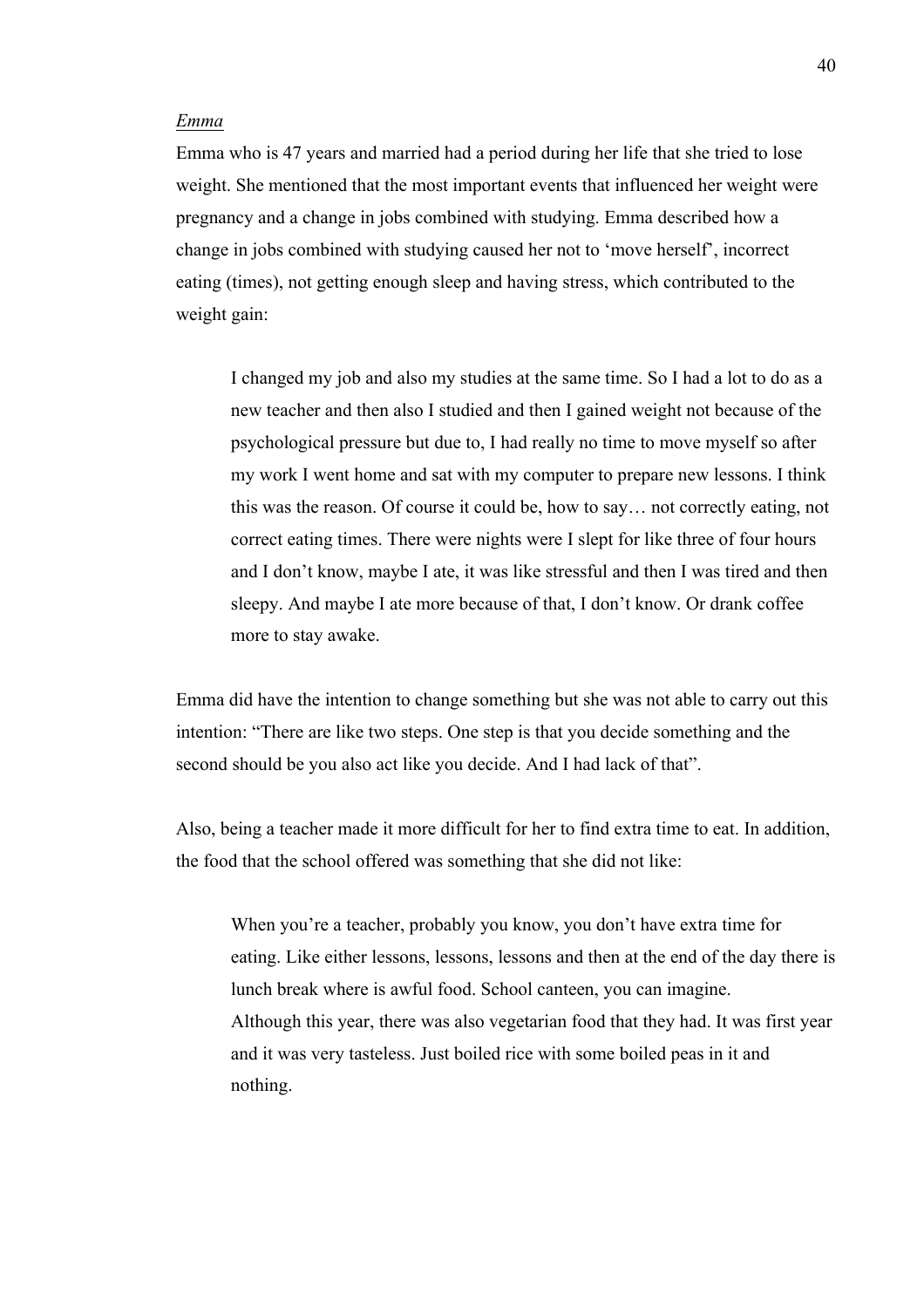### *Emma*

Emma who is 47 years and married had a period during her life that she tried to lose weight. She mentioned that the most important events that influenced her weight were pregnancy and a change in jobs combined with studying. Emma described how a change in jobs combined with studying caused her not to 'move herself', incorrect eating (times), not getting enough sleep and having stress, which contributed to the weight gain:

I changed my job and also my studies at the same time. So I had a lot to do as a new teacher and then also I studied and then I gained weight not because of the psychological pressure but due to, I had really no time to move myself so after my work I went home and sat with my computer to prepare new lessons. I think this was the reason. Of course it could be, how to say… not correctly eating, not correct eating times. There were nights were I slept for like three of four hours and I don't know, maybe I ate, it was like stressful and then I was tired and then sleepy. And maybe I ate more because of that, I don't know. Or drank coffee more to stay awake.

Emma did have the intention to change something but she was not able to carry out this intention: "There are like two steps. One step is that you decide something and the second should be you also act like you decide. And I had lack of that".

Also, being a teacher made it more difficult for her to find extra time to eat. In addition, the food that the school offered was something that she did not like:

When you're a teacher, probably you know, you don't have extra time for eating. Like either lessons, lessons, lessons and then at the end of the day there is lunch break where is awful food. School canteen, you can imagine. Although this year, there was also vegetarian food that they had. It was first year and it was very tasteless. Just boiled rice with some boiled peas in it and nothing.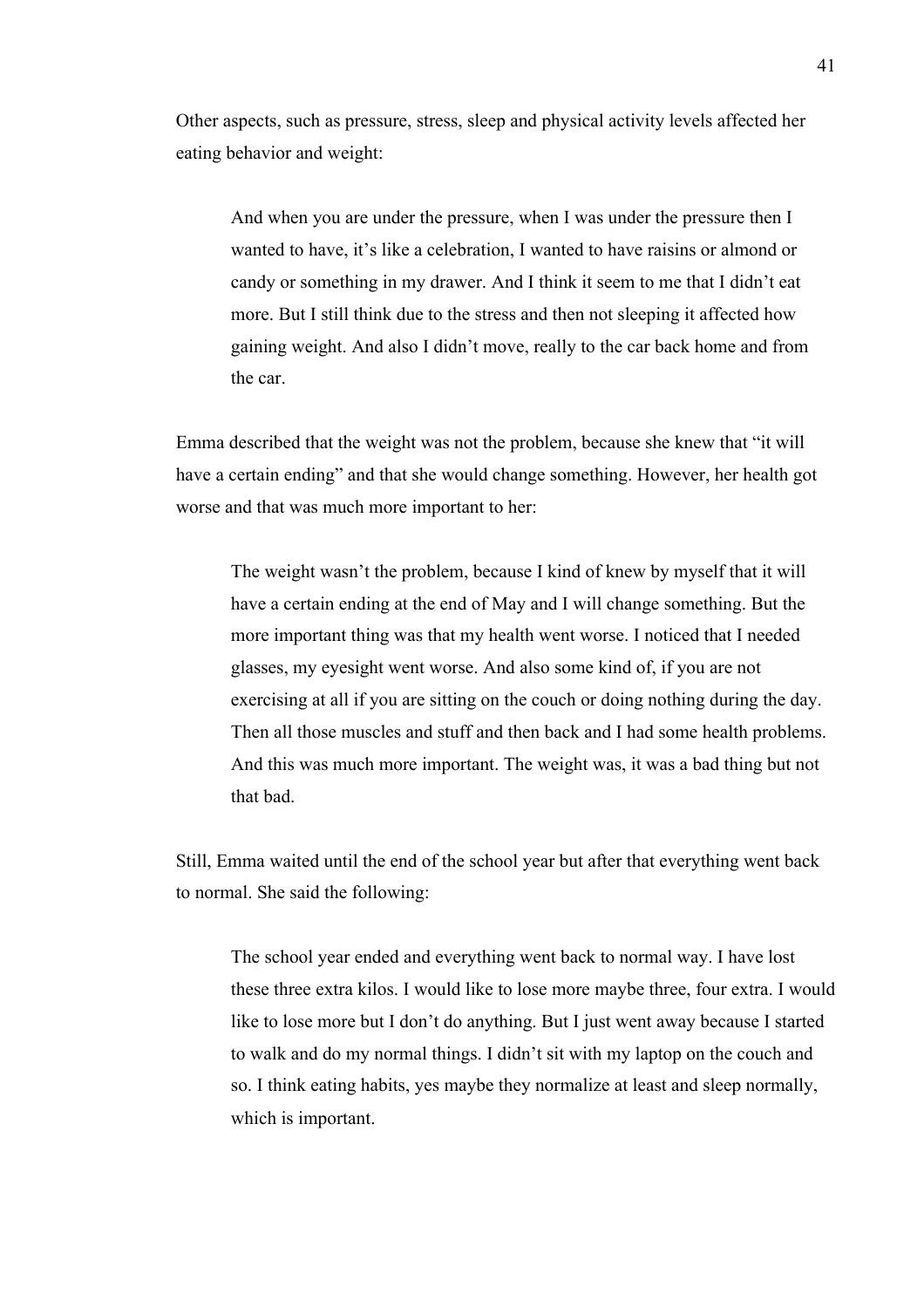Other aspects, such as pressure, stress, sleep and physical activity levels affected her eating behavior and weight:

And when you are under the pressure, when I was under the pressure then I wanted to have, it's like a celebration, I wanted to have raisins or almond or candy or something in my drawer. And I think it seem to me that I didn't eat more. But I still think due to the stress and then not sleeping it affected how gaining weight. And also I didn't move, really to the car back home and from the car.

Emma described that the weight was not the problem, because she knew that "it will have a certain ending" and that she would change something. However, her health got worse and that was much more important to her:

The weight wasn't the problem, because I kind of knew by myself that it will have a certain ending at the end of May and I will change something. But the more important thing was that my health went worse. I noticed that I needed glasses, my eyesight went worse. And also some kind of, if you are not exercising at all if you are sitting on the couch or doing nothing during the day. Then all those muscles and stuff and then back and I had some health problems. And this was much more important. The weight was, it was a bad thing but not that bad.

Still, Emma waited until the end of the school year but after that everything went back to normal. She said the following:

The school year ended and everything went back to normal way. I have lost these three extra kilos. I would like to lose more maybe three, four extra. I would like to lose more but I don't do anything. But I just went away because I started to walk and do my normal things. I didn't sit with my laptop on the couch and so. I think eating habits, yes maybe they normalize at least and sleep normally, which is important.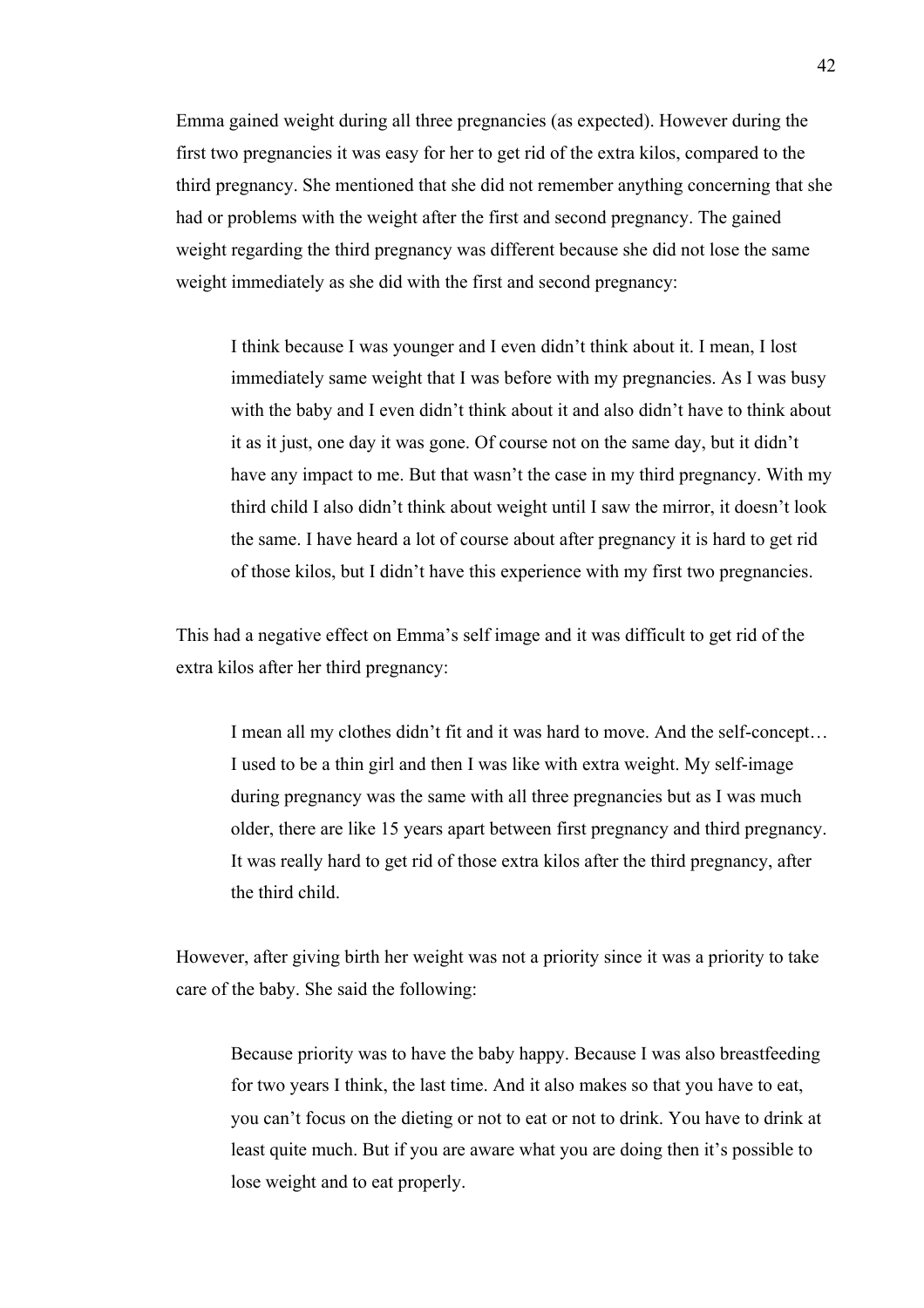Emma gained weight during all three pregnancies (as expected). However during the first two pregnancies it was easy for her to get rid of the extra kilos, compared to the third pregnancy. She mentioned that she did not remember anything concerning that she had or problems with the weight after the first and second pregnancy. The gained weight regarding the third pregnancy was different because she did not lose the same weight immediately as she did with the first and second pregnancy:

I think because I was younger and I even didn't think about it. I mean, I lost immediately same weight that I was before with my pregnancies. As I was busy with the baby and I even didn't think about it and also didn't have to think about it as it just, one day it was gone. Of course not on the same day, but it didn't have any impact to me. But that wasn't the case in my third pregnancy. With my third child I also didn't think about weight until I saw the mirror, it doesn't look the same. I have heard a lot of course about after pregnancy it is hard to get rid of those kilos, but I didn't have this experience with my first two pregnancies.

This had a negative effect on Emma's self image and it was difficult to get rid of the extra kilos after her third pregnancy:

I mean all my clothes didn't fit and it was hard to move. And the self-concept… I used to be a thin girl and then I was like with extra weight. My self-image during pregnancy was the same with all three pregnancies but as I was much older, there are like 15 years apart between first pregnancy and third pregnancy. It was really hard to get rid of those extra kilos after the third pregnancy, after the third child.

However, after giving birth her weight was not a priority since it was a priority to take care of the baby. She said the following:

Because priority was to have the baby happy. Because I was also breastfeeding for two years I think, the last time. And it also makes so that you have to eat, you can't focus on the dieting or not to eat or not to drink. You have to drink at least quite much. But if you are aware what you are doing then it's possible to lose weight and to eat properly.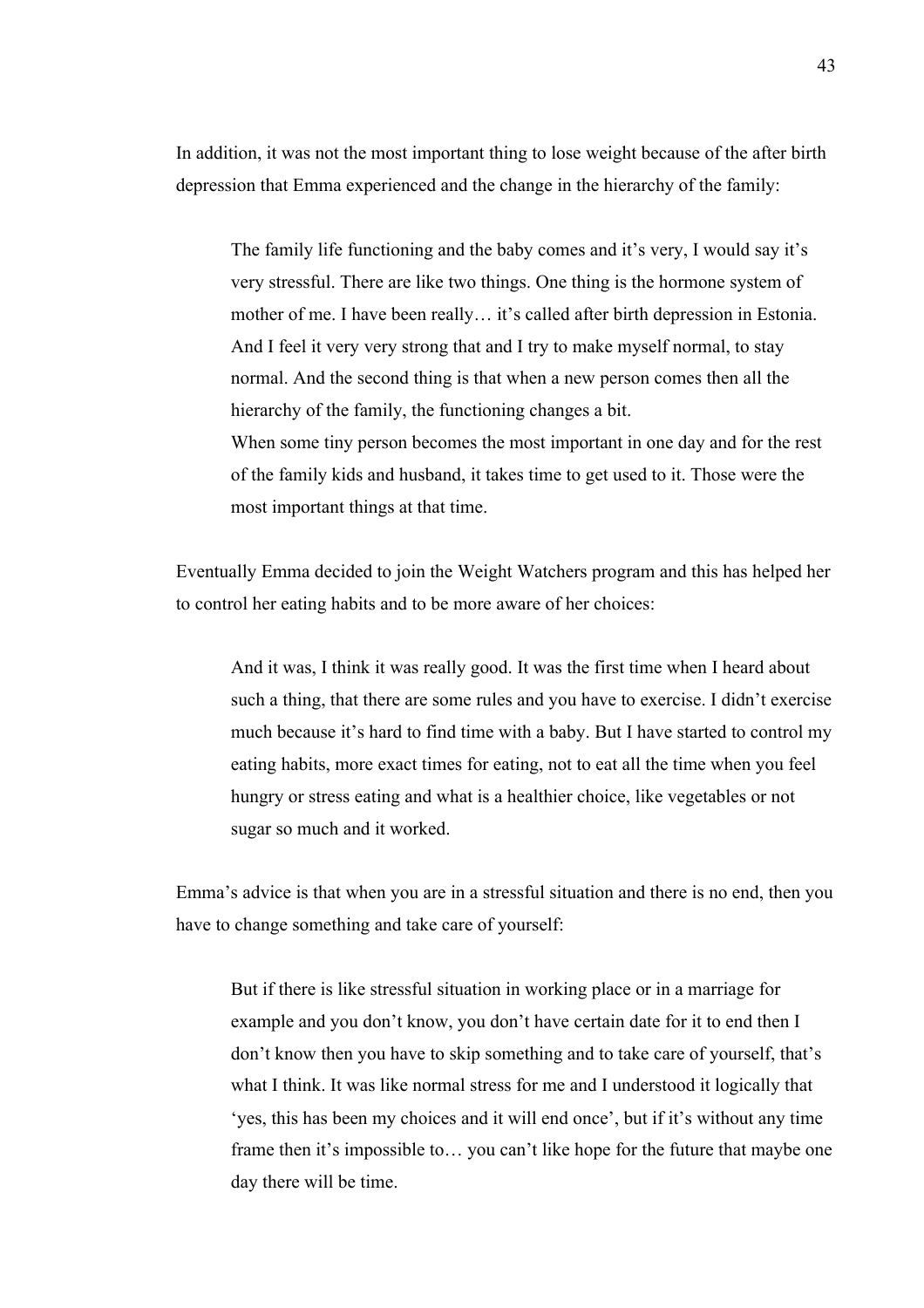In addition, it was not the most important thing to lose weight because of the after birth depression that Emma experienced and the change in the hierarchy of the family:

The family life functioning and the baby comes and it's very, I would say it's very stressful. There are like two things. One thing is the hormone system of mother of me. I have been really… it's called after birth depression in Estonia. And I feel it very very strong that and I try to make myself normal, to stay normal. And the second thing is that when a new person comes then all the hierarchy of the family, the functioning changes a bit. When some tiny person becomes the most important in one day and for the rest of the family kids and husband, it takes time to get used to it. Those were the most important things at that time.

Eventually Emma decided to join the Weight Watchers program and this has helped her to control her eating habits and to be more aware of her choices:

And it was, I think it was really good. It was the first time when I heard about such a thing, that there are some rules and you have to exercise. I didn't exercise much because it's hard to find time with a baby. But I have started to control my eating habits, more exact times for eating, not to eat all the time when you feel hungry or stress eating and what is a healthier choice, like vegetables or not sugar so much and it worked.

Emma's advice is that when you are in a stressful situation and there is no end, then you have to change something and take care of yourself:

But if there is like stressful situation in working place or in a marriage for example and you don't know, you don't have certain date for it to end then I don't know then you have to skip something and to take care of yourself, that's what I think. It was like normal stress for me and I understood it logically that 'yes, this has been my choices and it will end once', but if it's without any time frame then it's impossible to… you can't like hope for the future that maybe one day there will be time.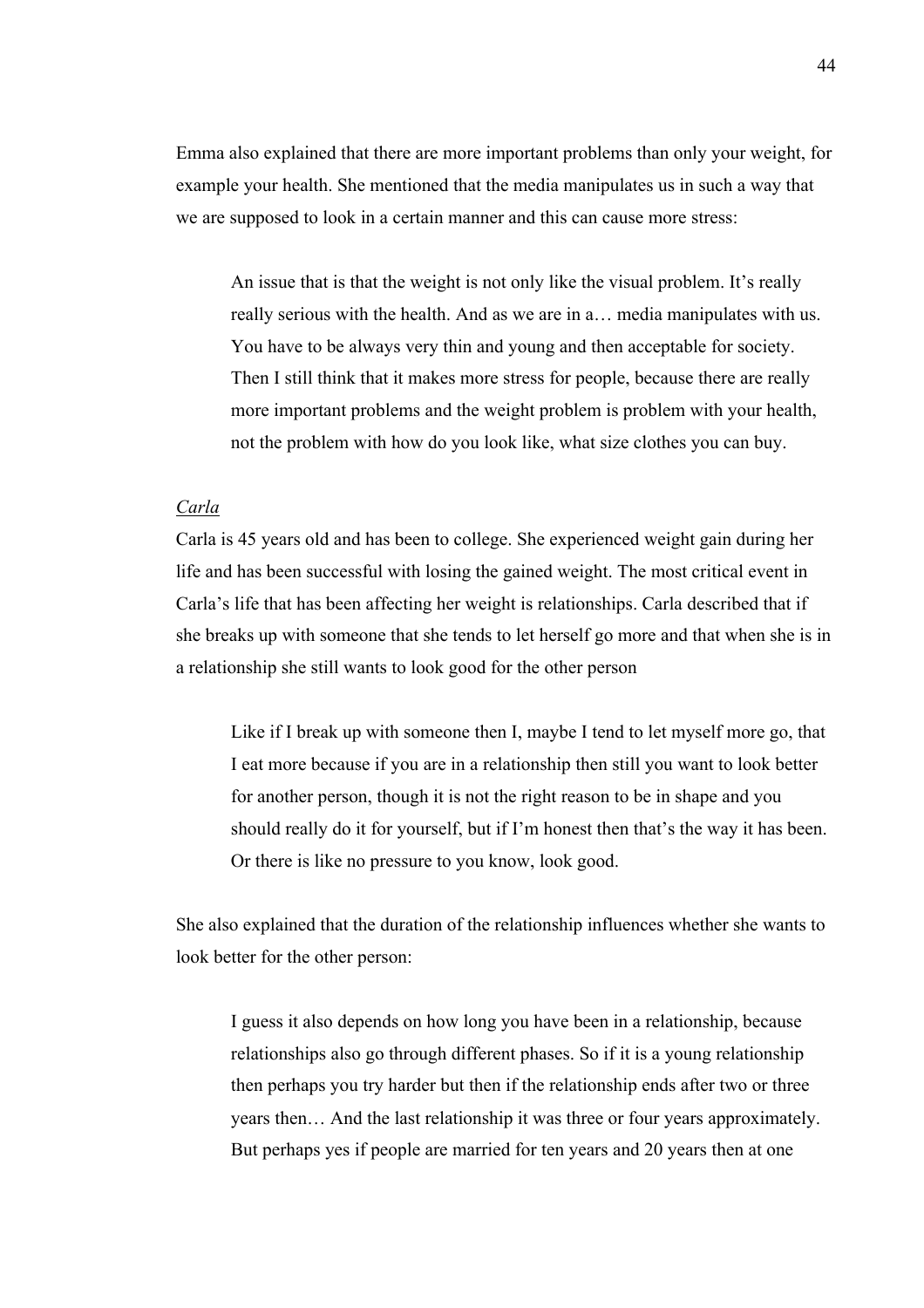Emma also explained that there are more important problems than only your weight, for example your health. She mentioned that the media manipulates us in such a way that we are supposed to look in a certain manner and this can cause more stress:

An issue that is that the weight is not only like the visual problem. It's really really serious with the health. And as we are in a… media manipulates with us. You have to be always very thin and young and then acceptable for society. Then I still think that it makes more stress for people, because there are really more important problems and the weight problem is problem with your health, not the problem with how do you look like, what size clothes you can buy.

## *Carla*

Carla is 45 years old and has been to college. She experienced weight gain during her life and has been successful with losing the gained weight. The most critical event in Carla's life that has been affecting her weight is relationships. Carla described that if she breaks up with someone that she tends to let herself go more and that when she is in a relationship she still wants to look good for the other person

Like if I break up with someone then I, maybe I tend to let myself more go, that I eat more because if you are in a relationship then still you want to look better for another person, though it is not the right reason to be in shape and you should really do it for yourself, but if I'm honest then that's the way it has been. Or there is like no pressure to you know, look good.

She also explained that the duration of the relationship influences whether she wants to look better for the other person:

I guess it also depends on how long you have been in a relationship, because relationships also go through different phases. So if it is a young relationship then perhaps you try harder but then if the relationship ends after two or three years then… And the last relationship it was three or four years approximately. But perhaps yes if people are married for ten years and 20 years then at one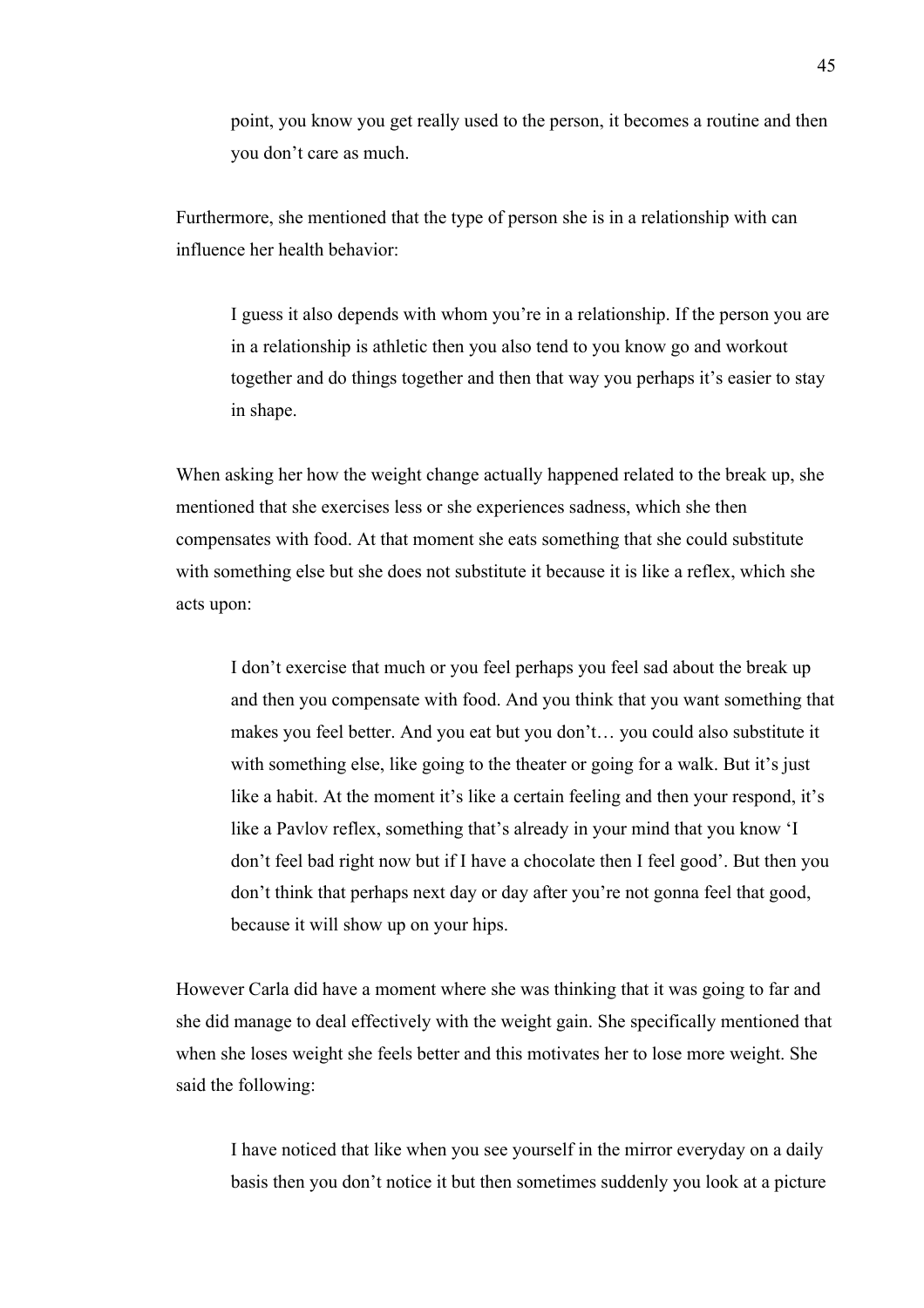point, you know you get really used to the person, it becomes a routine and then you don't care as much.

Furthermore, she mentioned that the type of person she is in a relationship with can influence her health behavior:

I guess it also depends with whom you're in a relationship. If the person you are in a relationship is athletic then you also tend to you know go and workout together and do things together and then that way you perhaps it's easier to stay in shape.

When asking her how the weight change actually happened related to the break up, she mentioned that she exercises less or she experiences sadness, which she then compensates with food. At that moment she eats something that she could substitute with something else but she does not substitute it because it is like a reflex, which she acts upon:

I don't exercise that much or you feel perhaps you feel sad about the break up and then you compensate with food. And you think that you want something that makes you feel better. And you eat but you don't… you could also substitute it with something else, like going to the theater or going for a walk. But it's just like a habit. At the moment it's like a certain feeling and then your respond, it's like a Pavlov reflex, something that's already in your mind that you know 'I don't feel bad right now but if I have a chocolate then I feel good'. But then you don't think that perhaps next day or day after you're not gonna feel that good, because it will show up on your hips.

However Carla did have a moment where she was thinking that it was going to far and she did manage to deal effectively with the weight gain. She specifically mentioned that when she loses weight she feels better and this motivates her to lose more weight. She said the following:

I have noticed that like when you see yourself in the mirror everyday on a daily basis then you don't notice it but then sometimes suddenly you look at a picture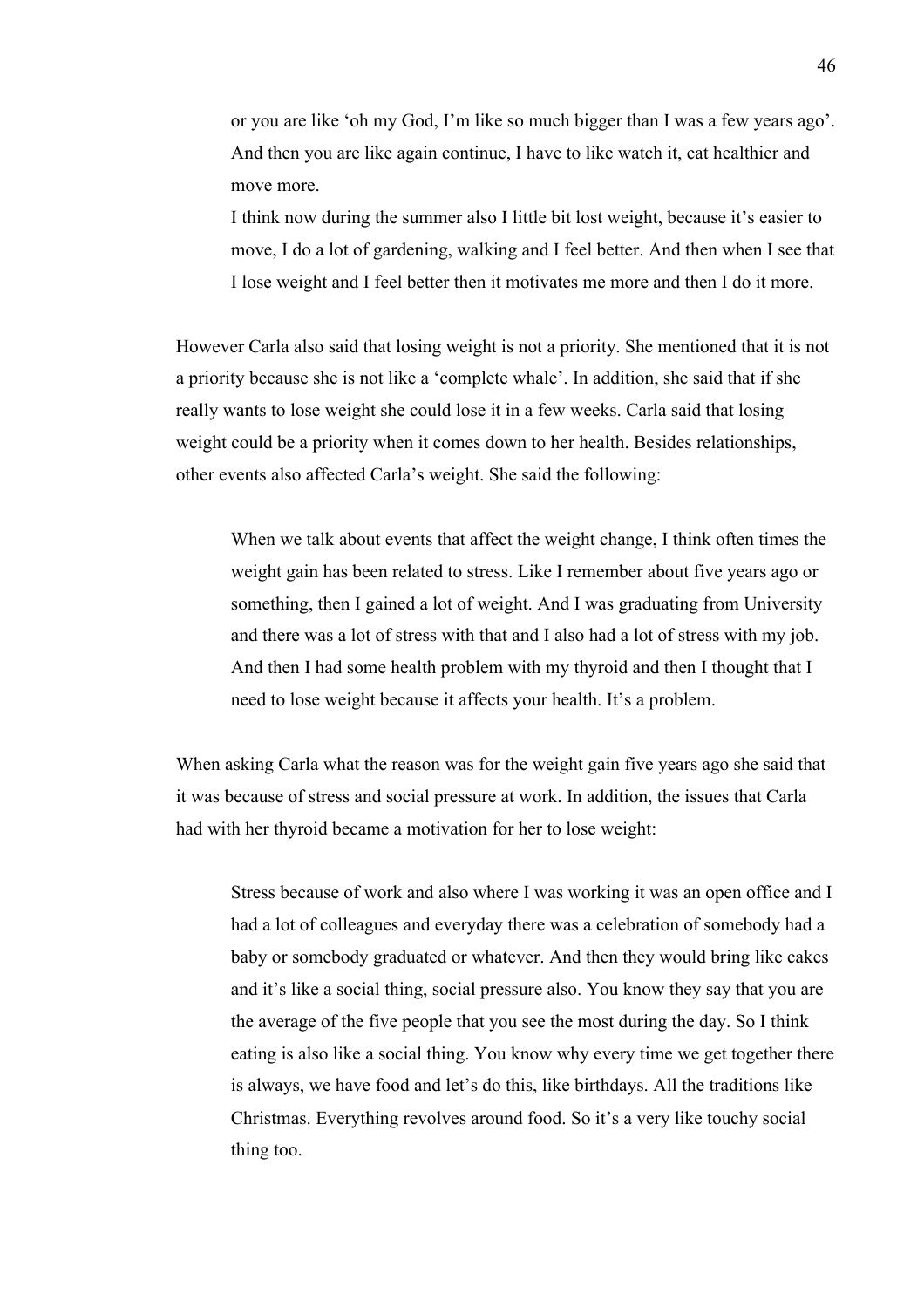or you are like 'oh my God, I'm like so much bigger than I was a few years ago'. And then you are like again continue, I have to like watch it, eat healthier and move more.

I think now during the summer also I little bit lost weight, because it's easier to move, I do a lot of gardening, walking and I feel better. And then when I see that I lose weight and I feel better then it motivates me more and then I do it more.

However Carla also said that losing weight is not a priority. She mentioned that it is not a priority because she is not like a 'complete whale'. In addition, she said that if she really wants to lose weight she could lose it in a few weeks. Carla said that losing weight could be a priority when it comes down to her health. Besides relationships, other events also affected Carla's weight. She said the following:

When we talk about events that affect the weight change, I think often times the weight gain has been related to stress. Like I remember about five years ago or something, then I gained a lot of weight. And I was graduating from University and there was a lot of stress with that and I also had a lot of stress with my job. And then I had some health problem with my thyroid and then I thought that I need to lose weight because it affects your health. It's a problem.

When asking Carla what the reason was for the weight gain five years ago she said that it was because of stress and social pressure at work. In addition, the issues that Carla had with her thyroid became a motivation for her to lose weight:

Stress because of work and also where I was working it was an open office and I had a lot of colleagues and everyday there was a celebration of somebody had a baby or somebody graduated or whatever. And then they would bring like cakes and it's like a social thing, social pressure also. You know they say that you are the average of the five people that you see the most during the day. So I think eating is also like a social thing. You know why every time we get together there is always, we have food and let's do this, like birthdays. All the traditions like Christmas. Everything revolves around food. So it's a very like touchy social thing too.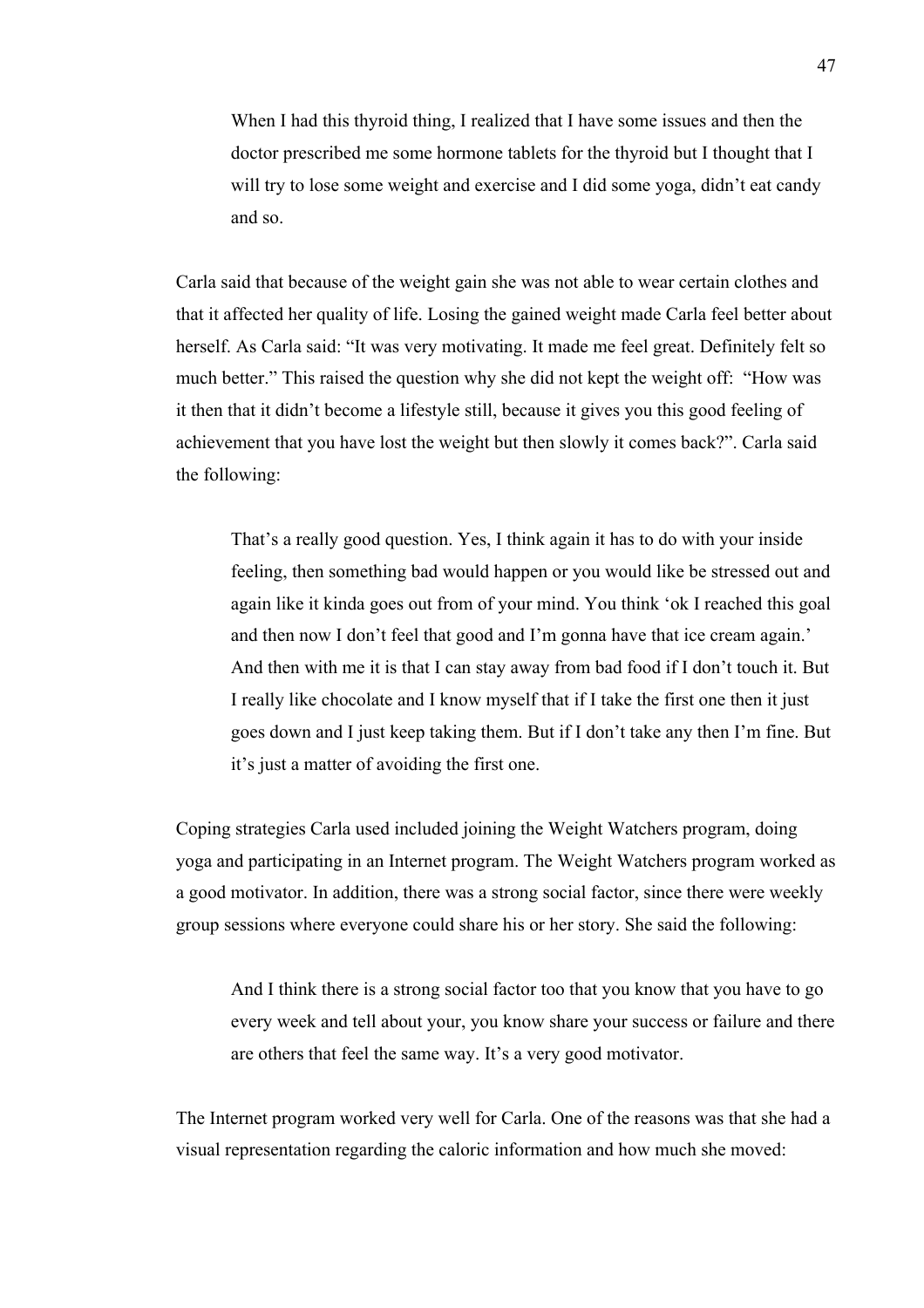When I had this thyroid thing, I realized that I have some issues and then the doctor prescribed me some hormone tablets for the thyroid but I thought that I will try to lose some weight and exercise and I did some yoga, didn't eat candy and so.

Carla said that because of the weight gain she was not able to wear certain clothes and that it affected her quality of life. Losing the gained weight made Carla feel better about herself. As Carla said: "It was very motivating. It made me feel great. Definitely felt so much better." This raised the question why she did not kept the weight off: "How was it then that it didn't become a lifestyle still, because it gives you this good feeling of achievement that you have lost the weight but then slowly it comes back?". Carla said the following:

That's a really good question. Yes, I think again it has to do with your inside feeling, then something bad would happen or you would like be stressed out and again like it kinda goes out from of your mind. You think 'ok I reached this goal and then now I don't feel that good and I'm gonna have that ice cream again.' And then with me it is that I can stay away from bad food if I don't touch it. But I really like chocolate and I know myself that if I take the first one then it just goes down and I just keep taking them. But if I don't take any then I'm fine. But it's just a matter of avoiding the first one.

Coping strategies Carla used included joining the Weight Watchers program, doing yoga and participating in an Internet program. The Weight Watchers program worked as a good motivator. In addition, there was a strong social factor, since there were weekly group sessions where everyone could share his or her story. She said the following:

And I think there is a strong social factor too that you know that you have to go every week and tell about your, you know share your success or failure and there are others that feel the same way. It's a very good motivator.

The Internet program worked very well for Carla. One of the reasons was that she had a visual representation regarding the caloric information and how much she moved: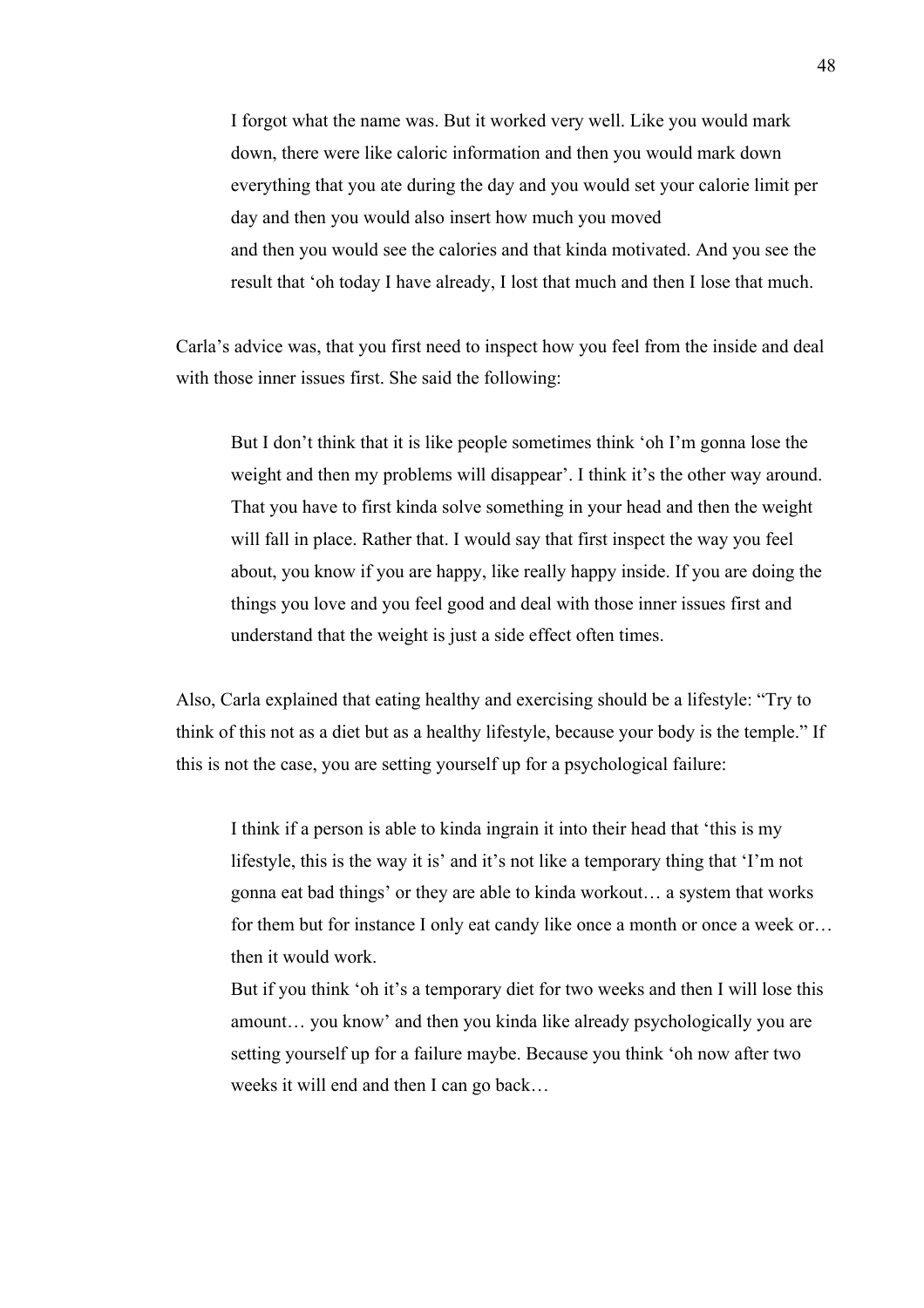I forgot what the name was. But it worked very well. Like you would mark down, there were like caloric information and then you would mark down everything that you ate during the day and you would set your calorie limit per day and then you would also insert how much you moved and then you would see the calories and that kinda motivated. And you see the result that 'oh today I have already, I lost that much and then I lose that much.

Carla's advice was, that you first need to inspect how you feel from the inside and deal with those inner issues first. She said the following:

But I don't think that it is like people sometimes think 'oh I'm gonna lose the weight and then my problems will disappear'. I think it's the other way around. That you have to first kinda solve something in your head and then the weight will fall in place. Rather that. I would say that first inspect the way you feel about, you know if you are happy, like really happy inside. If you are doing the things you love and you feel good and deal with those inner issues first and understand that the weight is just a side effect often times.

Also, Carla explained that eating healthy and exercising should be a lifestyle: "Try to think of this not as a diet but as a healthy lifestyle, because your body is the temple." If this is not the case, you are setting yourself up for a psychological failure:

I think if a person is able to kinda ingrain it into their head that 'this is my lifestyle, this is the way it is' and it's not like a temporary thing that 'I'm not gonna eat bad things' or they are able to kinda workout… a system that works for them but for instance I only eat candy like once a month or once a week or… then it would work.

But if you think 'oh it's a temporary diet for two weeks and then I will lose this amount… you know' and then you kinda like already psychologically you are setting yourself up for a failure maybe. Because you think 'oh now after two weeks it will end and then I can go back…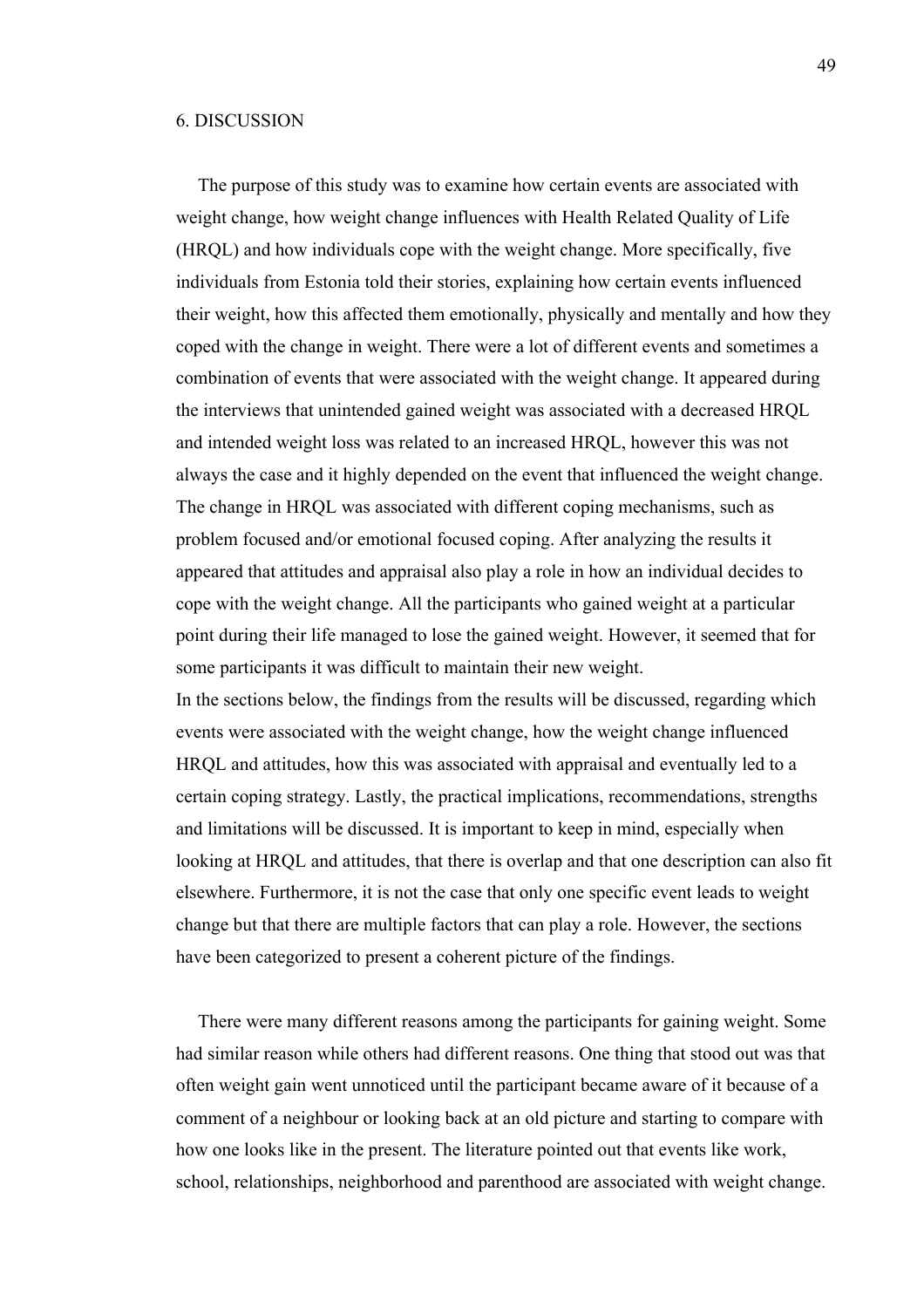#### 6. DISCUSSION

The purpose of this study was to examine how certain events are associated with weight change, how weight change influences with Health Related Quality of Life (HRQL) and how individuals cope with the weight change. More specifically, five individuals from Estonia told their stories, explaining how certain events influenced their weight, how this affected them emotionally, physically and mentally and how they coped with the change in weight. There were a lot of different events and sometimes a combination of events that were associated with the weight change. It appeared during the interviews that unintended gained weight was associated with a decreased HRQL and intended weight loss was related to an increased HRQL, however this was not always the case and it highly depended on the event that influenced the weight change. The change in HRQL was associated with different coping mechanisms, such as problem focused and/or emotional focused coping. After analyzing the results it appeared that attitudes and appraisal also play a role in how an individual decides to cope with the weight change. All the participants who gained weight at a particular point during their life managed to lose the gained weight. However, it seemed that for some participants it was difficult to maintain their new weight.

In the sections below, the findings from the results will be discussed, regarding which events were associated with the weight change, how the weight change influenced HRQL and attitudes, how this was associated with appraisal and eventually led to a certain coping strategy. Lastly, the practical implications, recommendations, strengths and limitations will be discussed. It is important to keep in mind, especially when looking at HRQL and attitudes, that there is overlap and that one description can also fit elsewhere. Furthermore, it is not the case that only one specific event leads to weight change but that there are multiple factors that can play a role. However, the sections have been categorized to present a coherent picture of the findings.

There were many different reasons among the participants for gaining weight. Some had similar reason while others had different reasons. One thing that stood out was that often weight gain went unnoticed until the participant became aware of it because of a comment of a neighbour or looking back at an old picture and starting to compare with how one looks like in the present. The literature pointed out that events like work, school, relationships, neighborhood and parenthood are associated with weight change.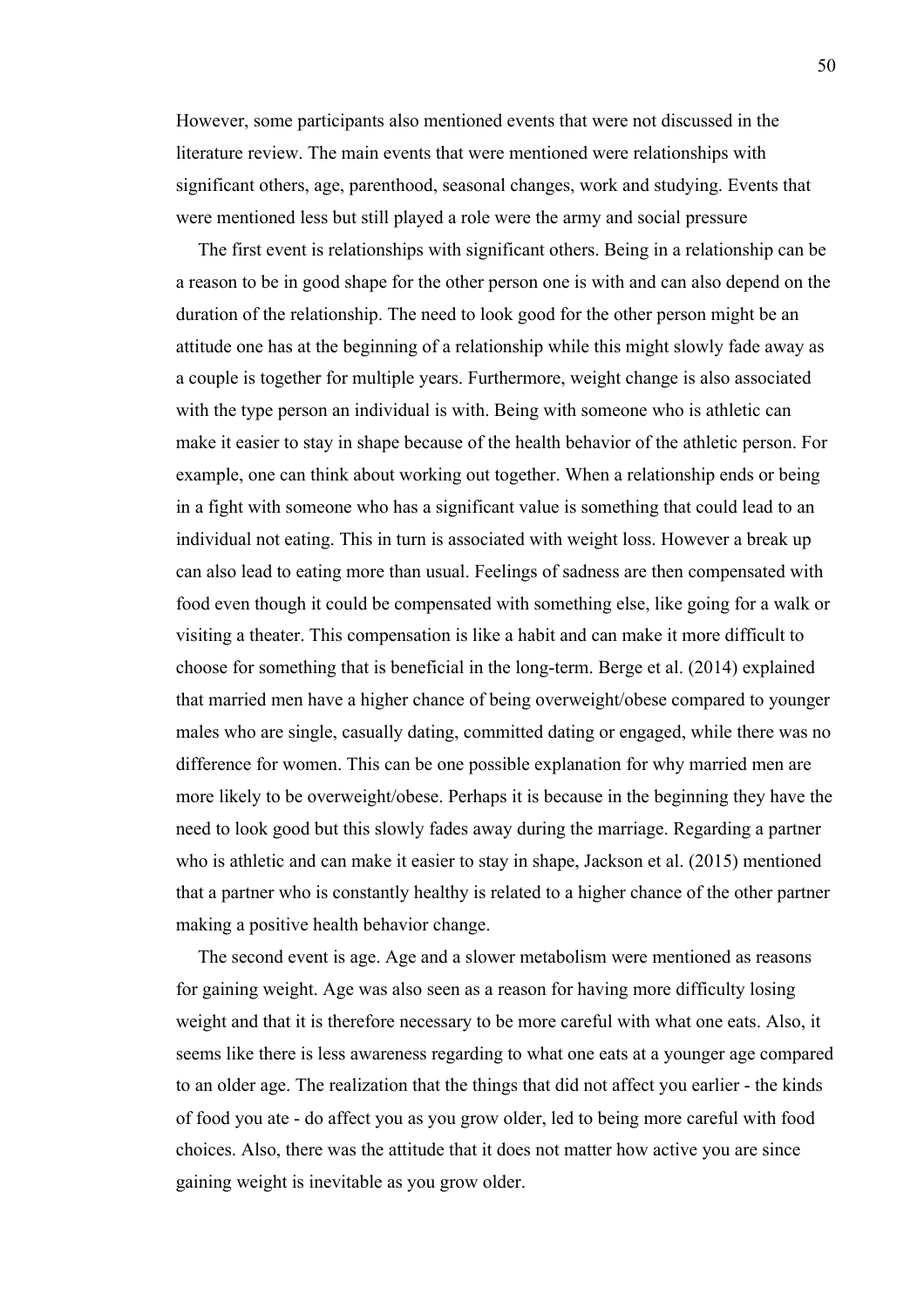However, some participants also mentioned events that were not discussed in the literature review. The main events that were mentioned were relationships with significant others, age, parenthood, seasonal changes, work and studying. Events that were mentioned less but still played a role were the army and social pressure

The first event is relationships with significant others. Being in a relationship can be a reason to be in good shape for the other person one is with and can also depend on the duration of the relationship. The need to look good for the other person might be an attitude one has at the beginning of a relationship while this might slowly fade away as a couple is together for multiple years. Furthermore, weight change is also associated with the type person an individual is with. Being with someone who is athletic can make it easier to stay in shape because of the health behavior of the athletic person. For example, one can think about working out together. When a relationship ends or being in a fight with someone who has a significant value is something that could lead to an individual not eating. This in turn is associated with weight loss. However a break up can also lead to eating more than usual. Feelings of sadness are then compensated with food even though it could be compensated with something else, like going for a walk or visiting a theater. This compensation is like a habit and can make it more difficult to choose for something that is beneficial in the long-term. Berge et al. (2014) explained that married men have a higher chance of being overweight/obese compared to younger males who are single, casually dating, committed dating or engaged, while there was no difference for women. This can be one possible explanation for why married men are more likely to be overweight/obese. Perhaps it is because in the beginning they have the need to look good but this slowly fades away during the marriage. Regarding a partner who is athletic and can make it easier to stay in shape, Jackson et al. (2015) mentioned that a partner who is constantly healthy is related to a higher chance of the other partner making a positive health behavior change.

The second event is age. Age and a slower metabolism were mentioned as reasons for gaining weight. Age was also seen as a reason for having more difficulty losing weight and that it is therefore necessary to be more careful with what one eats. Also, it seems like there is less awareness regarding to what one eats at a younger age compared to an older age. The realization that the things that did not affect you earlier - the kinds of food you ate - do affect you as you grow older, led to being more careful with food choices. Also, there was the attitude that it does not matter how active you are since gaining weight is inevitable as you grow older.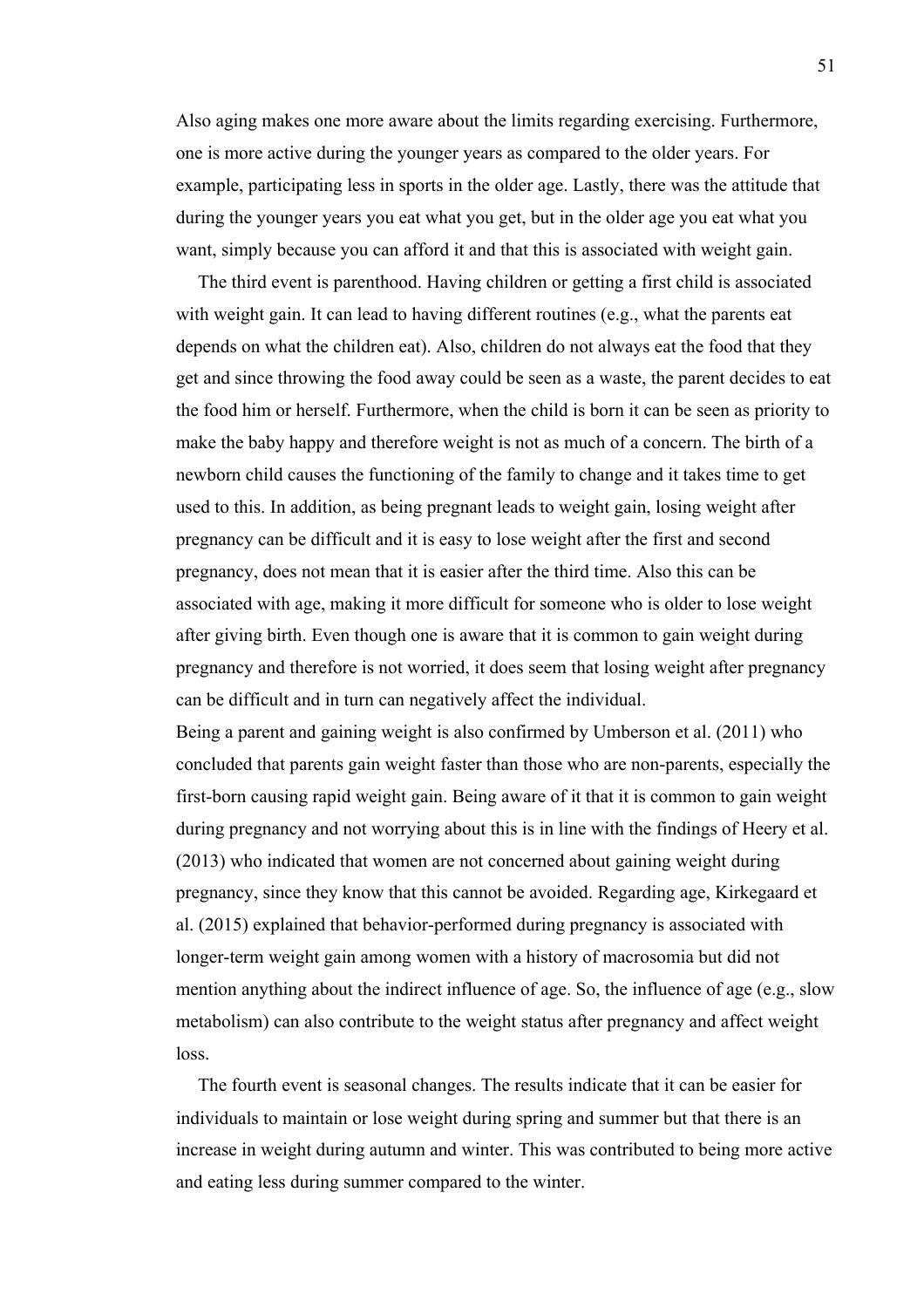Also aging makes one more aware about the limits regarding exercising. Furthermore, one is more active during the younger years as compared to the older years. For example, participating less in sports in the older age. Lastly, there was the attitude that during the younger years you eat what you get, but in the older age you eat what you want, simply because you can afford it and that this is associated with weight gain.

The third event is parenthood. Having children or getting a first child is associated with weight gain. It can lead to having different routines (e.g., what the parents eat depends on what the children eat). Also, children do not always eat the food that they get and since throwing the food away could be seen as a waste, the parent decides to eat the food him or herself. Furthermore, when the child is born it can be seen as priority to make the baby happy and therefore weight is not as much of a concern. The birth of a newborn child causes the functioning of the family to change and it takes time to get used to this. In addition, as being pregnant leads to weight gain, losing weight after pregnancy can be difficult and it is easy to lose weight after the first and second pregnancy, does not mean that it is easier after the third time. Also this can be associated with age, making it more difficult for someone who is older to lose weight after giving birth. Even though one is aware that it is common to gain weight during pregnancy and therefore is not worried, it does seem that losing weight after pregnancy can be difficult and in turn can negatively affect the individual.

Being a parent and gaining weight is also confirmed by Umberson et al. (2011) who concluded that parents gain weight faster than those who are non-parents, especially the first-born causing rapid weight gain. Being aware of it that it is common to gain weight during pregnancy and not worrying about this is in line with the findings of Heery et al. (2013) who indicated that women are not concerned about gaining weight during pregnancy, since they know that this cannot be avoided. Regarding age, Kirkegaard et al. (2015) explained that behavior-performed during pregnancy is associated with longer-term weight gain among women with a history of macrosomia but did not mention anything about the indirect influence of age. So, the influence of age (e.g., slow metabolism) can also contribute to the weight status after pregnancy and affect weight loss.

The fourth event is seasonal changes. The results indicate that it can be easier for individuals to maintain or lose weight during spring and summer but that there is an increase in weight during autumn and winter. This was contributed to being more active and eating less during summer compared to the winter.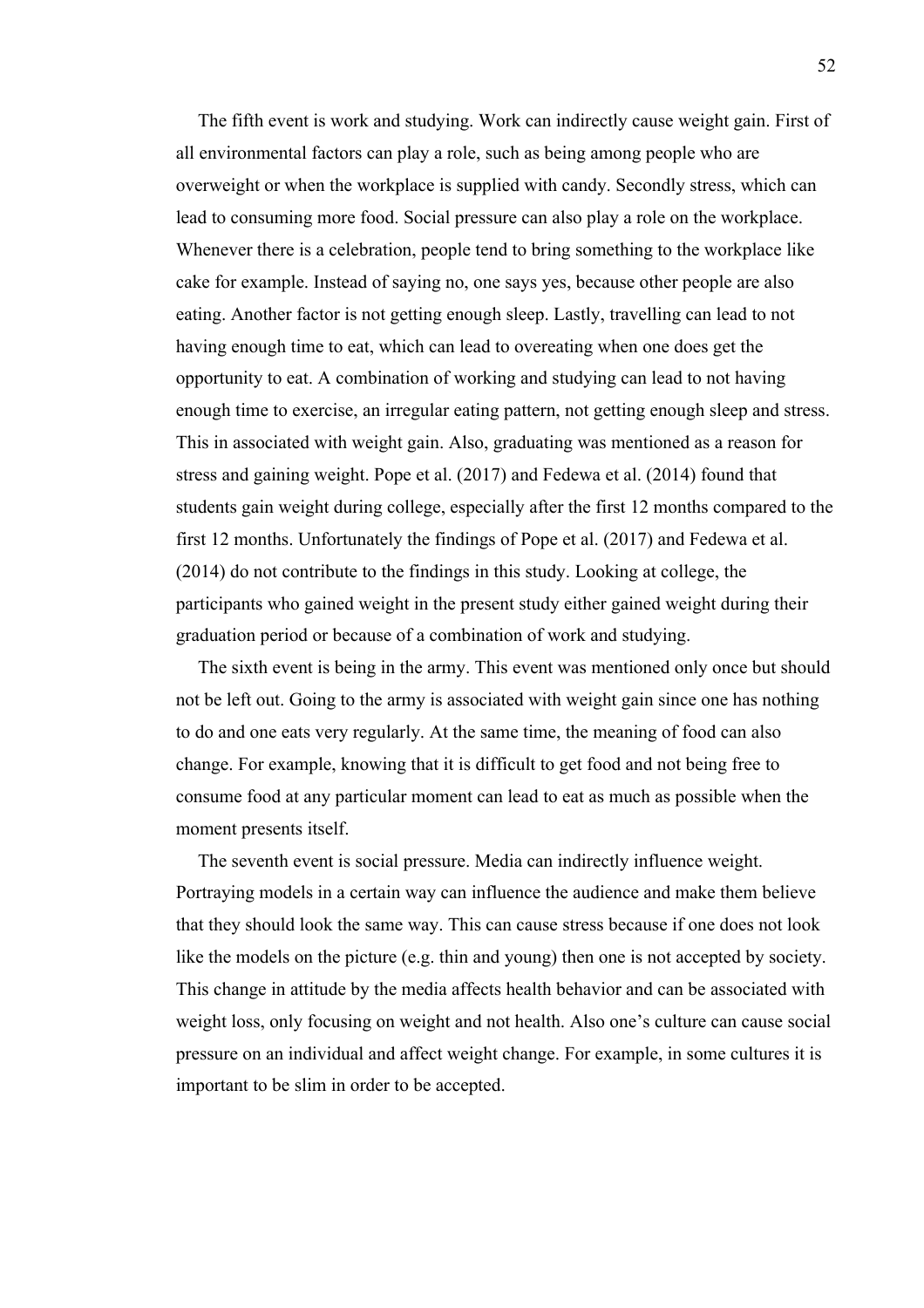The fifth event is work and studying. Work can indirectly cause weight gain. First of all environmental factors can play a role, such as being among people who are overweight or when the workplace is supplied with candy. Secondly stress, which can lead to consuming more food. Social pressure can also play a role on the workplace. Whenever there is a celebration, people tend to bring something to the workplace like cake for example. Instead of saying no, one says yes, because other people are also eating. Another factor is not getting enough sleep. Lastly, travelling can lead to not having enough time to eat, which can lead to overeating when one does get the opportunity to eat. A combination of working and studying can lead to not having enough time to exercise, an irregular eating pattern, not getting enough sleep and stress. This in associated with weight gain. Also, graduating was mentioned as a reason for stress and gaining weight. Pope et al. (2017) and Fedewa et al. (2014) found that students gain weight during college, especially after the first 12 months compared to the first 12 months. Unfortunately the findings of Pope et al. (2017) and Fedewa et al. (2014) do not contribute to the findings in this study. Looking at college, the participants who gained weight in the present study either gained weight during their graduation period or because of a combination of work and studying.

The sixth event is being in the army. This event was mentioned only once but should not be left out. Going to the army is associated with weight gain since one has nothing to do and one eats very regularly. At the same time, the meaning of food can also change. For example, knowing that it is difficult to get food and not being free to consume food at any particular moment can lead to eat as much as possible when the moment presents itself.

The seventh event is social pressure. Media can indirectly influence weight. Portraying models in a certain way can influence the audience and make them believe that they should look the same way. This can cause stress because if one does not look like the models on the picture (e.g. thin and young) then one is not accepted by society. This change in attitude by the media affects health behavior and can be associated with weight loss, only focusing on weight and not health. Also one's culture can cause social pressure on an individual and affect weight change. For example, in some cultures it is important to be slim in order to be accepted.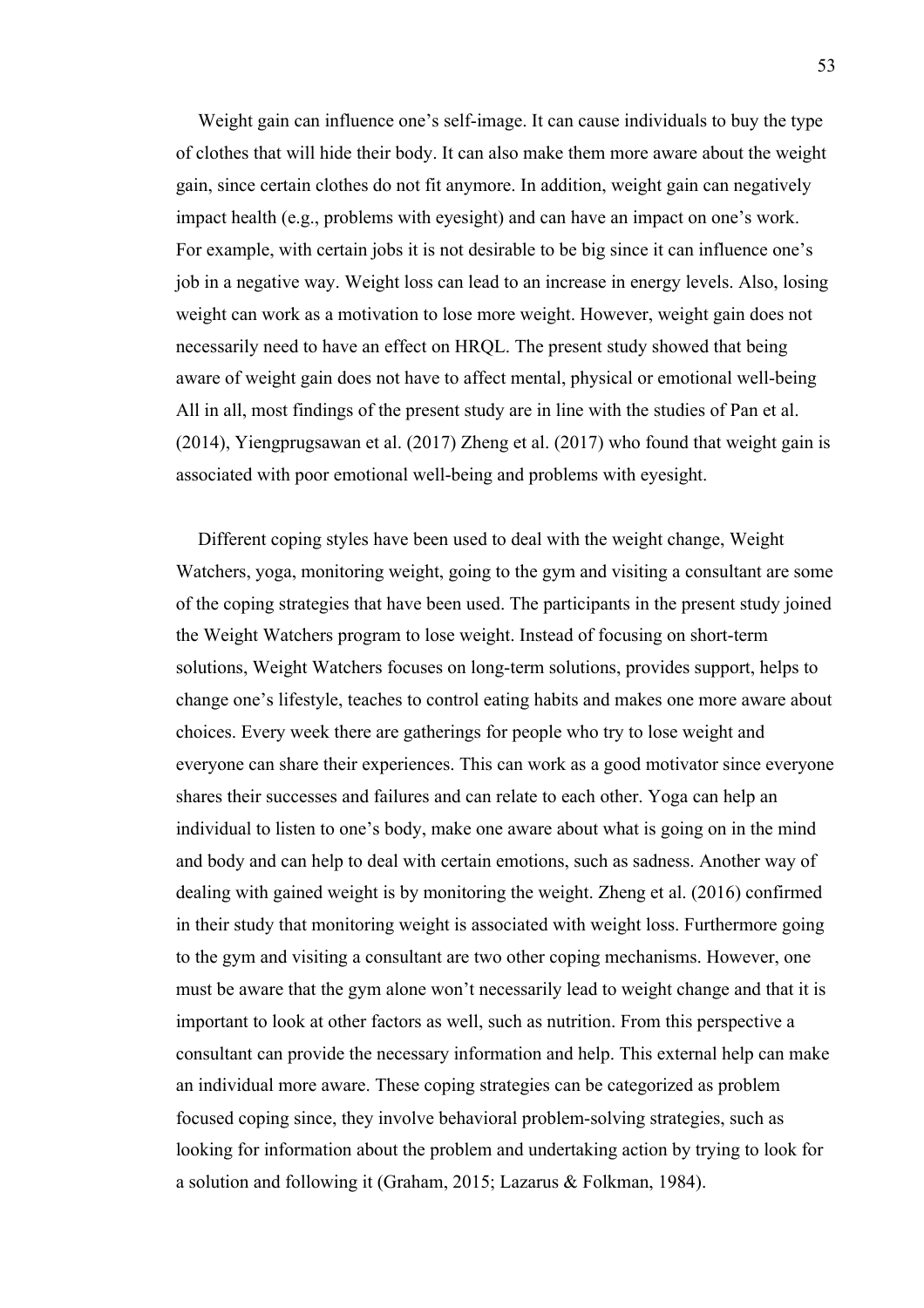Weight gain can influence one's self-image. It can cause individuals to buy the type of clothes that will hide their body. It can also make them more aware about the weight gain, since certain clothes do not fit anymore. In addition, weight gain can negatively impact health (e.g., problems with eyesight) and can have an impact on one's work. For example, with certain jobs it is not desirable to be big since it can influence one's job in a negative way. Weight loss can lead to an increase in energy levels. Also, losing weight can work as a motivation to lose more weight. However, weight gain does not necessarily need to have an effect on HRQL. The present study showed that being aware of weight gain does not have to affect mental, physical or emotional well-being All in all, most findings of the present study are in line with the studies of Pan et al. (2014), Yiengprugsawan et al. (2017) Zheng et al. (2017) who found that weight gain is associated with poor emotional well-being and problems with eyesight.

Different coping styles have been used to deal with the weight change, Weight Watchers, yoga, monitoring weight, going to the gym and visiting a consultant are some of the coping strategies that have been used. The participants in the present study joined the Weight Watchers program to lose weight. Instead of focusing on short-term solutions, Weight Watchers focuses on long-term solutions, provides support, helps to change one's lifestyle, teaches to control eating habits and makes one more aware about choices. Every week there are gatherings for people who try to lose weight and everyone can share their experiences. This can work as a good motivator since everyone shares their successes and failures and can relate to each other. Yoga can help an individual to listen to one's body, make one aware about what is going on in the mind and body and can help to deal with certain emotions, such as sadness. Another way of dealing with gained weight is by monitoring the weight. Zheng et al. (2016) confirmed in their study that monitoring weight is associated with weight loss. Furthermore going to the gym and visiting a consultant are two other coping mechanisms. However, one must be aware that the gym alone won't necessarily lead to weight change and that it is important to look at other factors as well, such as nutrition. From this perspective a consultant can provide the necessary information and help. This external help can make an individual more aware. These coping strategies can be categorized as problem focused coping since, they involve behavioral problem-solving strategies, such as looking for information about the problem and undertaking action by trying to look for a solution and following it (Graham, 2015; Lazarus & Folkman, 1984).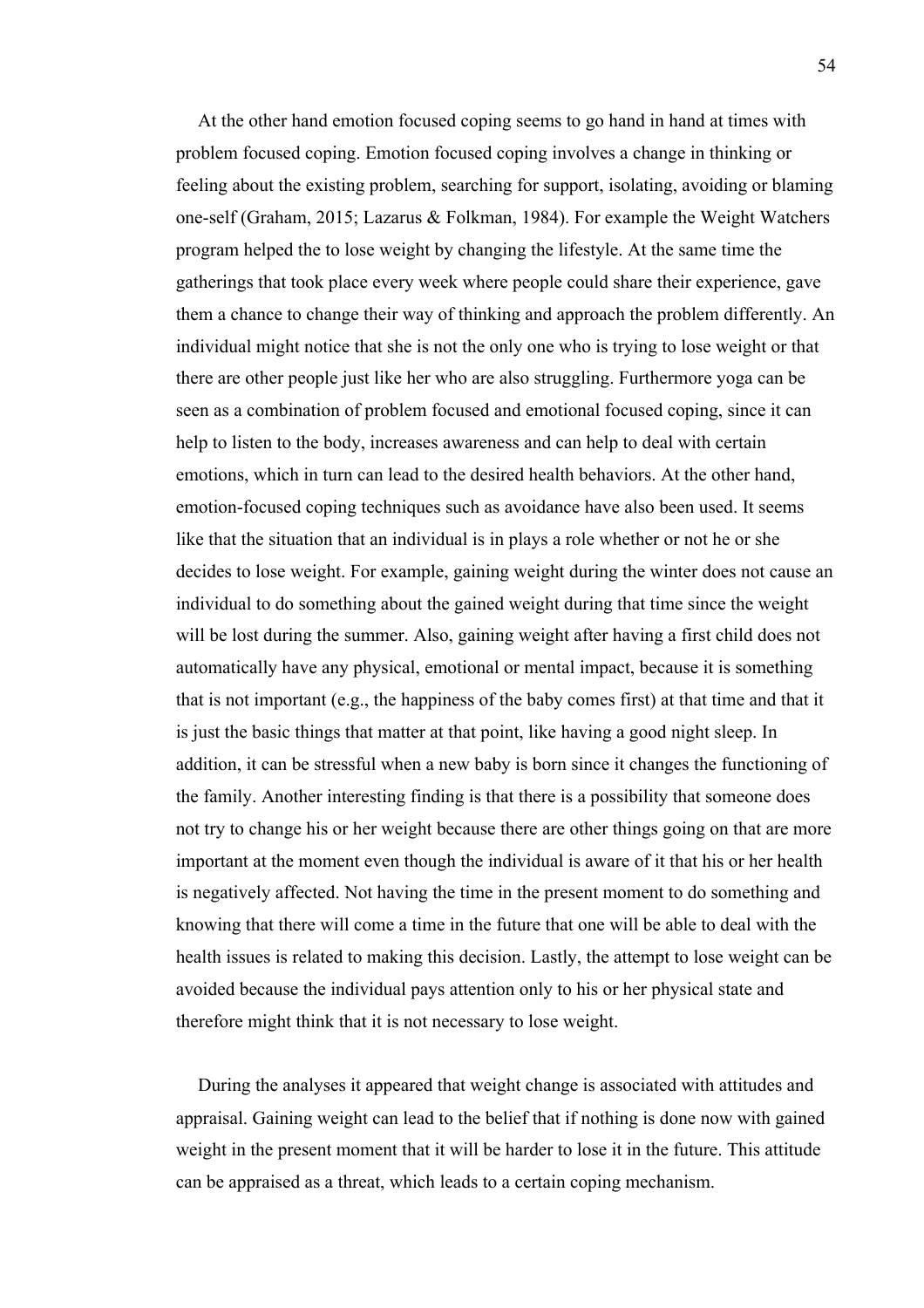At the other hand emotion focused coping seems to go hand in hand at times with problem focused coping. Emotion focused coping involves a change in thinking or feeling about the existing problem, searching for support, isolating, avoiding or blaming one-self (Graham, 2015; Lazarus & Folkman, 1984). For example the Weight Watchers program helped the to lose weight by changing the lifestyle. At the same time the gatherings that took place every week where people could share their experience, gave them a chance to change their way of thinking and approach the problem differently. An individual might notice that she is not the only one who is trying to lose weight or that there are other people just like her who are also struggling. Furthermore yoga can be seen as a combination of problem focused and emotional focused coping, since it can help to listen to the body, increases awareness and can help to deal with certain emotions, which in turn can lead to the desired health behaviors. At the other hand, emotion-focused coping techniques such as avoidance have also been used. It seems like that the situation that an individual is in plays a role whether or not he or she decides to lose weight. For example, gaining weight during the winter does not cause an individual to do something about the gained weight during that time since the weight will be lost during the summer. Also, gaining weight after having a first child does not automatically have any physical, emotional or mental impact, because it is something that is not important (e.g., the happiness of the baby comes first) at that time and that it is just the basic things that matter at that point, like having a good night sleep. In addition, it can be stressful when a new baby is born since it changes the functioning of the family. Another interesting finding is that there is a possibility that someone does not try to change his or her weight because there are other things going on that are more important at the moment even though the individual is aware of it that his or her health is negatively affected. Not having the time in the present moment to do something and knowing that there will come a time in the future that one will be able to deal with the health issues is related to making this decision. Lastly, the attempt to lose weight can be avoided because the individual pays attention only to his or her physical state and therefore might think that it is not necessary to lose weight.

During the analyses it appeared that weight change is associated with attitudes and appraisal. Gaining weight can lead to the belief that if nothing is done now with gained weight in the present moment that it will be harder to lose it in the future. This attitude can be appraised as a threat, which leads to a certain coping mechanism.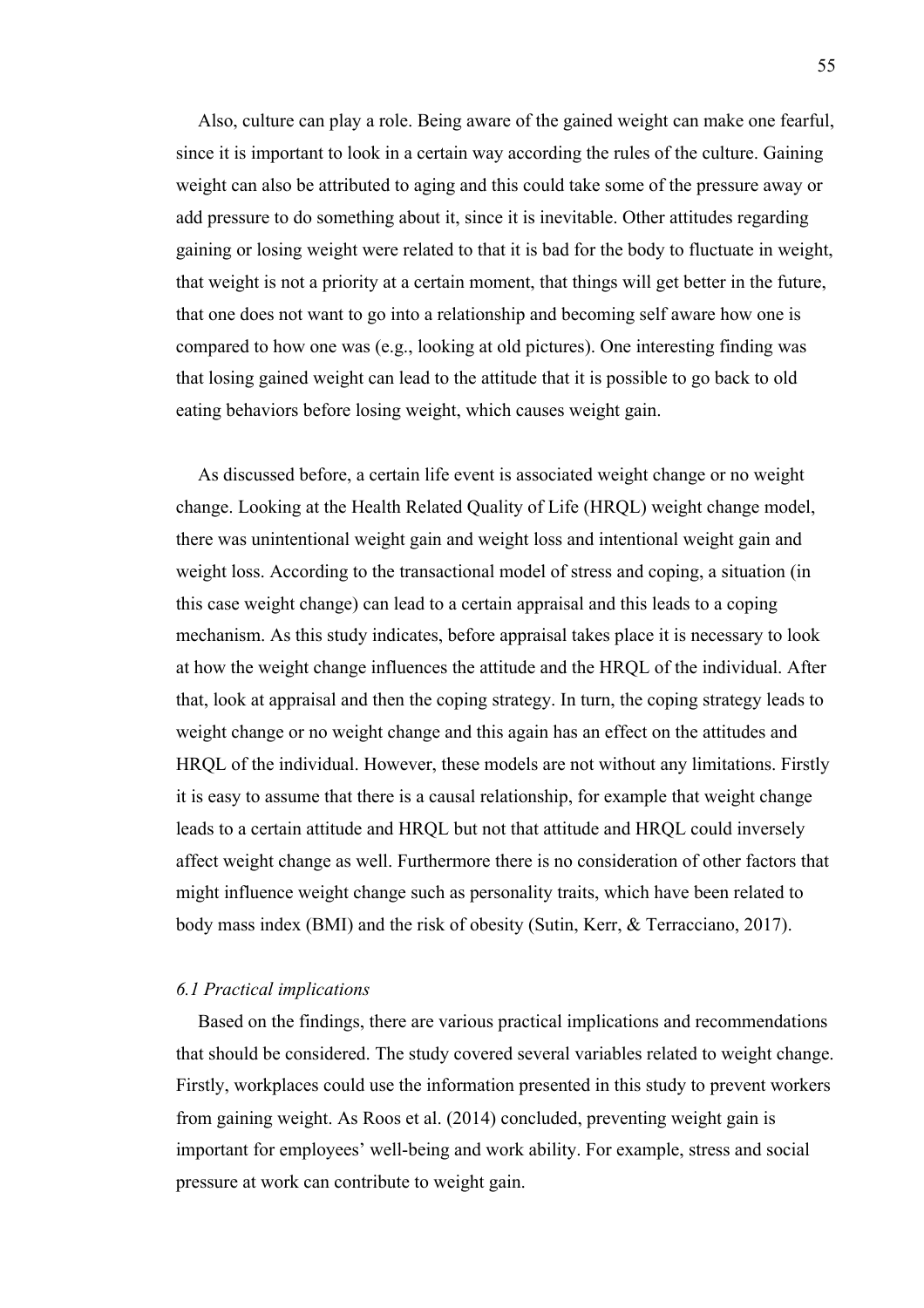Also, culture can play a role. Being aware of the gained weight can make one fearful, since it is important to look in a certain way according the rules of the culture. Gaining weight can also be attributed to aging and this could take some of the pressure away or add pressure to do something about it, since it is inevitable. Other attitudes regarding gaining or losing weight were related to that it is bad for the body to fluctuate in weight, that weight is not a priority at a certain moment, that things will get better in the future, that one does not want to go into a relationship and becoming self aware how one is compared to how one was (e.g., looking at old pictures). One interesting finding was that losing gained weight can lead to the attitude that it is possible to go back to old eating behaviors before losing weight, which causes weight gain.

As discussed before, a certain life event is associated weight change or no weight change. Looking at the Health Related Quality of Life (HRQL) weight change model, there was unintentional weight gain and weight loss and intentional weight gain and weight loss. According to the transactional model of stress and coping, a situation (in this case weight change) can lead to a certain appraisal and this leads to a coping mechanism. As this study indicates, before appraisal takes place it is necessary to look at how the weight change influences the attitude and the HRQL of the individual. After that, look at appraisal and then the coping strategy. In turn, the coping strategy leads to weight change or no weight change and this again has an effect on the attitudes and HRQL of the individual. However, these models are not without any limitations. Firstly it is easy to assume that there is a causal relationship, for example that weight change leads to a certain attitude and HRQL but not that attitude and HRQL could inversely affect weight change as well. Furthermore there is no consideration of other factors that might influence weight change such as personality traits, which have been related to body mass index (BMI) and the risk of obesity (Sutin, Kerr, & Terracciano, 2017).

#### *6.1 Practical implications*

Based on the findings, there are various practical implications and recommendations that should be considered. The study covered several variables related to weight change. Firstly, workplaces could use the information presented in this study to prevent workers from gaining weight. As Roos et al. (2014) concluded, preventing weight gain is important for employees' well-being and work ability. For example, stress and social pressure at work can contribute to weight gain.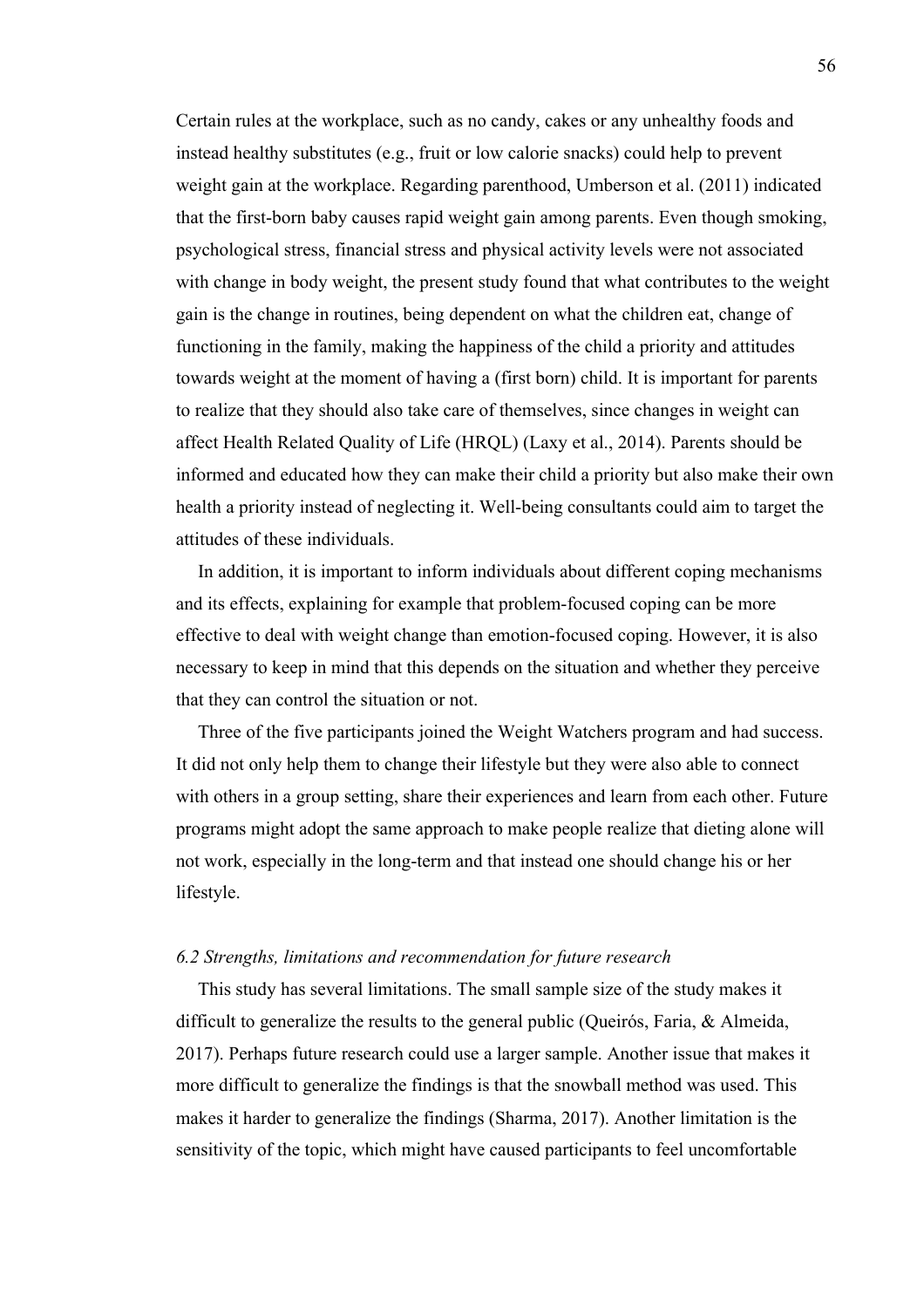Certain rules at the workplace, such as no candy, cakes or any unhealthy foods and instead healthy substitutes (e.g., fruit or low calorie snacks) could help to prevent weight gain at the workplace. Regarding parenthood, Umberson et al. (2011) indicated that the first-born baby causes rapid weight gain among parents. Even though smoking, psychological stress, financial stress and physical activity levels were not associated with change in body weight, the present study found that what contributes to the weight gain is the change in routines, being dependent on what the children eat, change of functioning in the family, making the happiness of the child a priority and attitudes towards weight at the moment of having a (first born) child. It is important for parents to realize that they should also take care of themselves, since changes in weight can affect Health Related Quality of Life (HRQL) (Laxy et al., 2014). Parents should be informed and educated how they can make their child a priority but also make their own health a priority instead of neglecting it. Well-being consultants could aim to target the attitudes of these individuals.

In addition, it is important to inform individuals about different coping mechanisms and its effects, explaining for example that problem-focused coping can be more effective to deal with weight change than emotion-focused coping. However, it is also necessary to keep in mind that this depends on the situation and whether they perceive that they can control the situation or not.

Three of the five participants joined the Weight Watchers program and had success. It did not only help them to change their lifestyle but they were also able to connect with others in a group setting, share their experiences and learn from each other. Future programs might adopt the same approach to make people realize that dieting alone will not work, especially in the long-term and that instead one should change his or her lifestyle.

## *6.2 Strengths, limitations and recommendation for future research*

This study has several limitations. The small sample size of the study makes it difficult to generalize the results to the general public (Queirós, Faria, & Almeida, 2017). Perhaps future research could use a larger sample. Another issue that makes it more difficult to generalize the findings is that the snowball method was used. This makes it harder to generalize the findings (Sharma, 2017). Another limitation is the sensitivity of the topic, which might have caused participants to feel uncomfortable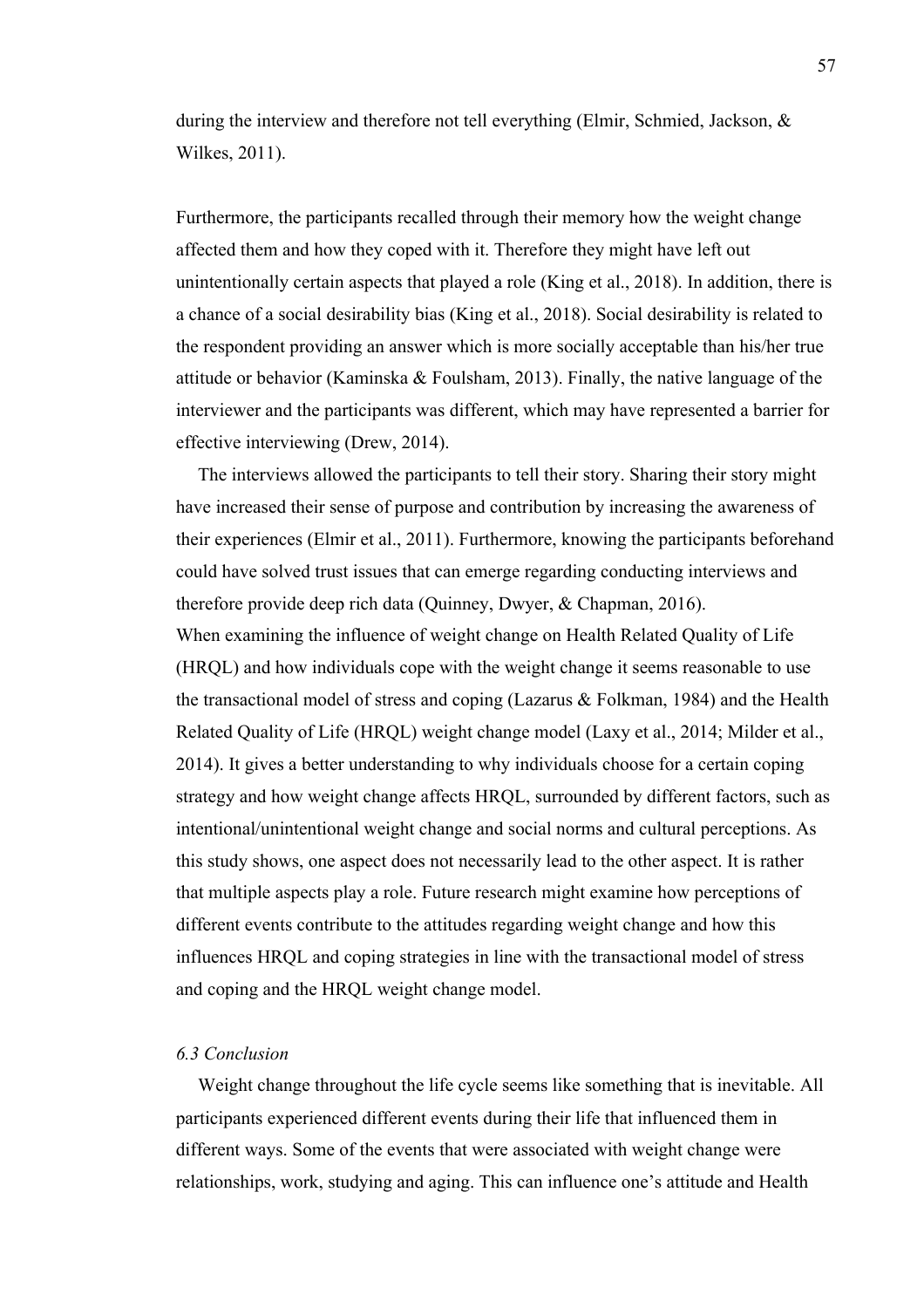during the interview and therefore not tell everything (Elmir, Schmied, Jackson, & Wilkes, 2011).

Furthermore, the participants recalled through their memory how the weight change affected them and how they coped with it. Therefore they might have left out unintentionally certain aspects that played a role (King et al., 2018). In addition, there is a chance of a social desirability bias (King et al., 2018). Social desirability is related to the respondent providing an answer which is more socially acceptable than his/her true attitude or behavior (Kaminska & Foulsham, 2013). Finally, the native language of the interviewer and the participants was different, which may have represented a barrier for effective interviewing (Drew, 2014).

The interviews allowed the participants to tell their story. Sharing their story might have increased their sense of purpose and contribution by increasing the awareness of their experiences (Elmir et al., 2011). Furthermore, knowing the participants beforehand could have solved trust issues that can emerge regarding conducting interviews and therefore provide deep rich data (Quinney, Dwyer, & Chapman, 2016). When examining the influence of weight change on Health Related Quality of Life (HRQL) and how individuals cope with the weight change it seems reasonable to use the transactional model of stress and coping (Lazarus & Folkman, 1984) and the Health Related Quality of Life (HRQL) weight change model (Laxy et al., 2014; Milder et al., 2014). It gives a better understanding to why individuals choose for a certain coping strategy and how weight change affects HRQL, surrounded by different factors, such as intentional/unintentional weight change and social norms and cultural perceptions. As this study shows, one aspect does not necessarily lead to the other aspect. It is rather that multiple aspects play a role. Future research might examine how perceptions of different events contribute to the attitudes regarding weight change and how this influences HRQL and coping strategies in line with the transactional model of stress and coping and the HRQL weight change model.

## *6.3 Conclusion*

Weight change throughout the life cycle seems like something that is inevitable. All participants experienced different events during their life that influenced them in different ways. Some of the events that were associated with weight change were relationships, work, studying and aging. This can influence one's attitude and Health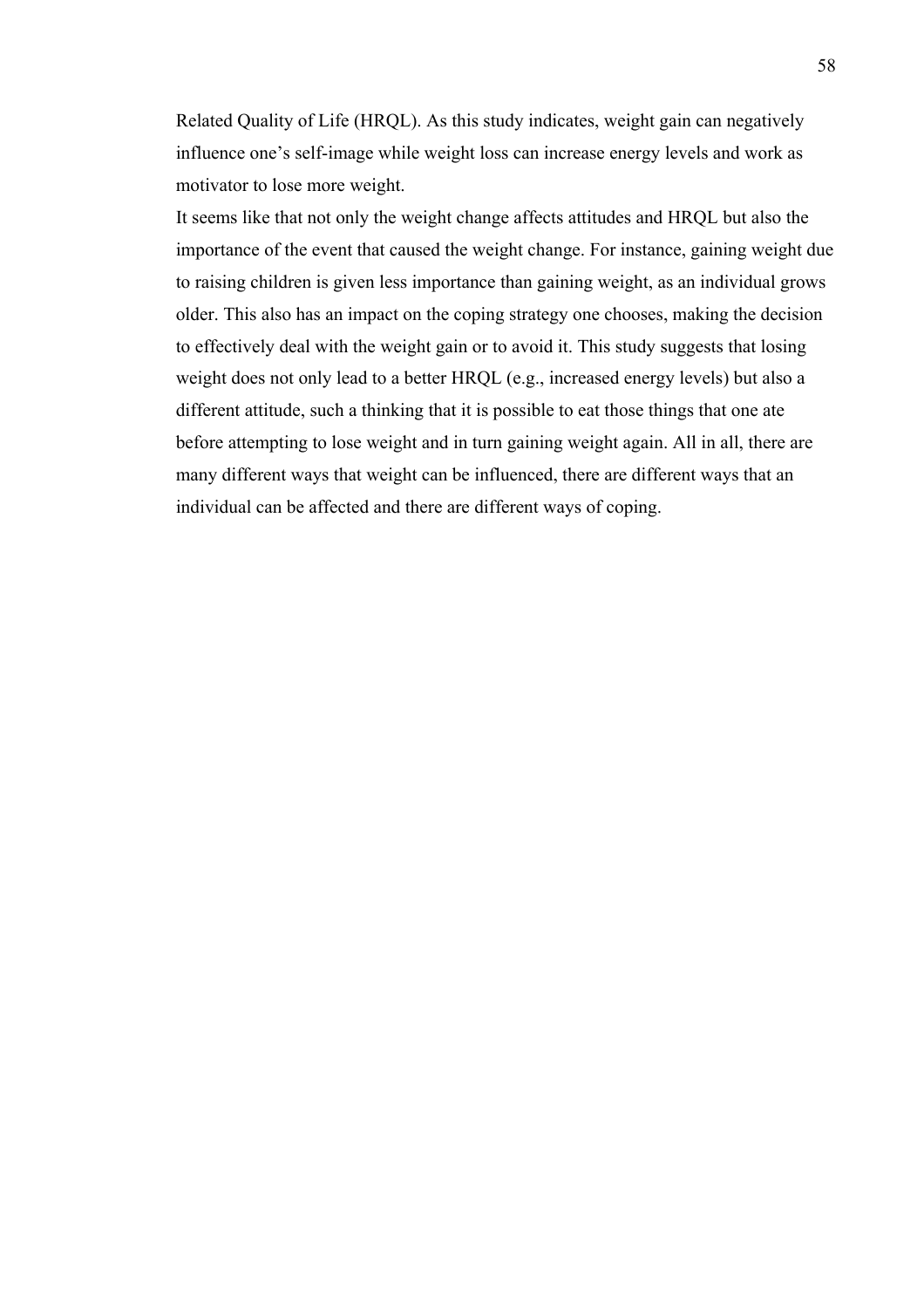Related Quality of Life (HRQL). As this study indicates, weight gain can negatively influence one's self-image while weight loss can increase energy levels and work as motivator to lose more weight.

It seems like that not only the weight change affects attitudes and HRQL but also the importance of the event that caused the weight change. For instance, gaining weight due to raising children is given less importance than gaining weight, as an individual grows older. This also has an impact on the coping strategy one chooses, making the decision to effectively deal with the weight gain or to avoid it. This study suggests that losing weight does not only lead to a better HRQL (e.g., increased energy levels) but also a different attitude, such a thinking that it is possible to eat those things that one ate before attempting to lose weight and in turn gaining weight again. All in all, there are many different ways that weight can be influenced, there are different ways that an individual can be affected and there are different ways of coping.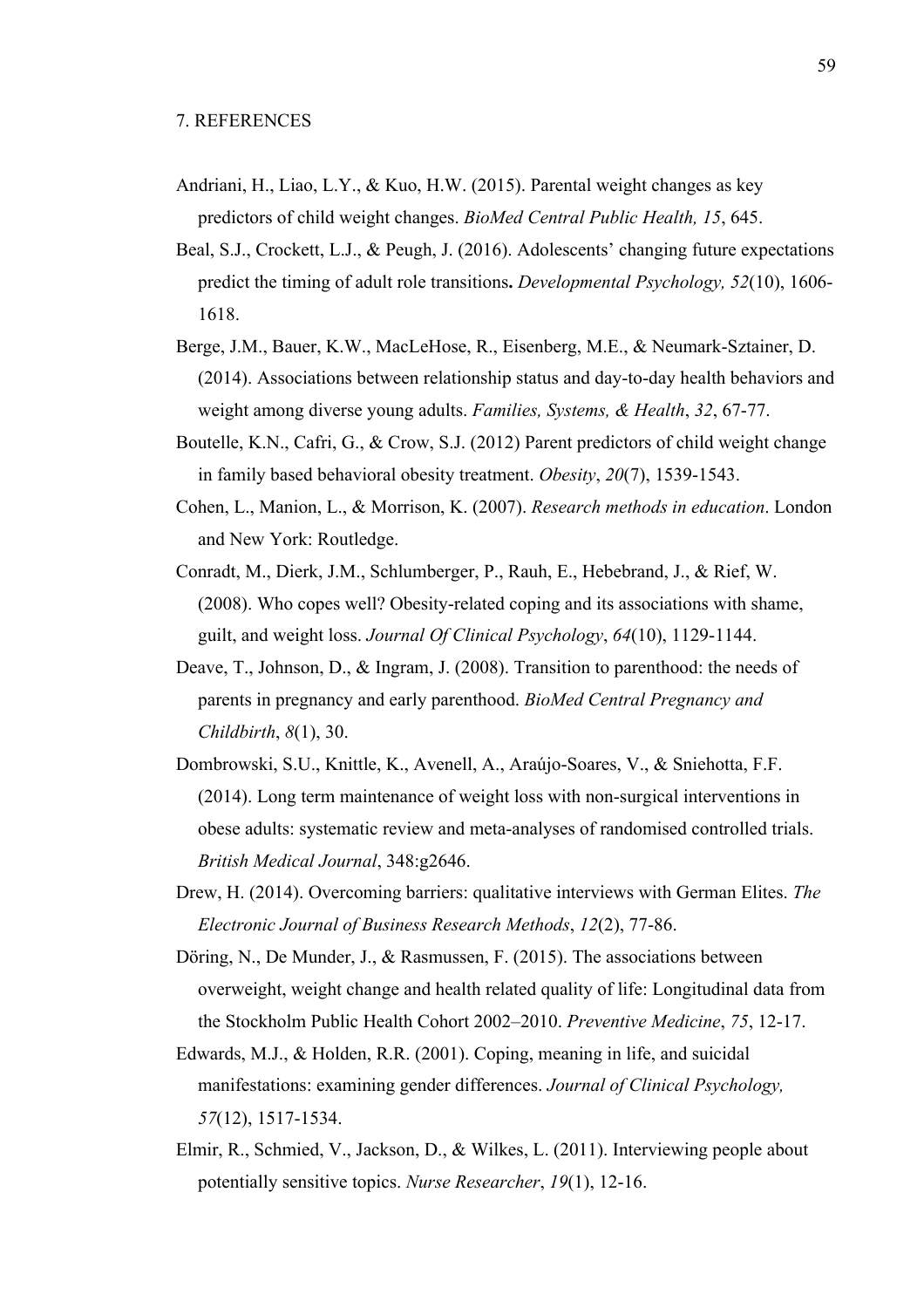- Andriani, H., Liao, L.Y., & Kuo, H.W. (2015). Parental weight changes as key predictors of child weight changes. *BioMed Central Public Health, 15*, 645.
- Beal, S.J., Crockett, L.J., & Peugh, J. (2016). Adolescents' changing future expectations predict the timing of adult role transitions**.** *Developmental Psychology, 52*(10), 1606- 1618.
- Berge, J.M., Bauer, K.W., MacLeHose, R., Eisenberg, M.E., & Neumark-Sztainer, D. (2014). Associations between relationship status and day-to-day health behaviors and weight among diverse young adults. *Families, Systems, & Health*, *32*, 67-77.
- Boutelle, K.N., Cafri, G., & Crow, S.J. (2012) Parent predictors of child weight change in family based behavioral obesity treatment. *Obesity*, *20*(7), 1539-1543.
- Cohen, L., Manion, L., & Morrison, K. (2007). *Research methods in education*. London and New York: Routledge.
- Conradt, M., Dierk, J.M., Schlumberger, P., Rauh, E., Hebebrand, J., & Rief, W. (2008). Who copes well? Obesity-related coping and its associations with shame, guilt, and weight loss. *Journal Of Clinical Psychology*, *64*(10), 1129-1144.
- Deave, T., Johnson, D., & Ingram, J. (2008). Transition to parenthood: the needs of parents in pregnancy and early parenthood. *BioMed Central Pregnancy and Childbirth*, *8*(1), 30.
- Dombrowski, S.U., Knittle, K., Avenell, A., Araújo-Soares, V., & Sniehotta, F.F. (2014). Long term maintenance of weight loss with non-surgical interventions in obese adults: systematic review and meta-analyses of randomised controlled trials. *British Medical Journal*, 348:g2646.
- Drew, H. (2014). Overcoming barriers: qualitative interviews with German Elites. *The Electronic Journal of Business Research Methods*, *12*(2), 77-86.
- Döring, N., De Munder, J., & Rasmussen, F. (2015). The associations between overweight, weight change and health related quality of life: Longitudinal data from the Stockholm Public Health Cohort 2002–2010. *Preventive Medicine*, *75*, 12-17.
- Edwards, M.J., & Holden, R.R. (2001). Coping, meaning in life, and suicidal manifestations: examining gender differences. *Journal of Clinical Psychology, 57*(12), 1517-1534.
- Elmir, R., Schmied, V., Jackson, D., & Wilkes, L. (2011). Interviewing people about potentially sensitive topics. *Nurse Researcher*, *19*(1), 12-16.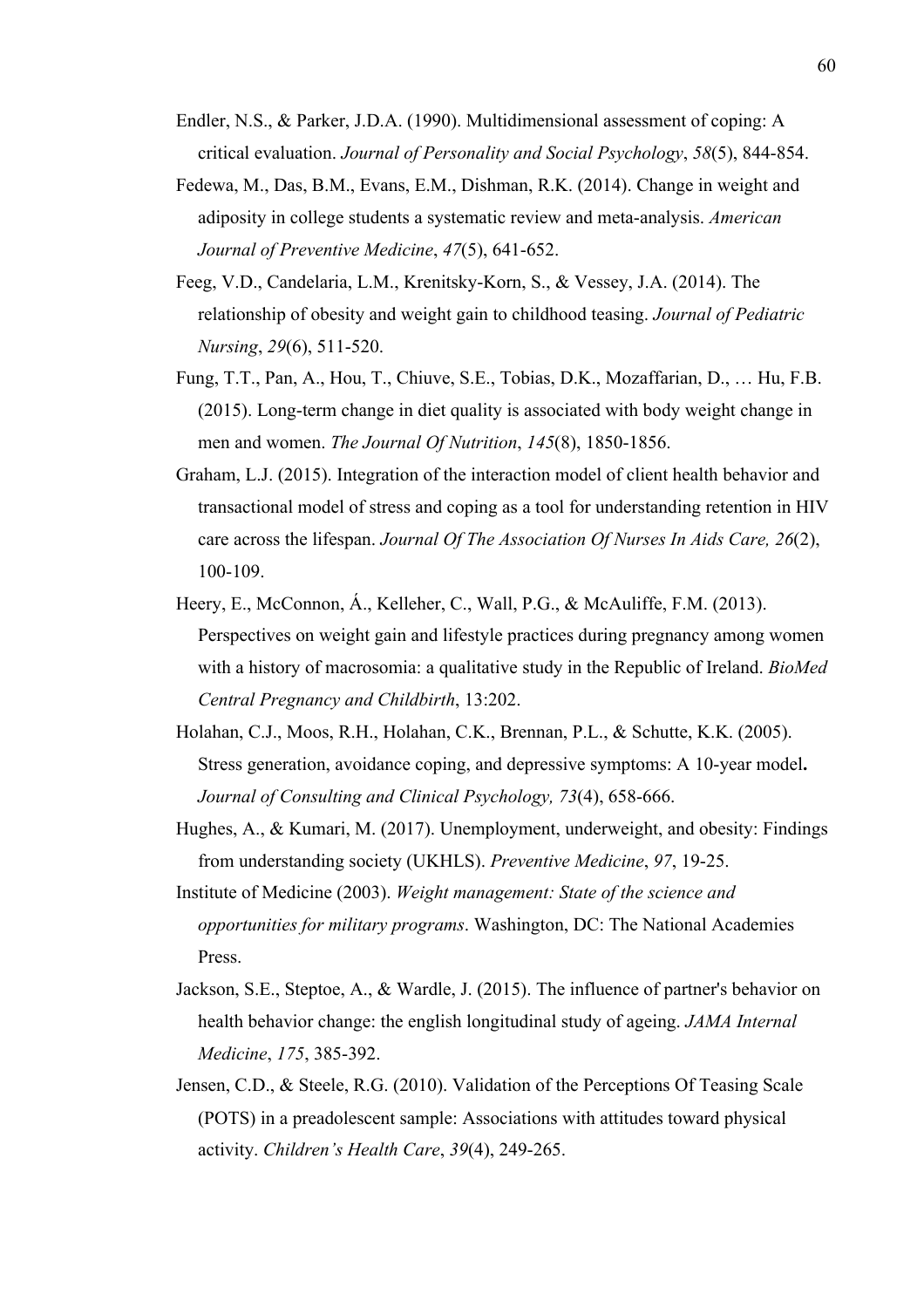- Endler, N.S., & Parker, J.D.A. (1990). Multidimensional assessment of coping: A critical evaluation. *Journal of Personality and Social Psychology*, *58*(5), 844-854.
- Fedewa, M., Das, B.M., Evans, E.M., Dishman, R.K. (2014). Change in weight and adiposity in college students a systematic review and meta-analysis. *American Journal of Preventive Medicine*, *47*(5), 641-652.
- Feeg, V.D., Candelaria, L.M., Krenitsky-Korn, S., & Vessey, J.A. (2014). The relationship of obesity and weight gain to childhood teasing. *Journal of Pediatric Nursing*, *29*(6), 511-520.
- Fung, T.T., Pan, A., Hou, T., Chiuve, S.E., Tobias, D.K., Mozaffarian, D., … Hu, F.B. (2015). Long-term change in diet quality is associated with body weight change in men and women. *The Journal Of Nutrition*, *145*(8), 1850-1856.
- Graham, L.J. (2015). Integration of the interaction model of client health behavior and transactional model of stress and coping as a tool for understanding retention in HIV care across the lifespan. *Journal Of The Association Of Nurses In Aids Care, 26*(2), 100-109.
- Heery, E., McConnon, Á., Kelleher, C., Wall, P.G., & McAuliffe, F.M. (2013). Perspectives on weight gain and lifestyle practices during pregnancy among women with a history of macrosomia: a qualitative study in the Republic of Ireland. *BioMed Central Pregnancy and Childbirth*, 13:202.
- Holahan, C.J., Moos, R.H., Holahan, C.K., Brennan, P.L., & Schutte, K.K. (2005). Stress generation, avoidance coping, and depressive symptoms: A 10-year model**.**  *Journal of Consulting and Clinical Psychology, 73*(4), 658-666.
- Hughes, A., & Kumari, M. (2017). Unemployment, underweight, and obesity: Findings from understanding society (UKHLS). *Preventive Medicine*, *97*, 19-25.
- Institute of Medicine (2003). *Weight management: State of the science and opportunities for military programs*. Washington, DC: The National Academies Press.
- Jackson, S.E., Steptoe, A., & Wardle, J. (2015). The influence of partner's behavior on health behavior change: the english longitudinal study of ageing. *JAMA Internal Medicine*, *175*, 385-392.
- Jensen, C.D., & Steele, R.G. (2010). Validation of the Perceptions Of Teasing Scale (POTS) in a preadolescent sample: Associations with attitudes toward physical activity. *Children's Health Care*, *39*(4), 249-265.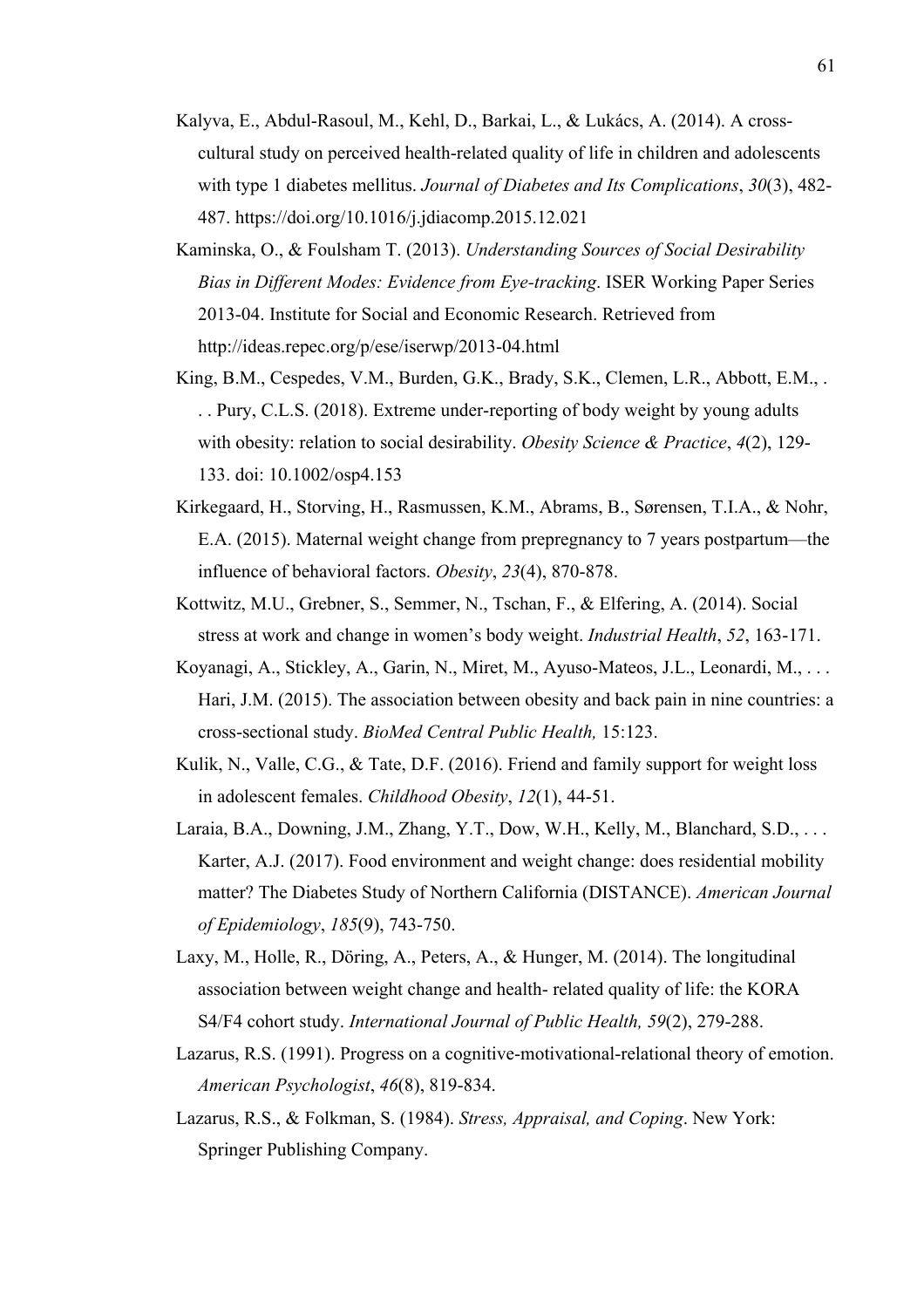- Kalyva, E., Abdul-Rasoul, M., Kehl, D., Barkai, L., & Lukács, A. (2014). A crosscultural study on perceived health-related quality of life in children and adolescents with type 1 diabetes mellitus. *Journal of Diabetes and Its Complications*, *30*(3), 482- 487. https://doi.org/10.1016/j.jdiacomp.2015.12.021
- Kaminska, O., & Foulsham T. (2013). *Understanding Sources of Social Desirability Bias in Different Modes: Evidence from Eye-tracking*. ISER Working Paper Series 2013-04. Institute for Social and Economic Research. Retrieved from http://ideas.repec.org/p/ese/iserwp/2013-04.html
- King, B.M., Cespedes, V.M., Burden, G.K., Brady, S.K., Clemen, L.R., Abbott, E.M., . . . Pury, C.L.S. (2018). Extreme under-reporting of body weight by young adults with obesity: relation to social desirability. *Obesity Science & Practice*, *4*(2), 129- 133. doi: 10.1002/osp4.153
- Kirkegaard, H., Storving, H., Rasmussen, K.M., Abrams, B., Sørensen, T.I.A., & Nohr, E.A. (2015). Maternal weight change from prepregnancy to 7 years postpartum—the influence of behavioral factors. *Obesity*, *23*(4), 870-878.
- Kottwitz, M.U., Grebner, S., Semmer, N., Tschan, F., & Elfering, A. (2014). Social stress at work and change in women's body weight. *Industrial Health*, *52*, 163-171.
- Koyanagi, A., Stickley, A., Garin, N., Miret, M., Ayuso-Mateos, J.L., Leonardi, M., . . . Hari, J.M. (2015). The association between obesity and back pain in nine countries: a cross-sectional study. *BioMed Central Public Health,* 15:123.
- Kulik, N., Valle, C.G., & Tate, D.F. (2016). Friend and family support for weight loss in adolescent females. *Childhood Obesity*, *12*(1), 44-51.
- Laraia, B.A., Downing, J.M., Zhang, Y.T., Dow, W.H., Kelly, M., Blanchard, S.D., ... Karter, A.J. (2017). Food environment and weight change: does residential mobility matter? The Diabetes Study of Northern California (DISTANCE). *American Journal of Epidemiology*, *185*(9), 743-750.
- Laxy, M., Holle, R., Döring, A., Peters, A., & Hunger, M. (2014). The longitudinal association between weight change and health- related quality of life: the KORA S4/F4 cohort study. *International Journal of Public Health, 59*(2), 279-288.
- Lazarus, R.S. (1991). Progress on a cognitive-motivational-relational theory of emotion. *American Psychologist*, *46*(8), 819-834.
- Lazarus, R.S., & Folkman, S. (1984). *Stress, Appraisal, and Coping*. New York: Springer Publishing Company.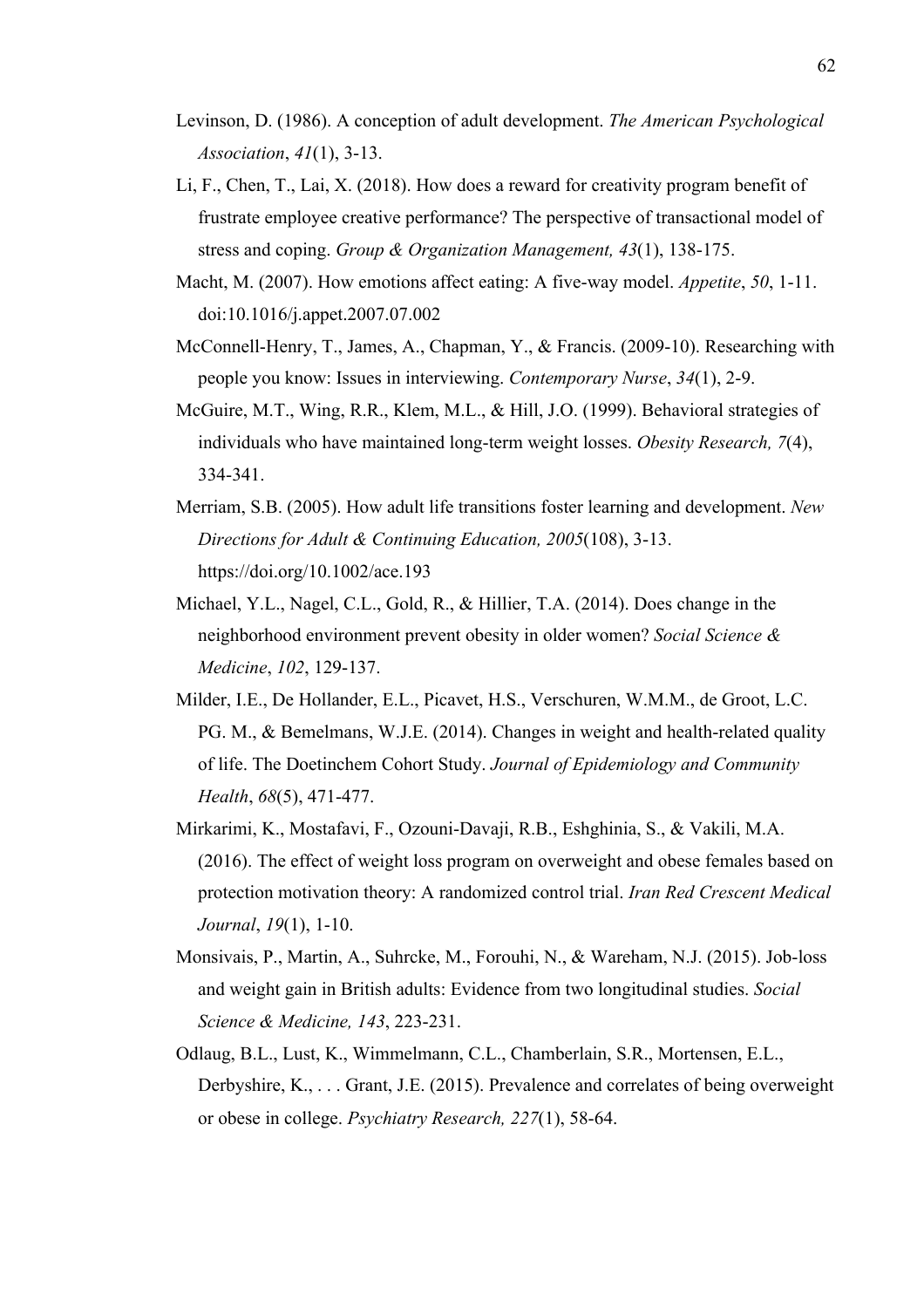- Levinson, D. (1986). A conception of adult development. *The American Psychological Association*, *41*(1), 3-13.
- Li, F., Chen, T., Lai, X. (2018). How does a reward for creativity program benefit of frustrate employee creative performance? The perspective of transactional model of stress and coping. *Group & Organization Management, 43*(1), 138-175.
- Macht, M. (2007). How emotions affect eating: A five-way model. *Appetite*, *50*, 1-11. doi:10.1016/j.appet.2007.07.002
- McConnell-Henry, T., James, A., Chapman, Y., & Francis. (2009-10). Researching with people you know: Issues in interviewing. *Contemporary Nurse*, *34*(1), 2-9.
- McGuire, M.T., Wing, R.R., Klem, M.L., & Hill, J.O. (1999). Behavioral strategies of individuals who have maintained long-term weight losses. *Obesity Research, 7*(4), 334-341.
- Merriam, S.B. (2005). How adult life transitions foster learning and development. *New Directions for Adult & Continuing Education, 2005*(108), 3-13. https://doi.org/10.1002/ace.193
- Michael, Y.L., Nagel, C.L., Gold, R., & Hillier, T.A. (2014). Does change in the neighborhood environment prevent obesity in older women? *Social Science & Medicine*, *102*, 129-137.
- Milder, I.E., De Hollander, E.L., Picavet, H.S., Verschuren, W.M.M., de Groot, L.C. PG. M., & Bemelmans, W.J.E. (2014). Changes in weight and health-related quality of life. The Doetinchem Cohort Study. *Journal of Epidemiology and Community Health*, *68*(5), 471-477.
- Mirkarimi, K., Mostafavi, F., Ozouni-Davaji, R.B., Eshghinia, S., & Vakili, M.A. (2016). The effect of weight loss program on overweight and obese females based on protection motivation theory: A randomized control trial. *Iran Red Crescent Medical Journal*, *19*(1), 1-10.
- Monsivais, P., Martin, A., Suhrcke, M., Forouhi, N., & Wareham, N.J. (2015). Job-loss and weight gain in British adults: Evidence from two longitudinal studies. *Social Science & Medicine, 143*, 223-231.
- Odlaug, B.L., Lust, K., Wimmelmann, C.L., Chamberlain, S.R., Mortensen, E.L., Derbyshire, K., . . . Grant, J.E. (2015). Prevalence and correlates of being overweight or obese in college. *Psychiatry Research, 227*(1), 58-64.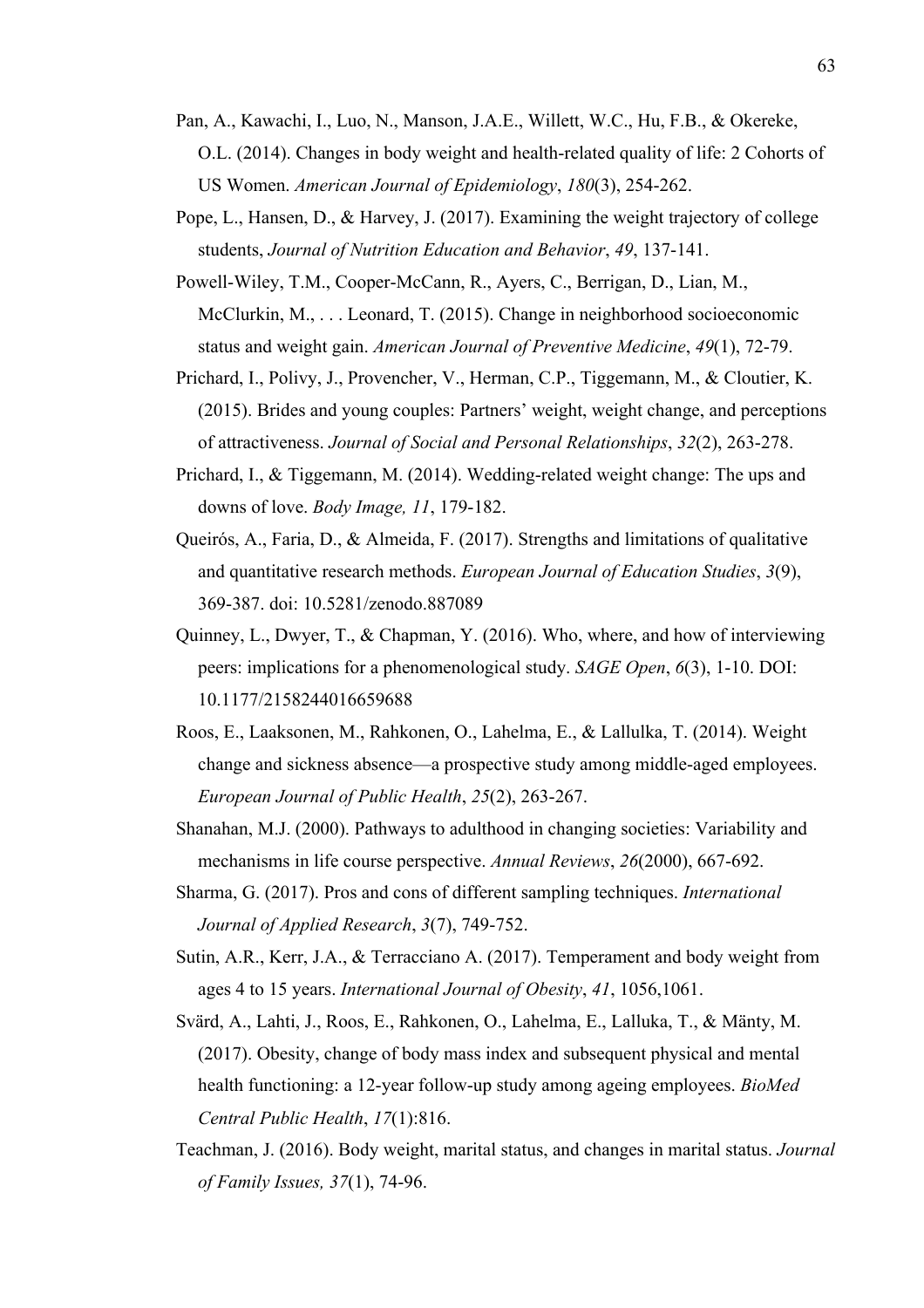- Pan, A., Kawachi, I., Luo, N., Manson, J.A.E., Willett, W.C., Hu, F.B., & Okereke, O.L. (2014). Changes in body weight and health-related quality of life: 2 Cohorts of US Women. *American Journal of Epidemiology*, *180*(3), 254-262.
- Pope, L., Hansen, D., & Harvey, J. (2017). Examining the weight trajectory of college students, *Journal of Nutrition Education and Behavior*, *49*, 137-141.
- Powell-Wiley, T.M., Cooper-McCann, R., Ayers, C., Berrigan, D., Lian, M., McClurkin, M., ... Leonard, T. (2015). Change in neighborhood socioeconomic status and weight gain. *American Journal of Preventive Medicine*, *49*(1), 72-79.
- Prichard, I., Polivy, J., Provencher, V., Herman, C.P., Tiggemann, M., & Cloutier, K. (2015). Brides and young couples: Partners' weight, weight change, and perceptions of attractiveness. *Journal of Social and Personal Relationships*, *32*(2), 263-278.
- Prichard, I., & Tiggemann, M. (2014). Wedding-related weight change: The ups and downs of love. *Body Image, 11*, 179-182.
- Queirós, A., Faria, D., & Almeida, F. (2017). Strengths and limitations of qualitative and quantitative research methods. *European Journal of Education Studies*, *3*(9), 369-387. doi: 10.5281/zenodo.887089
- Quinney, L., Dwyer, T., & Chapman, Y. (2016). Who, where, and how of interviewing peers: implications for a phenomenological study. *SAGE Open*, *6*(3), 1-10. DOI: 10.1177/2158244016659688
- Roos, E., Laaksonen, M., Rahkonen, O., Lahelma, E., & Lallulka, T. (2014). Weight change and sickness absence—a prospective study among middle-aged employees. *European Journal of Public Health*, *25*(2), 263-267.
- Shanahan, M.J. (2000). Pathways to adulthood in changing societies: Variability and mechanisms in life course perspective. *Annual Reviews*, *26*(2000), 667-692.
- Sharma, G. (2017). Pros and cons of different sampling techniques. *International Journal of Applied Research*, *3*(7), 749-752.
- Sutin, A.R., Kerr, J.A., & Terracciano A. (2017). Temperament and body weight from ages 4 to 15 years. *International Journal of Obesity*, *41*, 1056,1061.
- Svärd, A., Lahti, J., Roos, E., Rahkonen, O., Lahelma, E., Lalluka, T., & Mänty, M. (2017). Obesity, change of body mass index and subsequent physical and mental health functioning: a 12-year follow-up study among ageing employees. *BioMed Central Public Health*, *17*(1):816.
- Teachman, J. (2016). Body weight, marital status, and changes in marital status. *Journal of Family Issues, 37*(1), 74-96.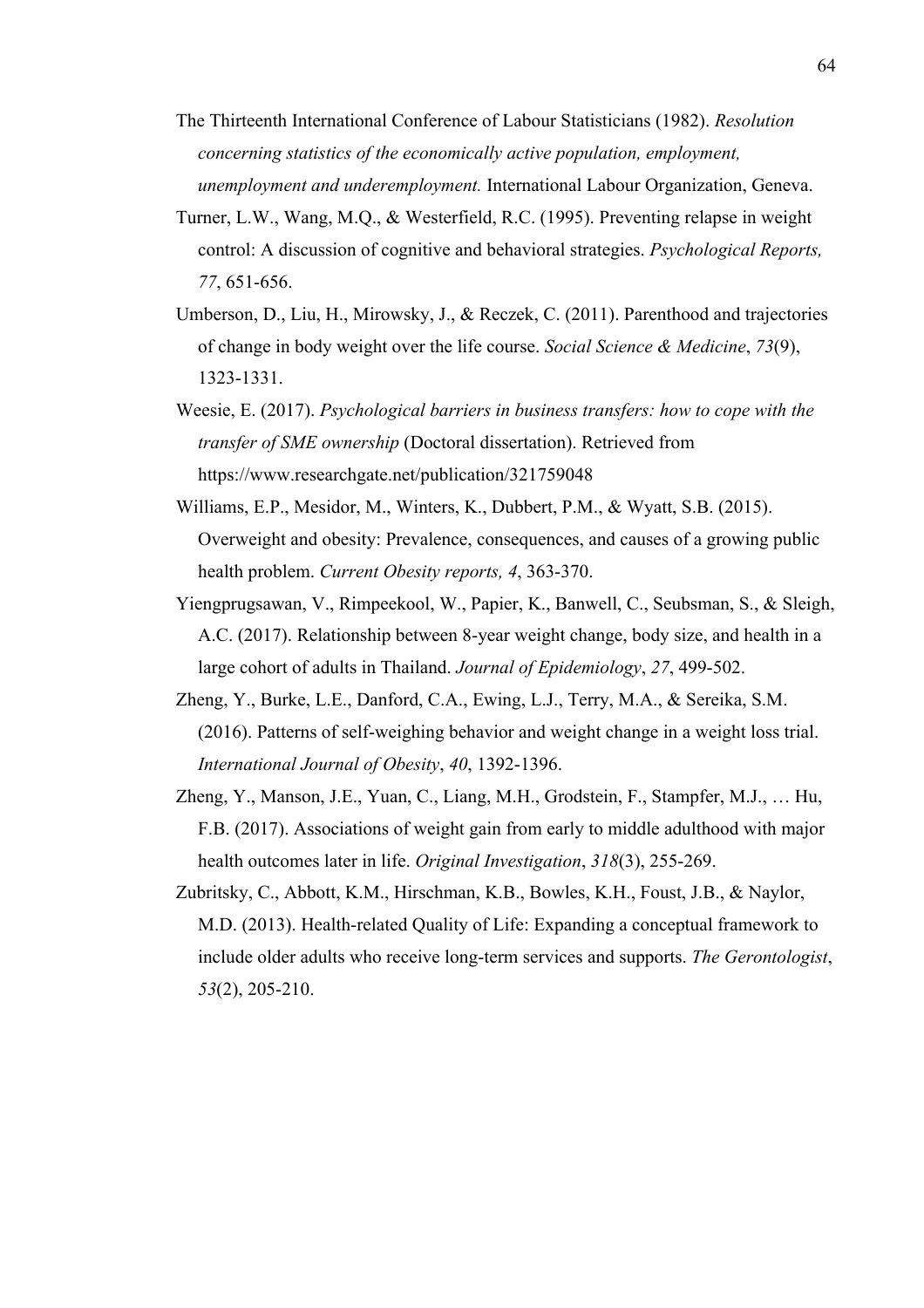- The Thirteenth International Conference of Labour Statisticians (1982). *Resolution concerning statistics of the economically active population, employment, unemployment and underemployment.* International Labour Organization, Geneva.
- Turner, L.W., Wang, M.Q., & Westerfield, R.C. (1995). Preventing relapse in weight control: A discussion of cognitive and behavioral strategies. *Psychological Reports, 77*, 651-656.
- Umberson, D., Liu, H., Mirowsky, J., & Reczek, C. (2011). Parenthood and trajectories of change in body weight over the life course. *Social Science & Medicine*, *73*(9), 1323-1331.
- Weesie, E. (2017). *Psychological barriers in business transfers: how to cope with the transfer of SME ownership* (Doctoral dissertation). Retrieved from https://www.researchgate.net/publication/321759048
- Williams, E.P., Mesidor, M., Winters, K., Dubbert, P.M., & Wyatt, S.B. (2015). Overweight and obesity: Prevalence, consequences, and causes of a growing public health problem. *Current Obesity reports, 4*, 363-370.
- Yiengprugsawan, V., Rimpeekool, W., Papier, K., Banwell, C., Seubsman, S., & Sleigh, A.C. (2017). Relationship between 8-year weight change, body size, and health in a large cohort of adults in Thailand. *Journal of Epidemiology*, *27*, 499-502.
- Zheng, Y., Burke, L.E., Danford, C.A., Ewing, L.J., Terry, M.A., & Sereika, S.M. (2016). Patterns of self-weighing behavior and weight change in a weight loss trial. *International Journal of Obesity*, *40*, 1392-1396.
- Zheng, Y., Manson, J.E., Yuan, C., Liang, M.H., Grodstein, F., Stampfer, M.J., … Hu, F.B. (2017). Associations of weight gain from early to middle adulthood with major health outcomes later in life. *Original Investigation*, *318*(3), 255-269.
- Zubritsky, C., Abbott, K.M., Hirschman, K.B., Bowles, K.H., Foust, J.B., & Naylor, M.D. (2013). Health-related Quality of Life: Expanding a conceptual framework to include older adults who receive long-term services and supports. *The Gerontologist*, *53*(2), 205-210.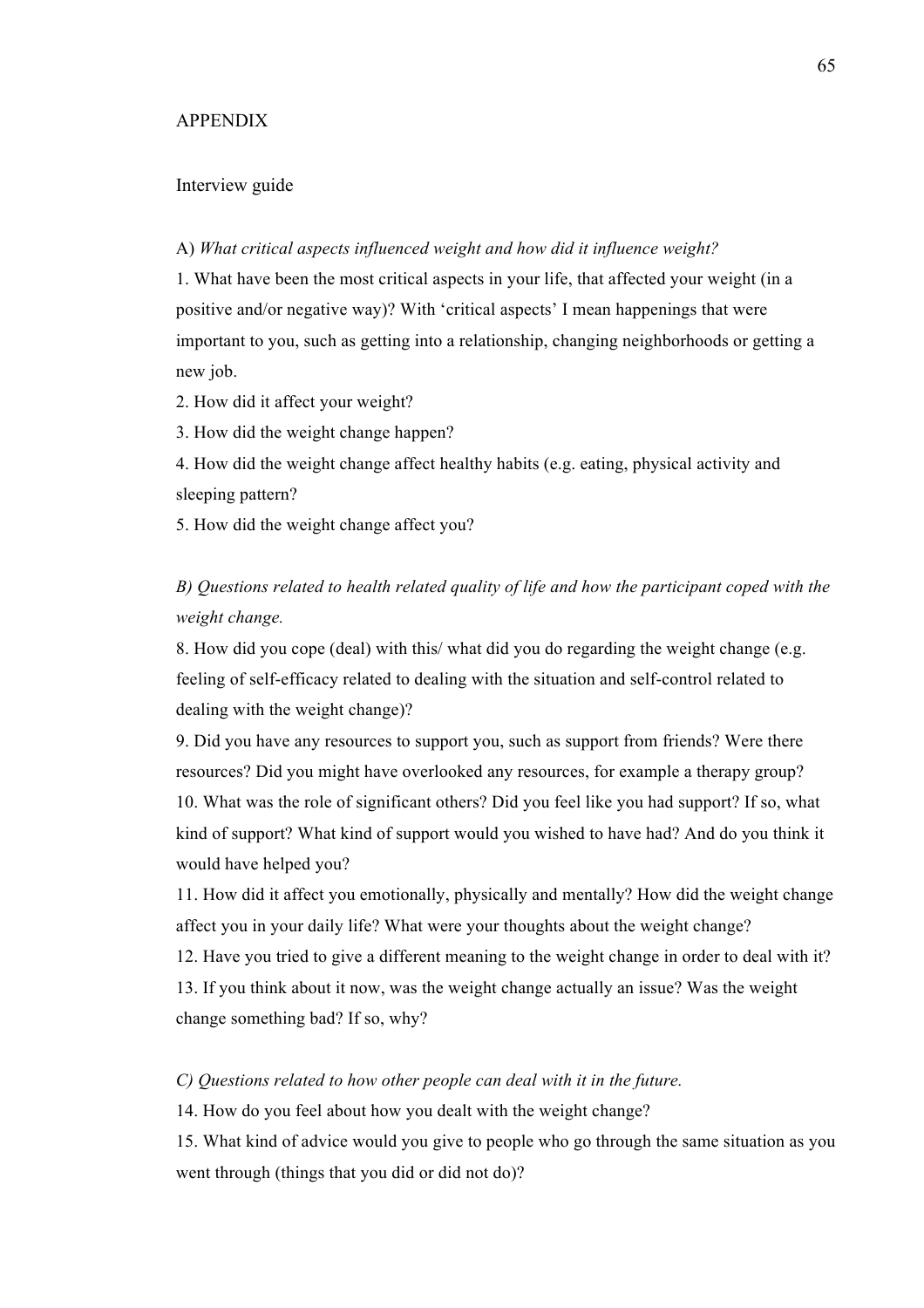### APPENDIX

## Interview guide

## A) *What critical aspects influenced weight and how did it influence weight?*

1. What have been the most critical aspects in your life, that affected your weight (in a positive and/or negative way)? With 'critical aspects' I mean happenings that were important to you, such as getting into a relationship, changing neighborhoods or getting a new job.

2. How did it affect your weight?

3. How did the weight change happen?

4. How did the weight change affect healthy habits (e.g. eating, physical activity and sleeping pattern?

5. How did the weight change affect you?

## *B) Questions related to health related quality of life and how the participant coped with the weight change.*

8. How did you cope (deal) with this/ what did you do regarding the weight change (e.g. feeling of self-efficacy related to dealing with the situation and self-control related to dealing with the weight change)?

9. Did you have any resources to support you, such as support from friends? Were there resources? Did you might have overlooked any resources, for example a therapy group? 10. What was the role of significant others? Did you feel like you had support? If so, what kind of support? What kind of support would you wished to have had? And do you think it would have helped you?

11. How did it affect you emotionally, physically and mentally? How did the weight change affect you in your daily life? What were your thoughts about the weight change?

12. Have you tried to give a different meaning to the weight change in order to deal with it? 13. If you think about it now, was the weight change actually an issue? Was the weight change something bad? If so, why?

#### *C) Questions related to how other people can deal with it in the future.*

14. How do you feel about how you dealt with the weight change?

15. What kind of advice would you give to people who go through the same situation as you went through (things that you did or did not do)?